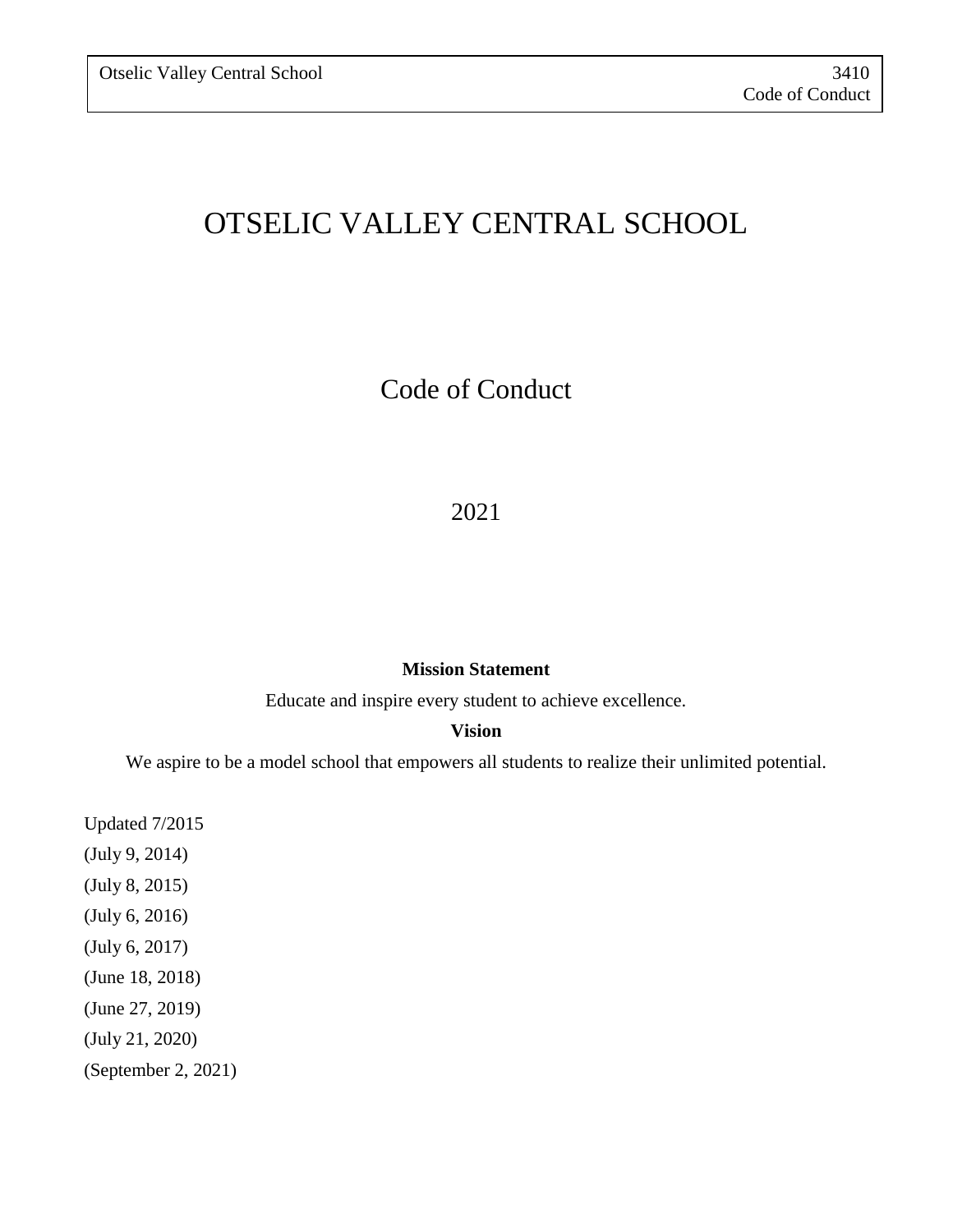# OTSELIC VALLEY CENTRAL SCHOOL

Code of Conduct

### 2021

#### **Mission Statement**

Educate and inspire every student to achieve excellence.

#### **Vision**

We aspire to be a model school that empowers all students to realize their unlimited potential.

Updated 7/2015 (July 9, 2014) (July 8, 2015) (July 6, 2016) (July 6, 2017) (June 18, 2018) (June 27, 2019) (July 21, 2020) (September 2, 2021)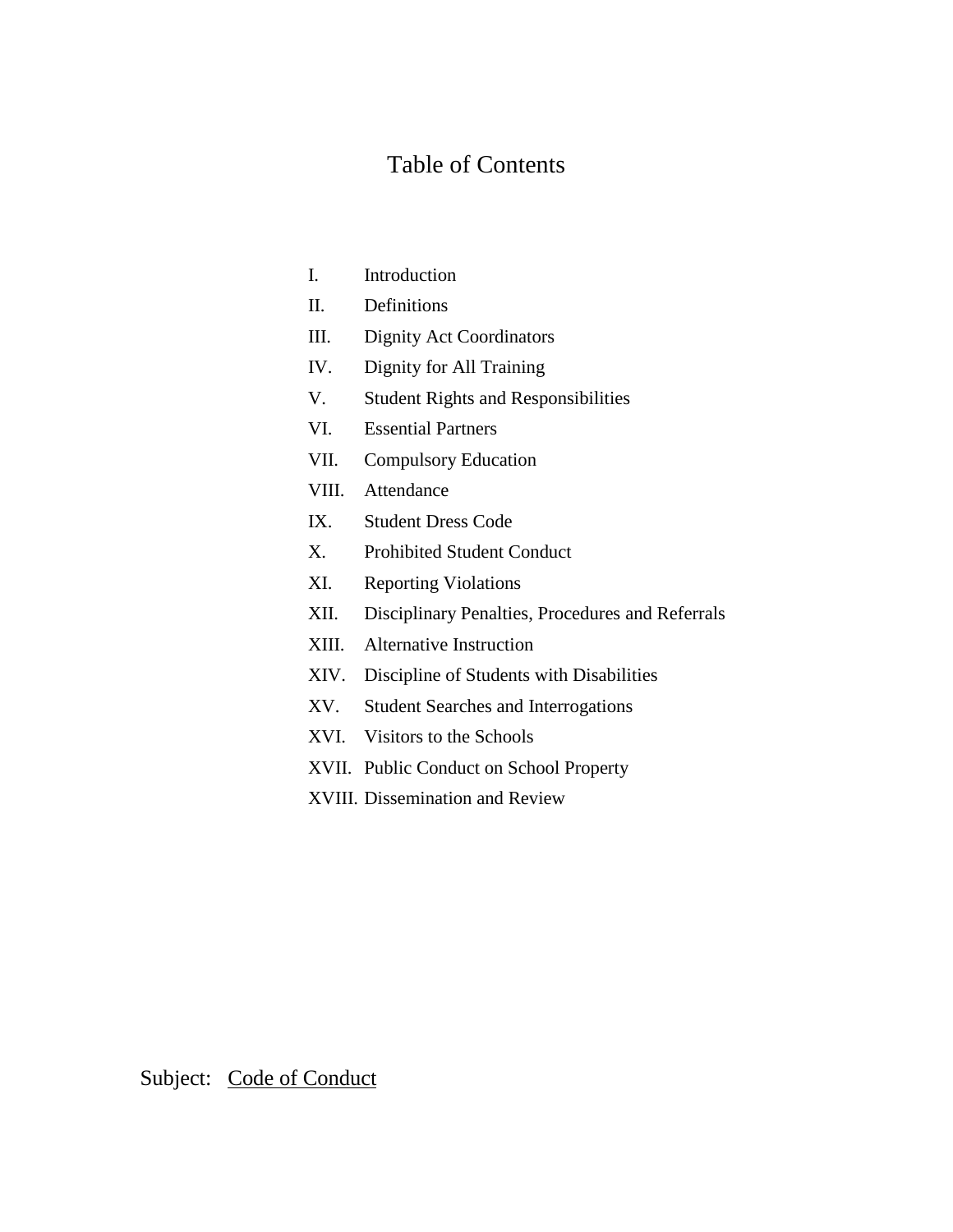# Table of Contents

| I.    | Introduction                                     |
|-------|--------------------------------------------------|
| Π.    | Definitions                                      |
| III.  | <b>Dignity Act Coordinators</b>                  |
| IV.   | Dignity for All Training                         |
| V.    | <b>Student Rights and Responsibilities</b>       |
| VI.   | <b>Essential Partners</b>                        |
| VII.  | <b>Compulsory Education</b>                      |
| VIII. | Attendance                                       |
| IX.   | <b>Student Dress Code</b>                        |
| Х.    | <b>Prohibited Student Conduct</b>                |
| XI.   | <b>Reporting Violations</b>                      |
| XII.  | Disciplinary Penalties, Procedures and Referrals |
| XIII. | <b>Alternative Instruction</b>                   |
| XIV.  | Discipline of Students with Disabilities         |
| XV.   | <b>Student Searches and Interrogations</b>       |
| XVI.  | Visitors to the Schools                          |
|       | XVII. Public Conduct on School Property          |
|       | XVIII. Dissemination and Review                  |
|       |                                                  |

Subject: Code of Conduct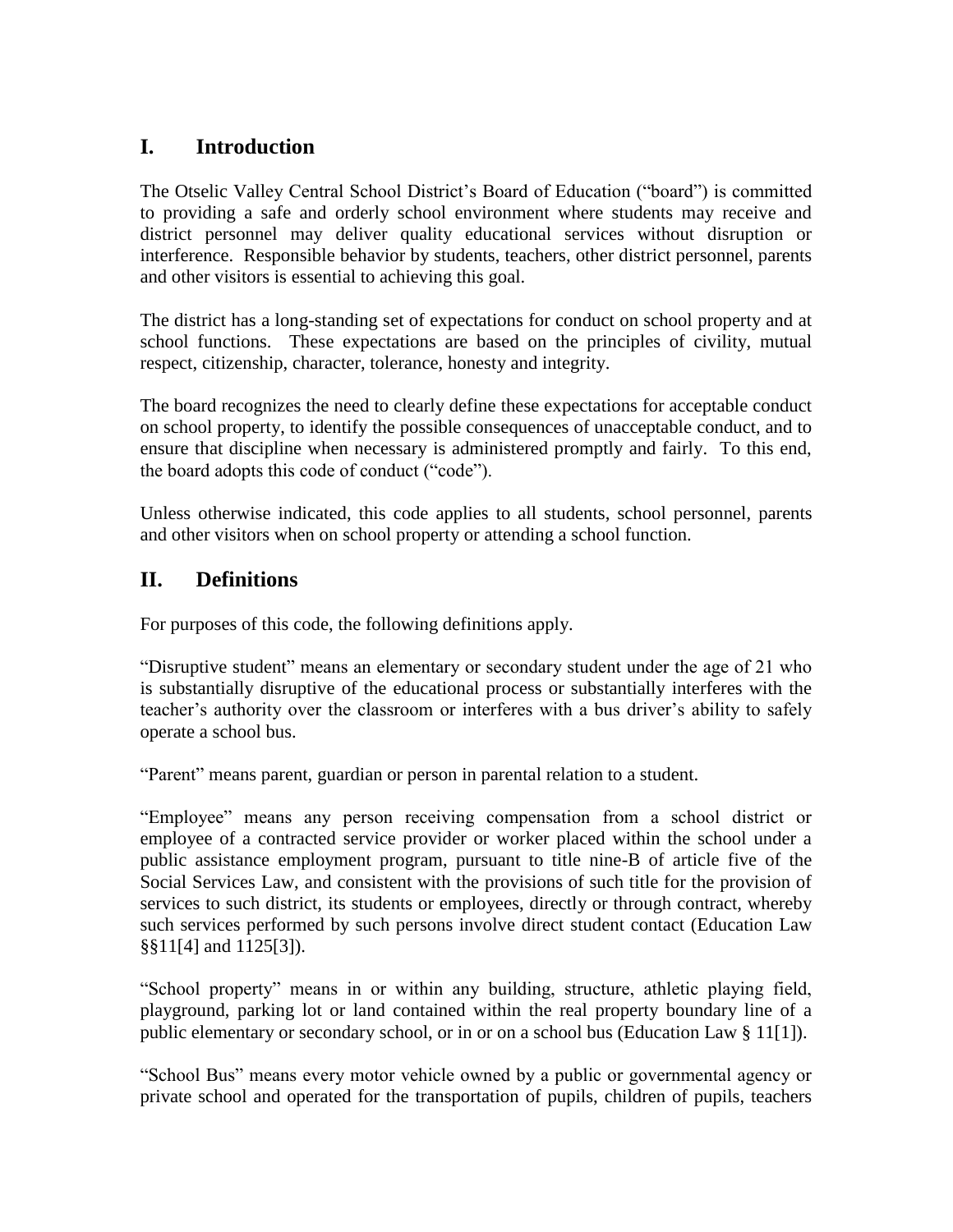### **I. Introduction**

The Otselic Valley Central School District's Board of Education ("board") is committed to providing a safe and orderly school environment where students may receive and district personnel may deliver quality educational services without disruption or interference. Responsible behavior by students, teachers, other district personnel, parents and other visitors is essential to achieving this goal.

The district has a long-standing set of expectations for conduct on school property and at school functions. These expectations are based on the principles of civility, mutual respect, citizenship, character, tolerance, honesty and integrity.

The board recognizes the need to clearly define these expectations for acceptable conduct on school property, to identify the possible consequences of unacceptable conduct, and to ensure that discipline when necessary is administered promptly and fairly. To this end, the board adopts this code of conduct ("code").

Unless otherwise indicated, this code applies to all students, school personnel, parents and other visitors when on school property or attending a school function.

### **II. Definitions**

For purposes of this code, the following definitions apply.

"Disruptive student" means an elementary or secondary student under the age of 21 who is substantially disruptive of the educational process or substantially interferes with the teacher's authority over the classroom or interferes with a bus driver's ability to safely operate a school bus.

"Parent" means parent, guardian or person in parental relation to a student.

"Employee" means any person receiving compensation from a school district or employee of a contracted service provider or worker placed within the school under a public assistance employment program, pursuant to title nine-B of article five of the Social Services Law, and consistent with the provisions of such title for the provision of services to such district, its students or employees, directly or through contract, whereby such services performed by such persons involve direct student contact (Education Law §§11[4] and 1125[3]).

"School property" means in or within any building, structure, athletic playing field, playground, parking lot or land contained within the real property boundary line of a public elementary or secondary school, or in or on a school bus (Education Law § 11[1]).

"School Bus" means every motor vehicle owned by a public or governmental agency or private school and operated for the transportation of pupils, children of pupils, teachers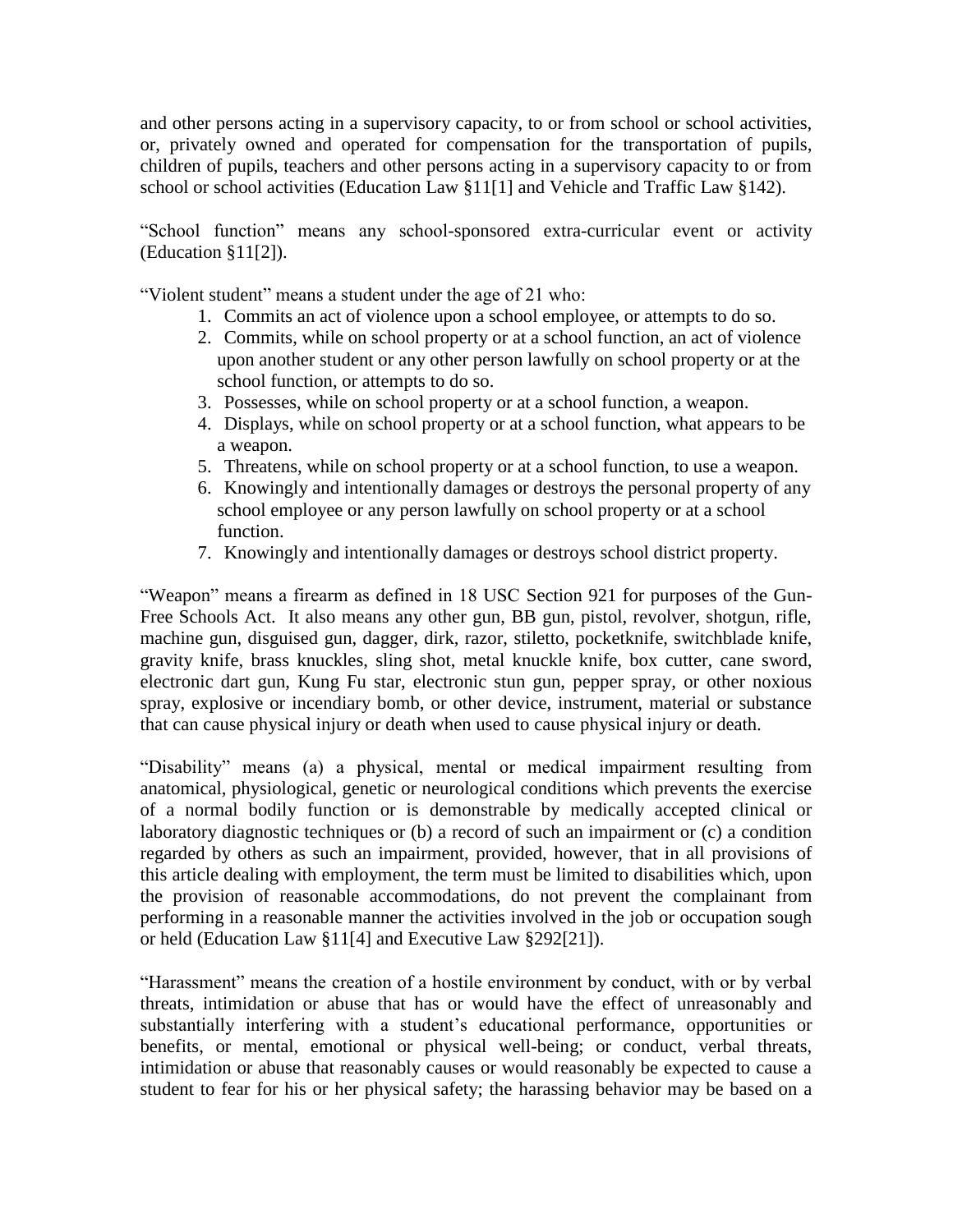and other persons acting in a supervisory capacity, to or from school or school activities, or, privately owned and operated for compensation for the transportation of pupils, children of pupils, teachers and other persons acting in a supervisory capacity to or from school or school activities (Education Law §11[1] and Vehicle and Traffic Law §142).

"School function" means any school-sponsored extra-curricular event or activity (Education §11[2]).

"Violent student" means a student under the age of 21 who:

- 1. Commits an act of violence upon a school employee, or attempts to do so.
- 2. Commits, while on school property or at a school function, an act of violence upon another student or any other person lawfully on school property or at the school function, or attempts to do so.
- 3. Possesses, while on school property or at a school function, a weapon.
- 4. Displays, while on school property or at a school function, what appears to be a weapon.
- 5. Threatens, while on school property or at a school function, to use a weapon.
- 6. Knowingly and intentionally damages or destroys the personal property of any school employee or any person lawfully on school property or at a school function.
- 7. Knowingly and intentionally damages or destroys school district property.

"Weapon" means a firearm as defined in 18 USC Section 921 for purposes of the Gun-Free Schools Act. It also means any other gun, BB gun, pistol, revolver, shotgun, rifle, machine gun, disguised gun, dagger, dirk, razor, stiletto, pocketknife, switchblade knife, gravity knife, brass knuckles, sling shot, metal knuckle knife, box cutter, cane sword, electronic dart gun, Kung Fu star, electronic stun gun, pepper spray, or other noxious spray, explosive or incendiary bomb, or other device, instrument, material or substance that can cause physical injury or death when used to cause physical injury or death.

"Disability" means (a) a physical, mental or medical impairment resulting from anatomical, physiological, genetic or neurological conditions which prevents the exercise of a normal bodily function or is demonstrable by medically accepted clinical or laboratory diagnostic techniques or (b) a record of such an impairment or (c) a condition regarded by others as such an impairment, provided, however, that in all provisions of this article dealing with employment, the term must be limited to disabilities which, upon the provision of reasonable accommodations, do not prevent the complainant from performing in a reasonable manner the activities involved in the job or occupation sough or held (Education Law §11[4] and Executive Law §292[21]).

"Harassment" means the creation of a hostile environment by conduct, with or by verbal threats, intimidation or abuse that has or would have the effect of unreasonably and substantially interfering with a student's educational performance, opportunities or benefits, or mental, emotional or physical well-being; or conduct, verbal threats, intimidation or abuse that reasonably causes or would reasonably be expected to cause a student to fear for his or her physical safety; the harassing behavior may be based on a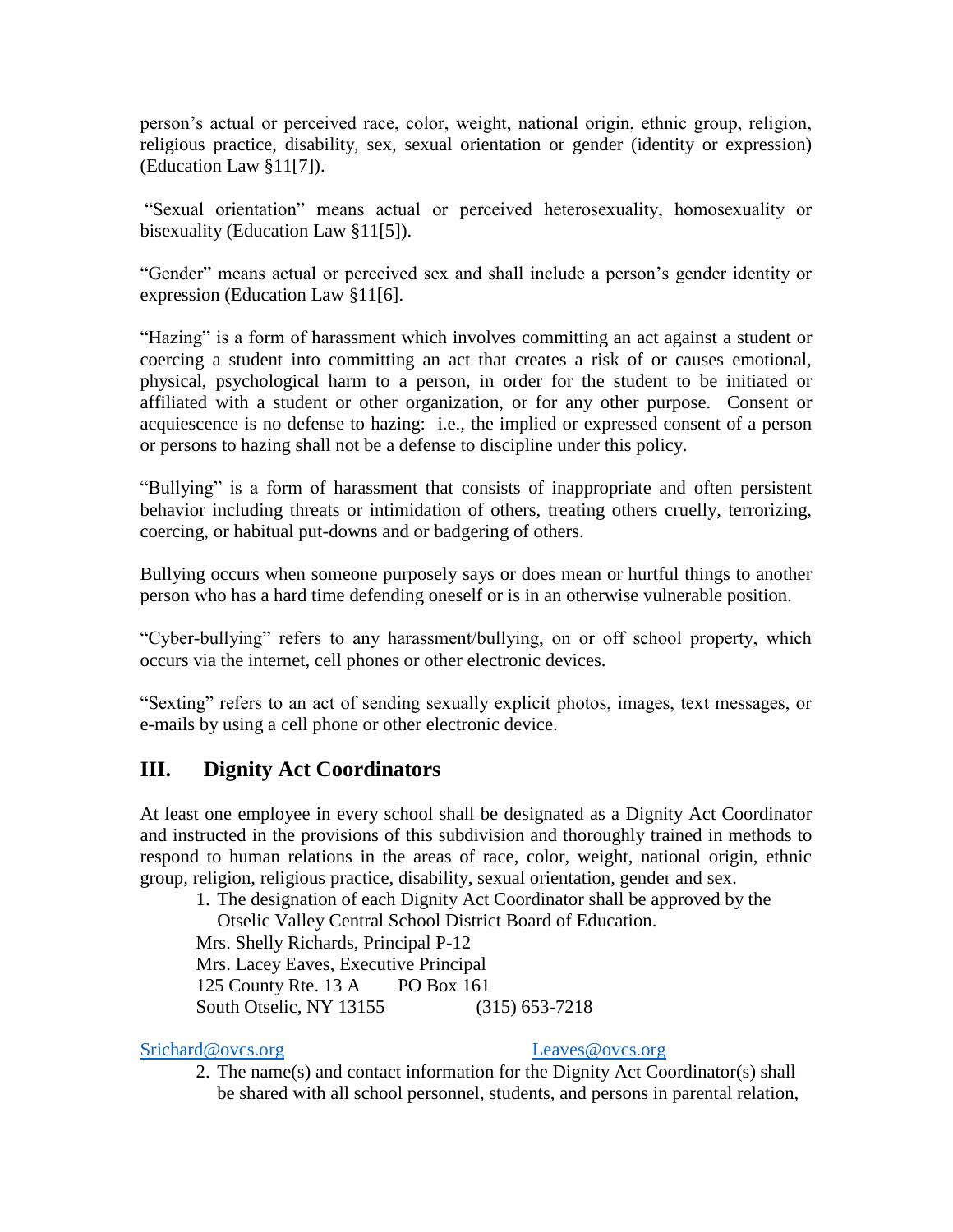person's actual or perceived race, color, weight, national origin, ethnic group, religion, religious practice, disability, sex, sexual orientation or gender (identity or expression) (Education Law §11[7]).

"Sexual orientation" means actual or perceived heterosexuality, homosexuality or bisexuality (Education Law §11[5]).

"Gender" means actual or perceived sex and shall include a person's gender identity or expression (Education Law §11[6].

"Hazing" is a form of harassment which involves committing an act against a student or coercing a student into committing an act that creates a risk of or causes emotional, physical, psychological harm to a person, in order for the student to be initiated or affiliated with a student or other organization, or for any other purpose. Consent or acquiescence is no defense to hazing: i.e., the implied or expressed consent of a person or persons to hazing shall not be a defense to discipline under this policy.

"Bullying" is a form of harassment that consists of inappropriate and often persistent behavior including threats or intimidation of others, treating others cruelly, terrorizing, coercing, or habitual put-downs and or badgering of others.

Bullying occurs when someone purposely says or does mean or hurtful things to another person who has a hard time defending oneself or is in an otherwise vulnerable position.

"Cyber-bullying" refers to any harassment/bullying, on or off school property, which occurs via the internet, cell phones or other electronic devices.

"Sexting" refers to an act of sending sexually explicit photos, images, text messages, or e-mails by using a cell phone or other electronic device.

### **III. Dignity Act Coordinators**

At least one employee in every school shall be designated as a Dignity Act Coordinator and instructed in the provisions of this subdivision and thoroughly trained in methods to respond to human relations in the areas of race, color, weight, national origin, ethnic group, religion, religious practice, disability, sexual orientation, gender and sex.

1. The designation of each Dignity Act Coordinator shall be approved by the

Otselic Valley Central School District Board of Education.

Mrs. Shelly Richards, Principal P-12

Mrs. Lacey Eaves, Executive Principal 125 County Rte. 13 A PO Box 161 South Otselic, NY 13155 (315) 653-7218

[Srichard@ovcs.org](mailto:Srichard@ovcs.org) [Leaves@ovcs.org](mailto:Leaves@ovcs.org)

2. The name(s) and contact information for the Dignity Act Coordinator(s) shall be shared with all school personnel, students, and persons in parental relation,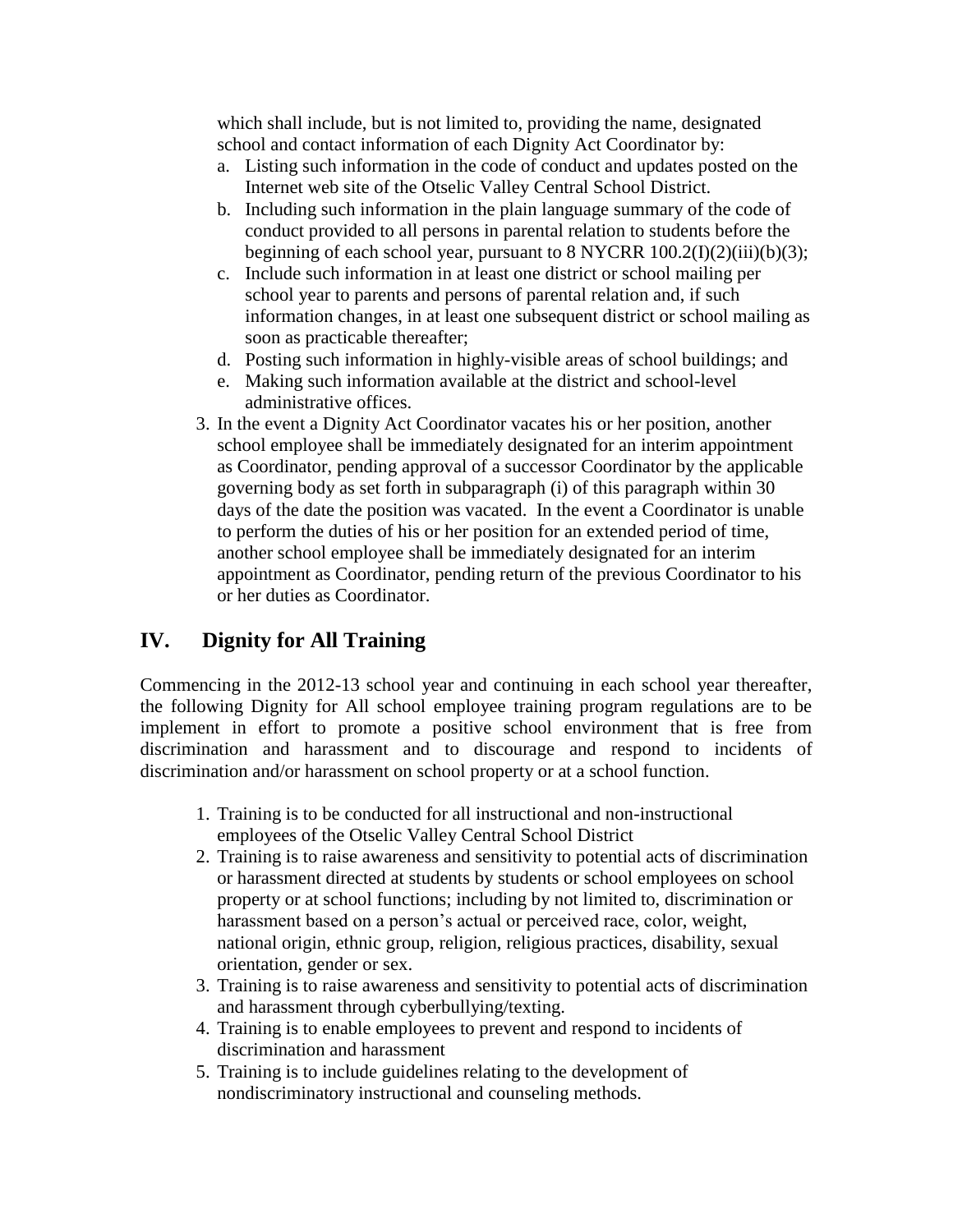which shall include, but is not limited to, providing the name, designated school and contact information of each Dignity Act Coordinator by:

- a. Listing such information in the code of conduct and updates posted on the Internet web site of the Otselic Valley Central School District.
- b. Including such information in the plain language summary of the code of conduct provided to all persons in parental relation to students before the beginning of each school year, pursuant to  $8$  NYCRR  $100.2(I)(2)(iii)(b)(3);$
- c. Include such information in at least one district or school mailing per school year to parents and persons of parental relation and, if such information changes, in at least one subsequent district or school mailing as soon as practicable thereafter;
- d. Posting such information in highly-visible areas of school buildings; and
- e. Making such information available at the district and school-level administrative offices.
- 3. In the event a Dignity Act Coordinator vacates his or her position, another school employee shall be immediately designated for an interim appointment as Coordinator, pending approval of a successor Coordinator by the applicable governing body as set forth in subparagraph (i) of this paragraph within 30 days of the date the position was vacated. In the event a Coordinator is unable to perform the duties of his or her position for an extended period of time, another school employee shall be immediately designated for an interim appointment as Coordinator, pending return of the previous Coordinator to his or her duties as Coordinator.

### **IV. Dignity for All Training**

Commencing in the 2012-13 school year and continuing in each school year thereafter, the following Dignity for All school employee training program regulations are to be implement in effort to promote a positive school environment that is free from discrimination and harassment and to discourage and respond to incidents of discrimination and/or harassment on school property or at a school function.

- 1. Training is to be conducted for all instructional and non-instructional employees of the Otselic Valley Central School District
- 2. Training is to raise awareness and sensitivity to potential acts of discrimination or harassment directed at students by students or school employees on school property or at school functions; including by not limited to, discrimination or harassment based on a person's actual or perceived race, color, weight, national origin, ethnic group, religion, religious practices, disability, sexual orientation, gender or sex.
- 3. Training is to raise awareness and sensitivity to potential acts of discrimination and harassment through cyberbullying/texting.
- 4. Training is to enable employees to prevent and respond to incidents of discrimination and harassment
- 5. Training is to include guidelines relating to the development of nondiscriminatory instructional and counseling methods.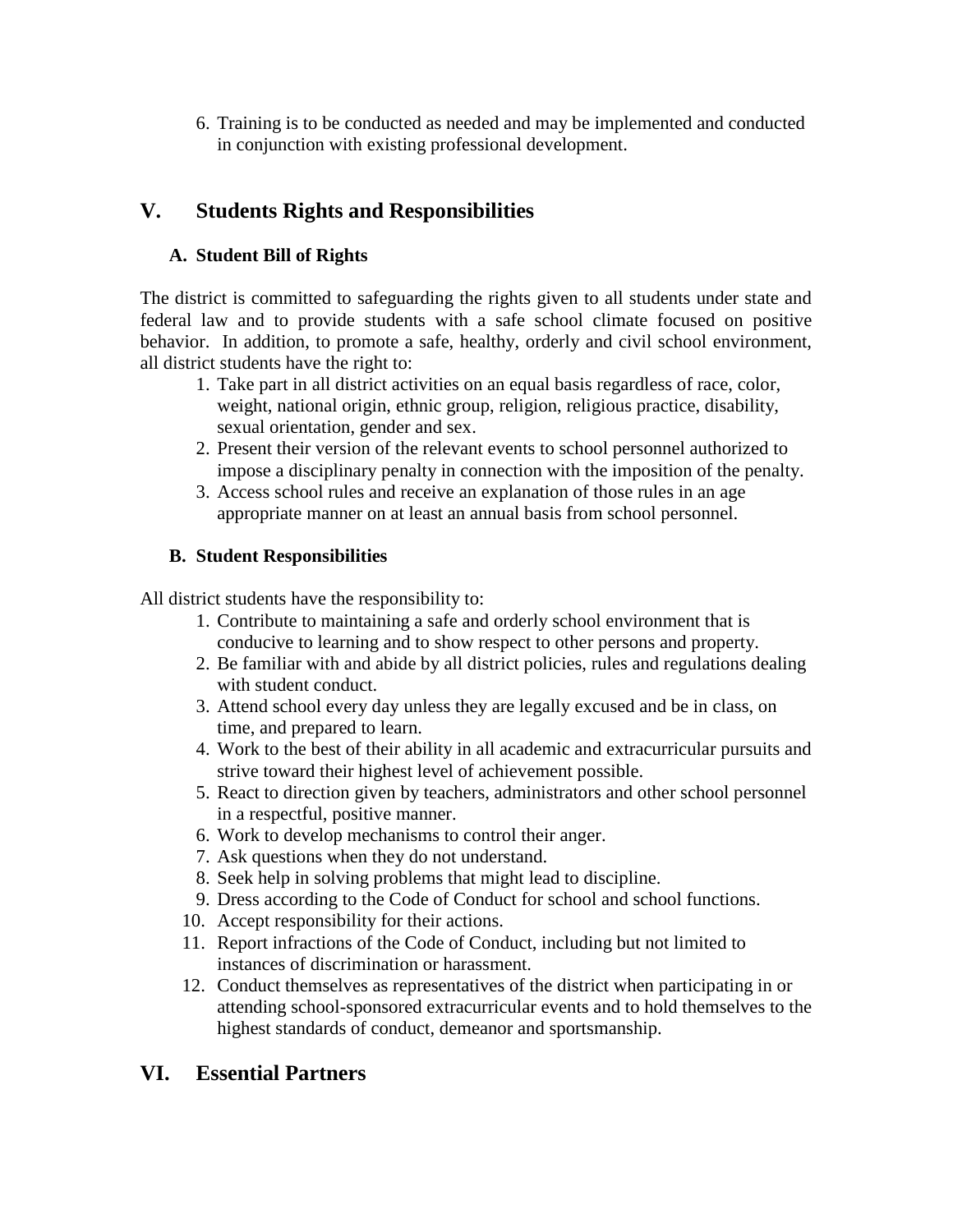6. Training is to be conducted as needed and may be implemented and conducted in conjunction with existing professional development.

### **V. Students Rights and Responsibilities**

#### **A. Student Bill of Rights**

The district is committed to safeguarding the rights given to all students under state and federal law and to provide students with a safe school climate focused on positive behavior. In addition, to promote a safe, healthy, orderly and civil school environment, all district students have the right to:

- 1. Take part in all district activities on an equal basis regardless of race, color, weight, national origin, ethnic group, religion, religious practice, disability, sexual orientation, gender and sex.
- 2. Present their version of the relevant events to school personnel authorized to impose a disciplinary penalty in connection with the imposition of the penalty.
- 3. Access school rules and receive an explanation of those rules in an age appropriate manner on at least an annual basis from school personnel.

#### **B. Student Responsibilities**

All district students have the responsibility to:

- 1. Contribute to maintaining a safe and orderly school environment that is conducive to learning and to show respect to other persons and property.
- 2. Be familiar with and abide by all district policies, rules and regulations dealing with student conduct.
- 3. Attend school every day unless they are legally excused and be in class, on time, and prepared to learn.
- 4. Work to the best of their ability in all academic and extracurricular pursuits and strive toward their highest level of achievement possible.
- 5. React to direction given by teachers, administrators and other school personnel in a respectful, positive manner.
- 6. Work to develop mechanisms to control their anger.
- 7. Ask questions when they do not understand.
- 8. Seek help in solving problems that might lead to discipline.
- 9. Dress according to the Code of Conduct for school and school functions.
- 10. Accept responsibility for their actions.
- 11. Report infractions of the Code of Conduct, including but not limited to instances of discrimination or harassment.
- 12. Conduct themselves as representatives of the district when participating in or attending school-sponsored extracurricular events and to hold themselves to the highest standards of conduct, demeanor and sportsmanship.

### **VI. Essential Partners**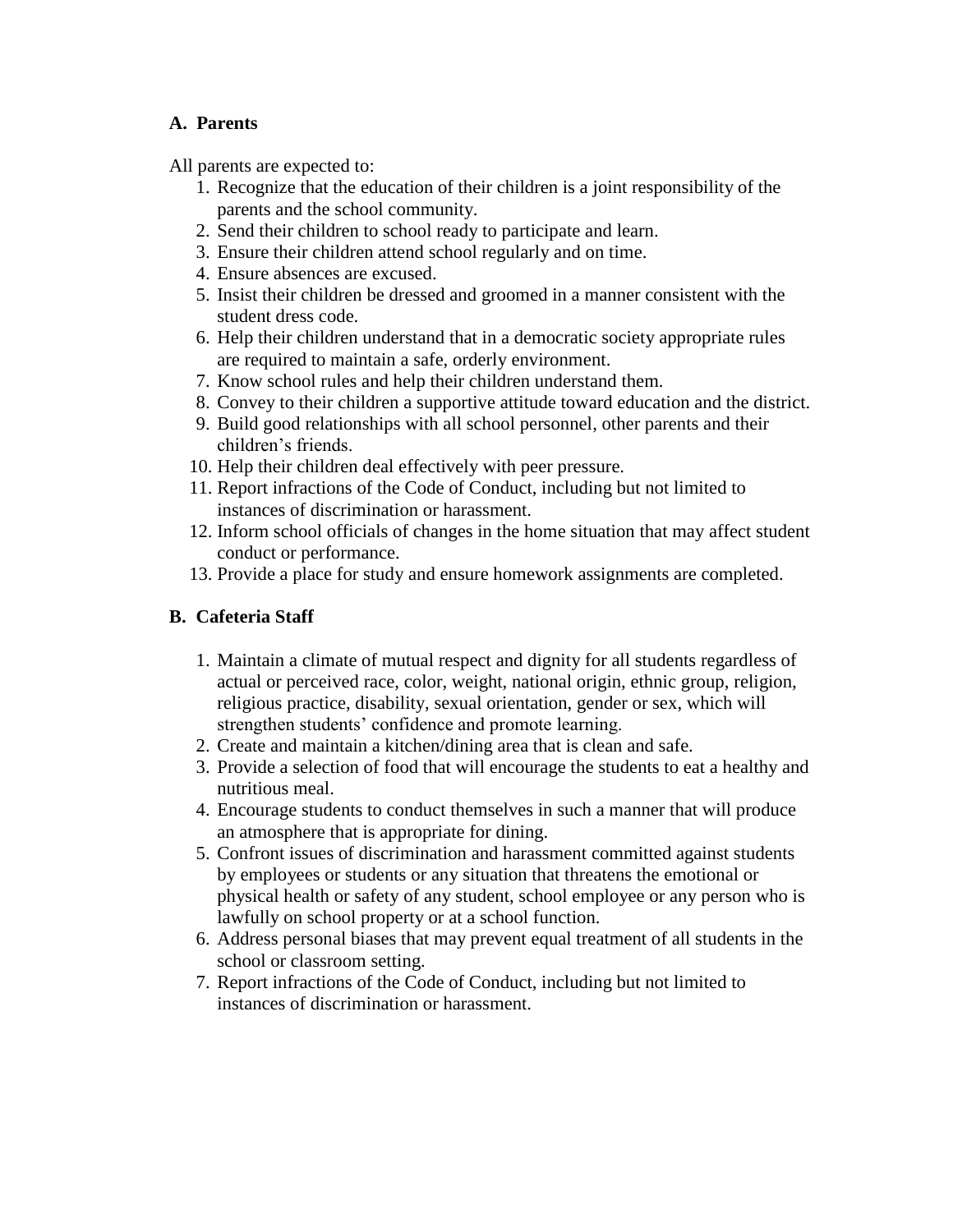#### **A. Parents**

All parents are expected to:

- 1. Recognize that the education of their children is a joint responsibility of the parents and the school community.
- 2. Send their children to school ready to participate and learn.
- 3. Ensure their children attend school regularly and on time.
- 4. Ensure absences are excused.
- 5. Insist their children be dressed and groomed in a manner consistent with the student dress code.
- 6. Help their children understand that in a democratic society appropriate rules are required to maintain a safe, orderly environment.
- 7. Know school rules and help their children understand them.
- 8. Convey to their children a supportive attitude toward education and the district.
- 9. Build good relationships with all school personnel, other parents and their children's friends.
- 10. Help their children deal effectively with peer pressure.
- 11. Report infractions of the Code of Conduct, including but not limited to instances of discrimination or harassment.
- 12. Inform school officials of changes in the home situation that may affect student conduct or performance.
- 13. Provide a place for study and ensure homework assignments are completed.

### **B. Cafeteria Staff**

- 1. Maintain a climate of mutual respect and dignity for all students regardless of actual or perceived race, color, weight, national origin, ethnic group, religion, religious practice, disability, sexual orientation, gender or sex, which will strengthen students' confidence and promote learning.
- 2. Create and maintain a kitchen/dining area that is clean and safe.
- 3. Provide a selection of food that will encourage the students to eat a healthy and nutritious meal.
- 4. Encourage students to conduct themselves in such a manner that will produce an atmosphere that is appropriate for dining.
- 5. Confront issues of discrimination and harassment committed against students by employees or students or any situation that threatens the emotional or physical health or safety of any student, school employee or any person who is lawfully on school property or at a school function.
- 6. Address personal biases that may prevent equal treatment of all students in the school or classroom setting.
- 7. Report infractions of the Code of Conduct, including but not limited to instances of discrimination or harassment.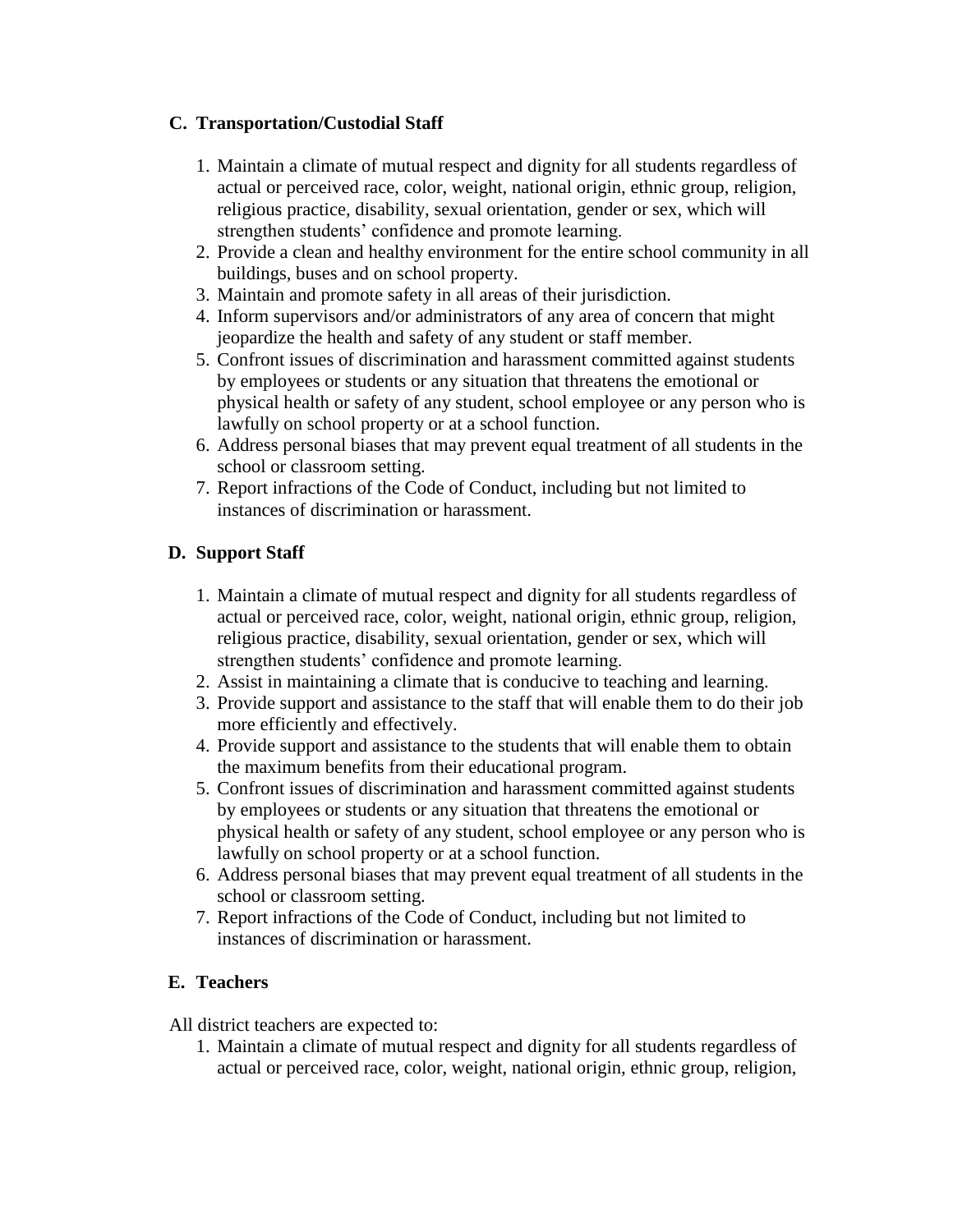#### **C. Transportation/Custodial Staff**

- 1. Maintain a climate of mutual respect and dignity for all students regardless of actual or perceived race, color, weight, national origin, ethnic group, religion, religious practice, disability, sexual orientation, gender or sex, which will strengthen students' confidence and promote learning.
- 2. Provide a clean and healthy environment for the entire school community in all buildings, buses and on school property.
- 3. Maintain and promote safety in all areas of their jurisdiction.
- 4. Inform supervisors and/or administrators of any area of concern that might jeopardize the health and safety of any student or staff member.
- 5. Confront issues of discrimination and harassment committed against students by employees or students or any situation that threatens the emotional or physical health or safety of any student, school employee or any person who is lawfully on school property or at a school function.
- 6. Address personal biases that may prevent equal treatment of all students in the school or classroom setting.
- 7. Report infractions of the Code of Conduct, including but not limited to instances of discrimination or harassment.

#### **D. Support Staff**

- 1. Maintain a climate of mutual respect and dignity for all students regardless of actual or perceived race, color, weight, national origin, ethnic group, religion, religious practice, disability, sexual orientation, gender or sex, which will strengthen students' confidence and promote learning.
- 2. Assist in maintaining a climate that is conducive to teaching and learning.
- 3. Provide support and assistance to the staff that will enable them to do their job more efficiently and effectively.
- 4. Provide support and assistance to the students that will enable them to obtain the maximum benefits from their educational program.
- 5. Confront issues of discrimination and harassment committed against students by employees or students or any situation that threatens the emotional or physical health or safety of any student, school employee or any person who is lawfully on school property or at a school function.
- 6. Address personal biases that may prevent equal treatment of all students in the school or classroom setting.
- 7. Report infractions of the Code of Conduct, including but not limited to instances of discrimination or harassment.

#### **E. Teachers**

All district teachers are expected to:

1. Maintain a climate of mutual respect and dignity for all students regardless of actual or perceived race, color, weight, national origin, ethnic group, religion,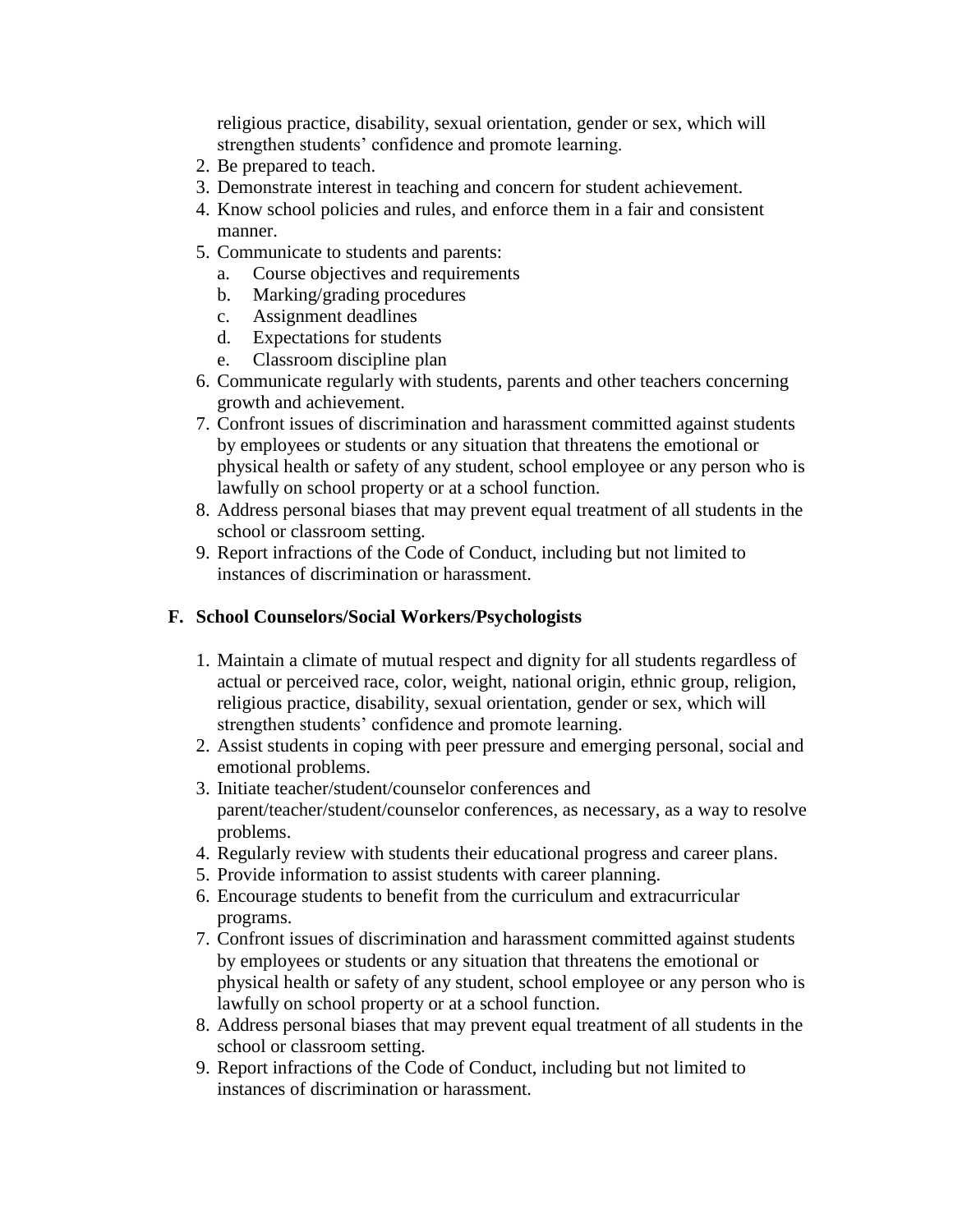religious practice, disability, sexual orientation, gender or sex, which will strengthen students' confidence and promote learning.

- 2. Be prepared to teach.
- 3. Demonstrate interest in teaching and concern for student achievement.
- 4. Know school policies and rules, and enforce them in a fair and consistent manner.
- 5. Communicate to students and parents:
	- a. Course objectives and requirements
	- b. Marking/grading procedures
	- c. Assignment deadlines
	- d. Expectations for students
	- e. Classroom discipline plan
- 6. Communicate regularly with students, parents and other teachers concerning growth and achievement.
- 7. Confront issues of discrimination and harassment committed against students by employees or students or any situation that threatens the emotional or physical health or safety of any student, school employee or any person who is lawfully on school property or at a school function.
- 8. Address personal biases that may prevent equal treatment of all students in the school or classroom setting.
- 9. Report infractions of the Code of Conduct, including but not limited to instances of discrimination or harassment.

#### **F. School Counselors/Social Workers/Psychologists**

- 1. Maintain a climate of mutual respect and dignity for all students regardless of actual or perceived race, color, weight, national origin, ethnic group, religion, religious practice, disability, sexual orientation, gender or sex, which will strengthen students' confidence and promote learning.
- 2. Assist students in coping with peer pressure and emerging personal, social and emotional problems.
- 3. Initiate teacher/student/counselor conferences and parent/teacher/student/counselor conferences, as necessary, as a way to resolve problems.
- 4. Regularly review with students their educational progress and career plans.
- 5. Provide information to assist students with career planning.
- 6. Encourage students to benefit from the curriculum and extracurricular programs.
- 7. Confront issues of discrimination and harassment committed against students by employees or students or any situation that threatens the emotional or physical health or safety of any student, school employee or any person who is lawfully on school property or at a school function.
- 8. Address personal biases that may prevent equal treatment of all students in the school or classroom setting.
- 9. Report infractions of the Code of Conduct, including but not limited to instances of discrimination or harassment.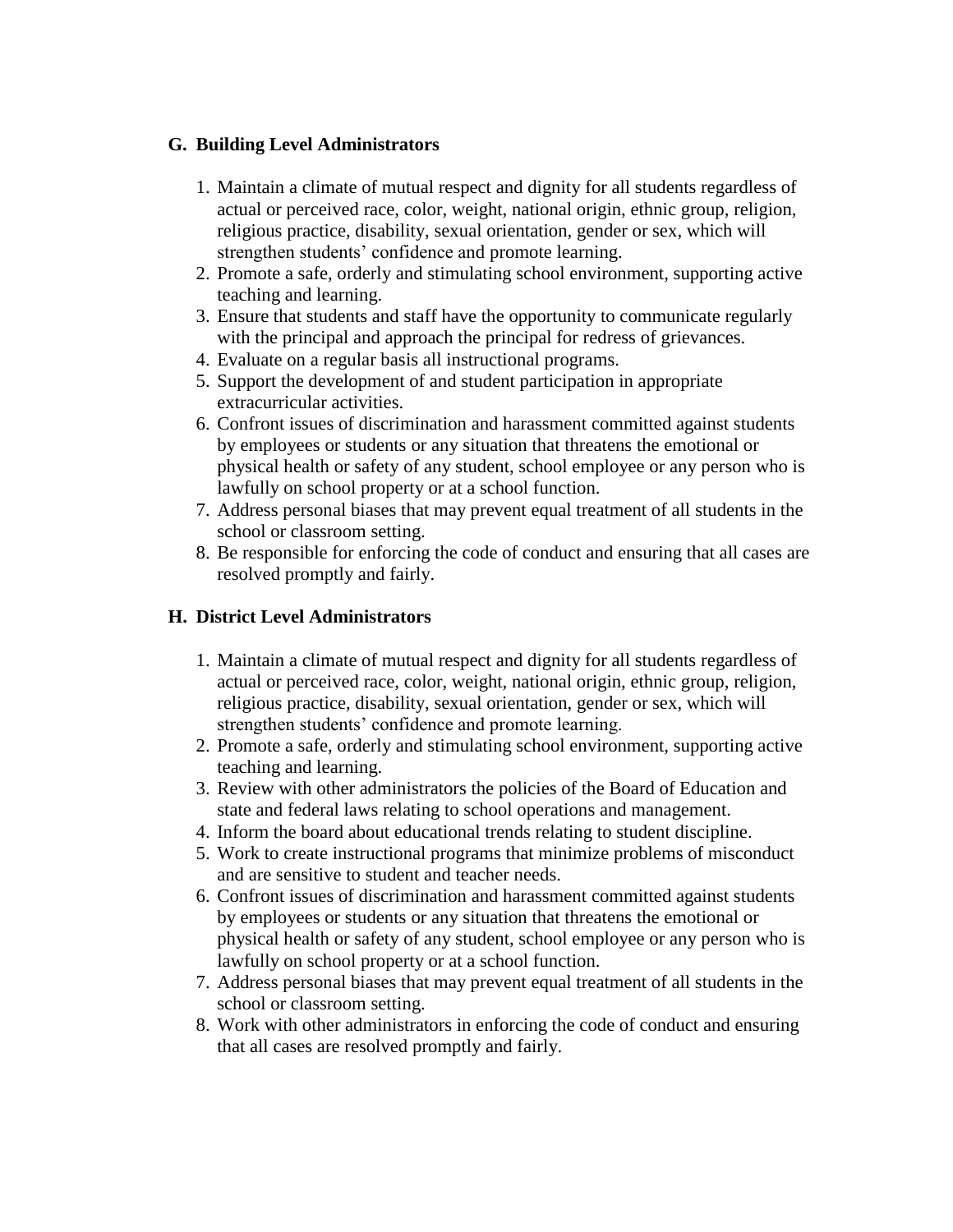#### **G. Building Level Administrators**

- 1. Maintain a climate of mutual respect and dignity for all students regardless of actual or perceived race, color, weight, national origin, ethnic group, religion, religious practice, disability, sexual orientation, gender or sex, which will strengthen students' confidence and promote learning.
- 2. Promote a safe, orderly and stimulating school environment, supporting active teaching and learning.
- 3. Ensure that students and staff have the opportunity to communicate regularly with the principal and approach the principal for redress of grievances.
- 4. Evaluate on a regular basis all instructional programs.
- 5. Support the development of and student participation in appropriate extracurricular activities.
- 6. Confront issues of discrimination and harassment committed against students by employees or students or any situation that threatens the emotional or physical health or safety of any student, school employee or any person who is lawfully on school property or at a school function.
- 7. Address personal biases that may prevent equal treatment of all students in the school or classroom setting.
- 8. Be responsible for enforcing the code of conduct and ensuring that all cases are resolved promptly and fairly.

#### **H. District Level Administrators**

- 1. Maintain a climate of mutual respect and dignity for all students regardless of actual or perceived race, color, weight, national origin, ethnic group, religion, religious practice, disability, sexual orientation, gender or sex, which will strengthen students' confidence and promote learning.
- 2. Promote a safe, orderly and stimulating school environment, supporting active teaching and learning.
- 3. Review with other administrators the policies of the Board of Education and state and federal laws relating to school operations and management.
- 4. Inform the board about educational trends relating to student discipline.
- 5. Work to create instructional programs that minimize problems of misconduct and are sensitive to student and teacher needs.
- 6. Confront issues of discrimination and harassment committed against students by employees or students or any situation that threatens the emotional or physical health or safety of any student, school employee or any person who is lawfully on school property or at a school function.
- 7. Address personal biases that may prevent equal treatment of all students in the school or classroom setting.
- 8. Work with other administrators in enforcing the code of conduct and ensuring that all cases are resolved promptly and fairly.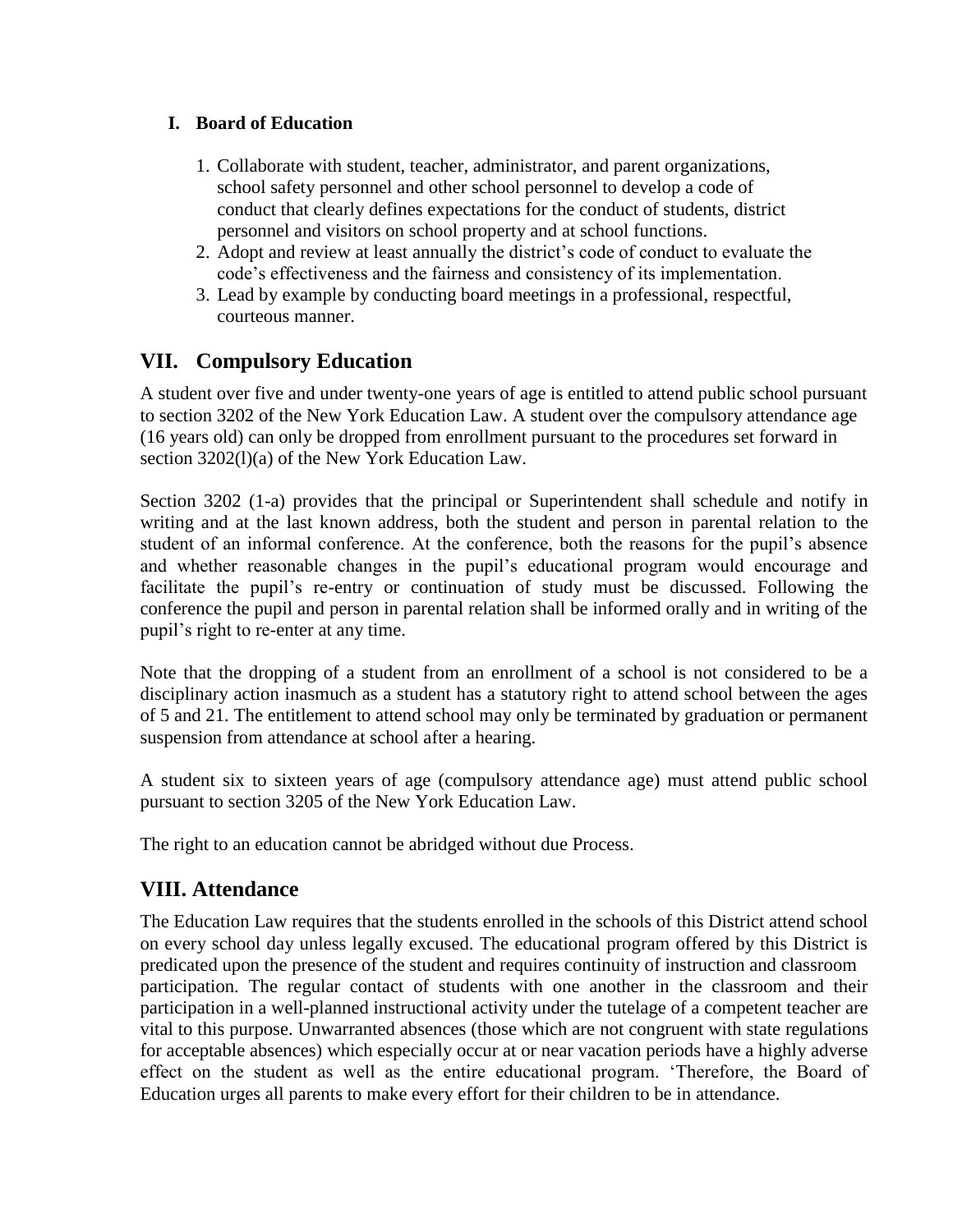#### **I. Board of Education**

- 1. Collaborate with student, teacher, administrator, and parent organizations, school safety personnel and other school personnel to develop a code of conduct that clearly defines expectations for the conduct of students, district personnel and visitors on school property and at school functions.
- 2. Adopt and review at least annually the district's code of conduct to evaluate the code's effectiveness and the fairness and consistency of its implementation.
- 3. Lead by example by conducting board meetings in a professional, respectful, courteous manner.

### **VII. Compulsory Education**

A student over five and under twenty-one years of age is entitled to attend public school pursuant to section 3202 of the New York Education Law. A student over the compulsory attendance age (16 years old) can only be dropped from enrollment pursuant to the procedures set forward in section 3202(l)(a) of the New York Education Law.

Section 3202 (1-a) provides that the principal or Superintendent shall schedule and notify in writing and at the last known address, both the student and person in parental relation to the student of an informal conference. At the conference, both the reasons for the pupil's absence and whether reasonable changes in the pupil's educational program would encourage and facilitate the pupil's re-entry or continuation of study must be discussed. Following the conference the pupil and person in parental relation shall be informed orally and in writing of the pupil's right to re-enter at any time.

Note that the dropping of a student from an enrollment of a school is not considered to be a disciplinary action inasmuch as a student has a statutory right to attend school between the ages of 5 and 21. The entitlement to attend school may only be terminated by graduation or permanent suspension from attendance at school after a hearing.

A student six to sixteen years of age (compulsory attendance age) must attend public school pursuant to section 3205 of the New York Education Law.

The right to an education cannot be abridged without due Process.

### **VIII. Attendance**

The Education Law requires that the students enrolled in the schools of this District attend school on every school day unless legally excused. The educational program offered by this District is predicated upon the presence of the student and requires continuity of instruction and classroom participation. The regular contact of students with one another in the classroom and their participation in a well-planned instructional activity under the tutelage of a competent teacher are vital to this purpose. Unwarranted absences (those which are not congruent with state regulations for acceptable absences) which especially occur at or near vacation periods have a highly adverse effect on the student as well as the entire educational program. 'Therefore, the Board of Education urges all parents to make every effort for their children to be in attendance.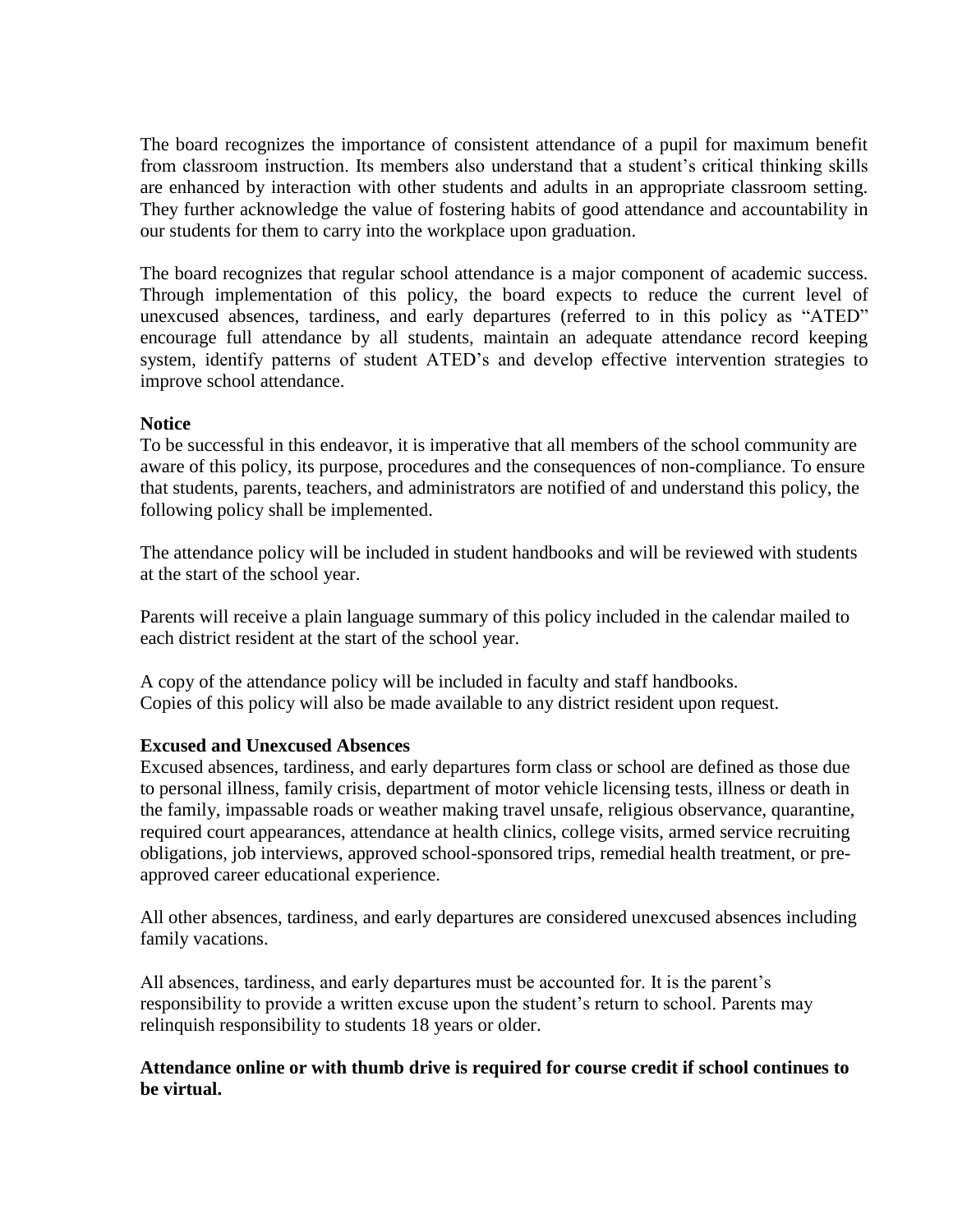The board recognizes the importance of consistent attendance of a pupil for maximum benefit from classroom instruction. Its members also understand that a student's critical thinking skills are enhanced by interaction with other students and adults in an appropriate classroom setting. They further acknowledge the value of fostering habits of good attendance and accountability in our students for them to carry into the workplace upon graduation.

The board recognizes that regular school attendance is a major component of academic success. Through implementation of this policy, the board expects to reduce the current level of unexcused absences, tardiness, and early departures (referred to in this policy as "ATED" encourage full attendance by all students, maintain an adequate attendance record keeping system, identify patterns of student ATED's and develop effective intervention strategies to improve school attendance.

#### **Notice**

To be successful in this endeavor, it is imperative that all members of the school community are aware of this policy, its purpose, procedures and the consequences of non-compliance. To ensure that students, parents, teachers, and administrators are notified of and understand this policy, the following policy shall be implemented.

The attendance policy will be included in student handbooks and will be reviewed with students at the start of the school year.

Parents will receive a plain language summary of this policy included in the calendar mailed to each district resident at the start of the school year.

A copy of the attendance policy will be included in faculty and staff handbooks. Copies of this policy will also be made available to any district resident upon request.

#### **Excused and Unexcused Absences**

Excused absences, tardiness, and early departures form class or school are defined as those due to personal illness, family crisis, department of motor vehicle licensing tests, illness or death in the family, impassable roads or weather making travel unsafe, religious observance, quarantine, required court appearances, attendance at health clinics, college visits, armed service recruiting obligations, job interviews, approved school-sponsored trips, remedial health treatment, or preapproved career educational experience.

All other absences, tardiness, and early departures are considered unexcused absences including family vacations.

All absences, tardiness, and early departures must be accounted for. It is the parent's responsibility to provide a written excuse upon the student's return to school. Parents may relinquish responsibility to students 18 years or older.

#### **Attendance online or with thumb drive is required for course credit if school continues to be virtual.**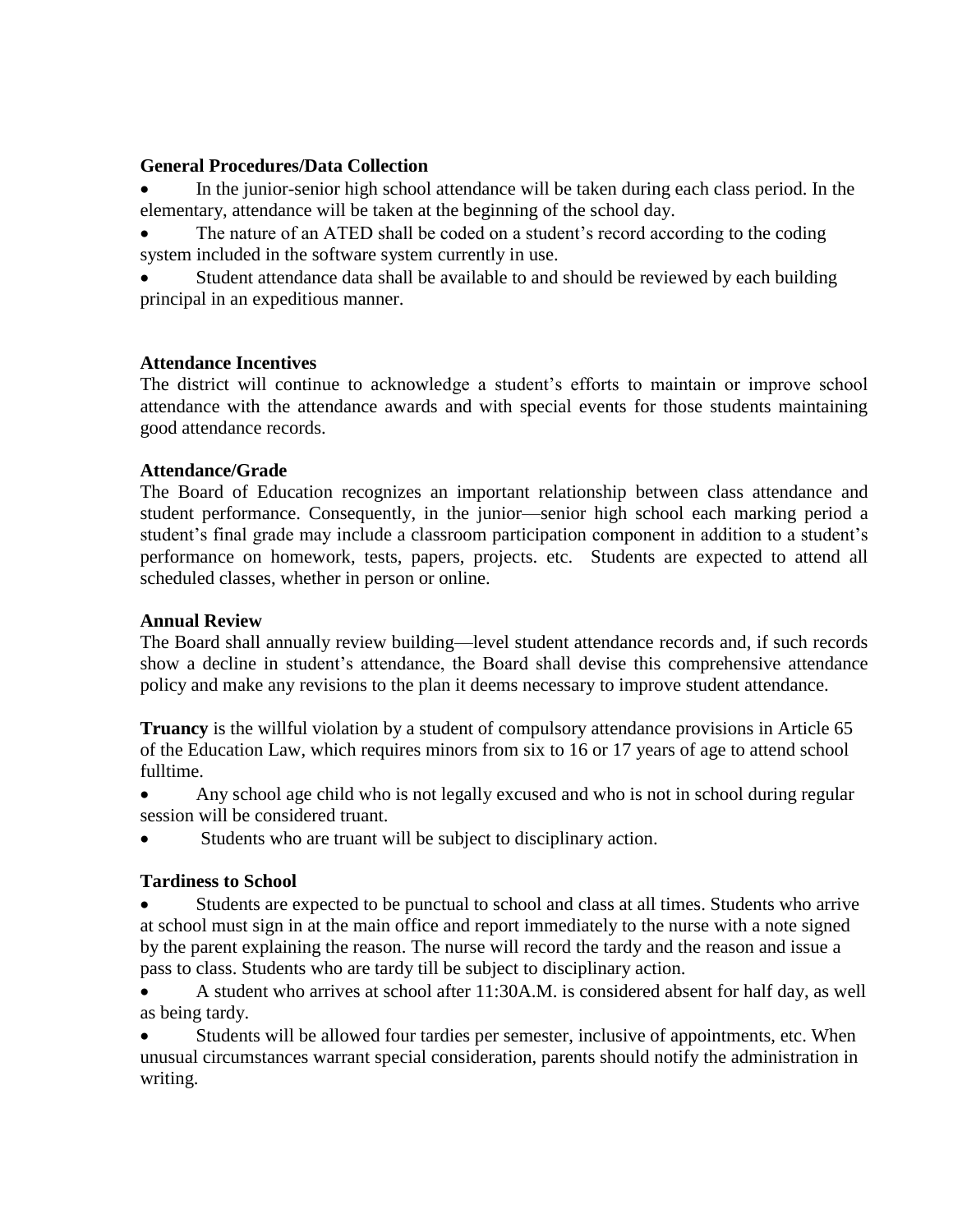#### **General Procedures/Data Collection**

• In the junior-senior high school attendance will be taken during each class period. In the elementary, attendance will be taken at the beginning of the school day.

The nature of an ATED shall be coded on a student's record according to the coding system included in the software system currently in use.

Student attendance data shall be available to and should be reviewed by each building principal in an expeditious manner.

#### **Attendance Incentives**

The district will continue to acknowledge a student's efforts to maintain or improve school attendance with the attendance awards and with special events for those students maintaining good attendance records.

#### **Attendance/Grade**

The Board of Education recognizes an important relationship between class attendance and student performance. Consequently, in the junior—senior high school each marking period a student's final grade may include a classroom participation component in addition to a student's performance on homework, tests, papers, projects. etc. Students are expected to attend all scheduled classes, whether in person or online.

#### **Annual Review**

The Board shall annually review building—level student attendance records and, if such records show a decline in student's attendance, the Board shall devise this comprehensive attendance policy and make any revisions to the plan it deems necessary to improve student attendance.

**Truancy** is the willful violation by a student of compulsory attendance provisions in Article 65 of the Education Law, which requires minors from six to 16 or 17 years of age to attend school fulltime.

• Any school age child who is not legally excused and who is not in school during regular session will be considered truant.

Students who are truant will be subject to disciplinary action.

#### **Tardiness to School**

• Students are expected to be punctual to school and class at all times. Students who arrive at school must sign in at the main office and report immediately to the nurse with a note signed by the parent explaining the reason. The nurse will record the tardy and the reason and issue a pass to class. Students who are tardy till be subject to disciplinary action.

• A student who arrives at school after 11:30A.M. is considered absent for half day, as well as being tardy.

• Students will be allowed four tardies per semester, inclusive of appointments, etc. When unusual circumstances warrant special consideration, parents should notify the administration in writing.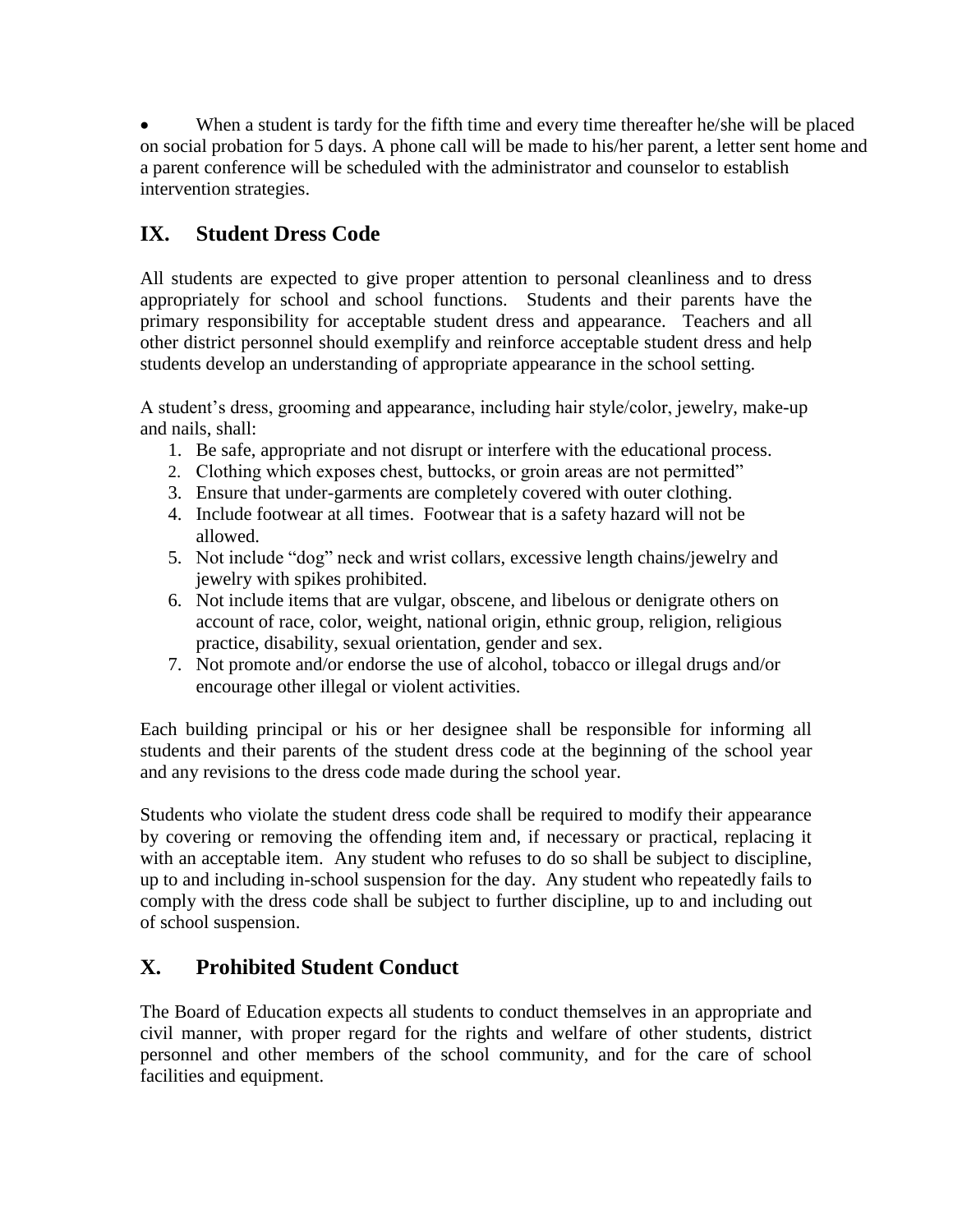When a student is tardy for the fifth time and every time thereafter he/she will be placed on social probation for 5 days. A phone call will be made to his/her parent, a letter sent home and a parent conference will be scheduled with the administrator and counselor to establish intervention strategies.

## **IX. Student Dress Code**

All students are expected to give proper attention to personal cleanliness and to dress appropriately for school and school functions. Students and their parents have the primary responsibility for acceptable student dress and appearance. Teachers and all other district personnel should exemplify and reinforce acceptable student dress and help students develop an understanding of appropriate appearance in the school setting.

A student's dress, grooming and appearance, including hair style/color, jewelry, make-up and nails, shall:

- 1. Be safe, appropriate and not disrupt or interfere with the educational process.
- 2. Clothing which exposes chest, buttocks, or groin areas are not permitted"
- 3. Ensure that under-garments are completely covered with outer clothing.
- 4. Include footwear at all times. Footwear that is a safety hazard will not be allowed.
- 5. Not include "dog" neck and wrist collars, excessive length chains/jewelry and jewelry with spikes prohibited.
- 6. Not include items that are vulgar, obscene, and libelous or denigrate others on account of race, color, weight, national origin, ethnic group, religion, religious practice, disability, sexual orientation, gender and sex.
- 7. Not promote and/or endorse the use of alcohol, tobacco or illegal drugs and/or encourage other illegal or violent activities.

Each building principal or his or her designee shall be responsible for informing all students and their parents of the student dress code at the beginning of the school year and any revisions to the dress code made during the school year.

Students who violate the student dress code shall be required to modify their appearance by covering or removing the offending item and, if necessary or practical, replacing it with an acceptable item. Any student who refuses to do so shall be subject to discipline, up to and including in-school suspension for the day. Any student who repeatedly fails to comply with the dress code shall be subject to further discipline, up to and including out of school suspension.

### **X. Prohibited Student Conduct**

The Board of Education expects all students to conduct themselves in an appropriate and civil manner, with proper regard for the rights and welfare of other students, district personnel and other members of the school community, and for the care of school facilities and equipment.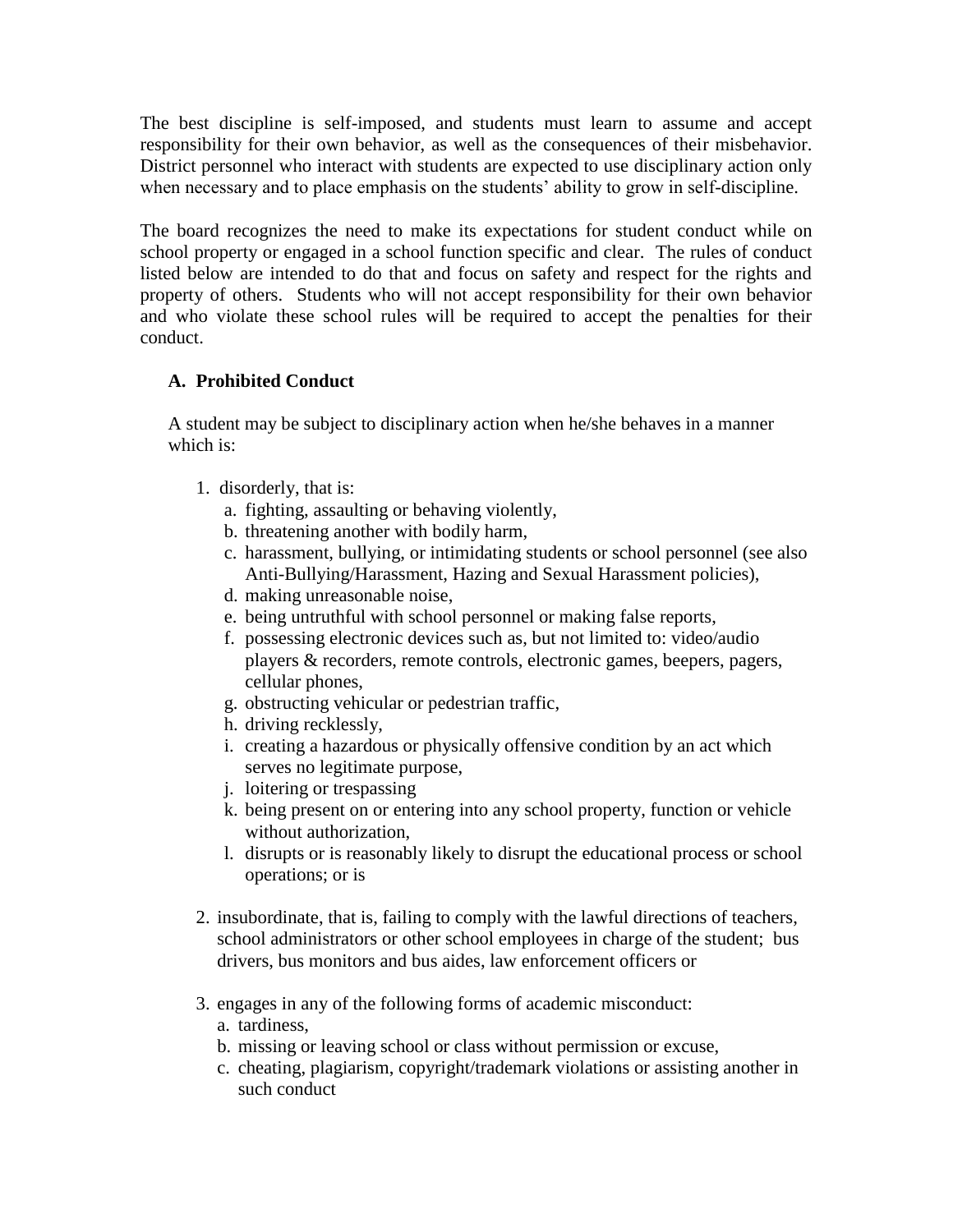The best discipline is self-imposed, and students must learn to assume and accept responsibility for their own behavior, as well as the consequences of their misbehavior. District personnel who interact with students are expected to use disciplinary action only when necessary and to place emphasis on the students' ability to grow in self-discipline.

The board recognizes the need to make its expectations for student conduct while on school property or engaged in a school function specific and clear. The rules of conduct listed below are intended to do that and focus on safety and respect for the rights and property of others. Students who will not accept responsibility for their own behavior and who violate these school rules will be required to accept the penalties for their conduct.

#### **A. Prohibited Conduct**

A student may be subject to disciplinary action when he/she behaves in a manner which is:

- 1. disorderly, that is:
	- a. fighting, assaulting or behaving violently,
	- b. threatening another with bodily harm,
	- c. harassment, bullying, or intimidating students or school personnel (see also Anti-Bullying/Harassment, Hazing and Sexual Harassment policies),
	- d. making unreasonable noise,
	- e. being untruthful with school personnel or making false reports,
	- f. possessing electronic devices such as, but not limited to: video/audio players & recorders, remote controls, electronic games, beepers, pagers, cellular phones,
	- g. obstructing vehicular or pedestrian traffic,
	- h. driving recklessly,
	- i. creating a hazardous or physically offensive condition by an act which serves no legitimate purpose,
	- j. loitering or trespassing
	- k. being present on or entering into any school property, function or vehicle without authorization,
	- l. disrupts or is reasonably likely to disrupt the educational process or school operations; or is
- 2. insubordinate, that is, failing to comply with the lawful directions of teachers, school administrators or other school employees in charge of the student; bus drivers, bus monitors and bus aides, law enforcement officers or
- 3. engages in any of the following forms of academic misconduct:
	- a. tardiness,
	- b. missing or leaving school or class without permission or excuse,
	- c. cheating, plagiarism, copyright/trademark violations or assisting another in such conduct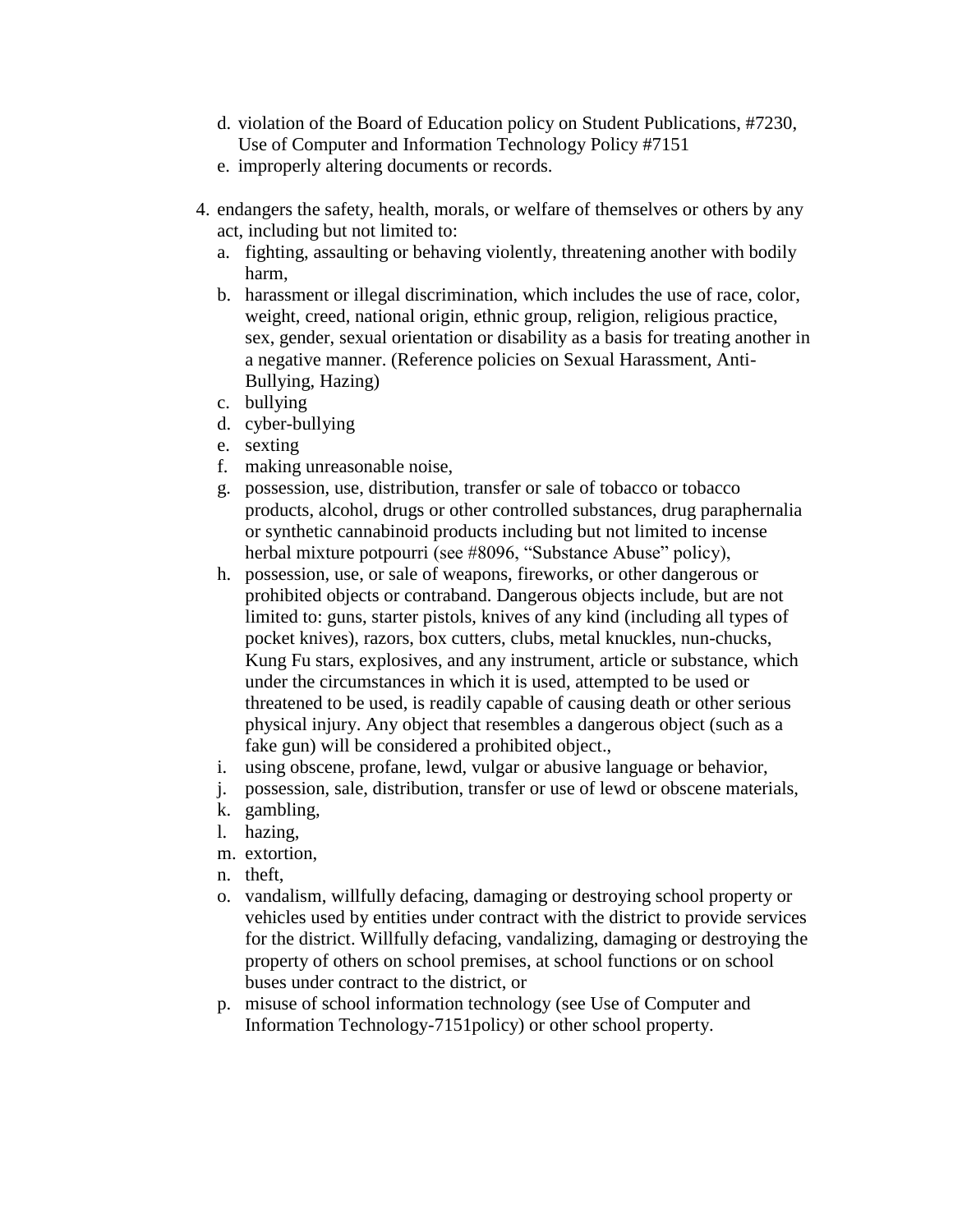- d. violation of the Board of Education policy on Student Publications, #7230, Use of Computer and Information Technology Policy #7151
- e. improperly altering documents or records.
- 4. endangers the safety, health, morals, or welfare of themselves or others by any act, including but not limited to:
	- a. fighting, assaulting or behaving violently, threatening another with bodily harm,
	- b. harassment or illegal discrimination, which includes the use of race, color, weight, creed, national origin, ethnic group, religion, religious practice, sex, gender, sexual orientation or disability as a basis for treating another in a negative manner. (Reference policies on Sexual Harassment, Anti-Bullying, Hazing)
	- c. bullying
	- d. cyber-bullying
	- e. sexting
	- f. making unreasonable noise,
	- g. possession, use, distribution, transfer or sale of tobacco or tobacco products, alcohol, drugs or other controlled substances, drug paraphernalia or synthetic cannabinoid products including but not limited to incense herbal mixture potpourri (see #8096, "Substance Abuse" policy),
	- h. possession, use, or sale of weapons, fireworks, or other dangerous or prohibited objects or contraband. Dangerous objects include, but are not limited to: guns, starter pistols, knives of any kind (including all types of pocket knives), razors, box cutters, clubs, metal knuckles, nun-chucks, Kung Fu stars, explosives, and any instrument, article or substance, which under the circumstances in which it is used, attempted to be used or threatened to be used, is readily capable of causing death or other serious physical injury. Any object that resembles a dangerous object (such as a fake gun) will be considered a prohibited object.,
	- i. using obscene, profane, lewd, vulgar or abusive language or behavior,
	- j. possession, sale, distribution, transfer or use of lewd or obscene materials,
	- k. gambling,
	- l. hazing,
	- m. extortion,
	- n. theft,
	- o. vandalism, willfully defacing, damaging or destroying school property or vehicles used by entities under contract with the district to provide services for the district. Willfully defacing, vandalizing, damaging or destroying the property of others on school premises, at school functions or on school buses under contract to the district, or
	- p. misuse of school information technology (see Use of Computer and Information Technology-7151policy) or other school property.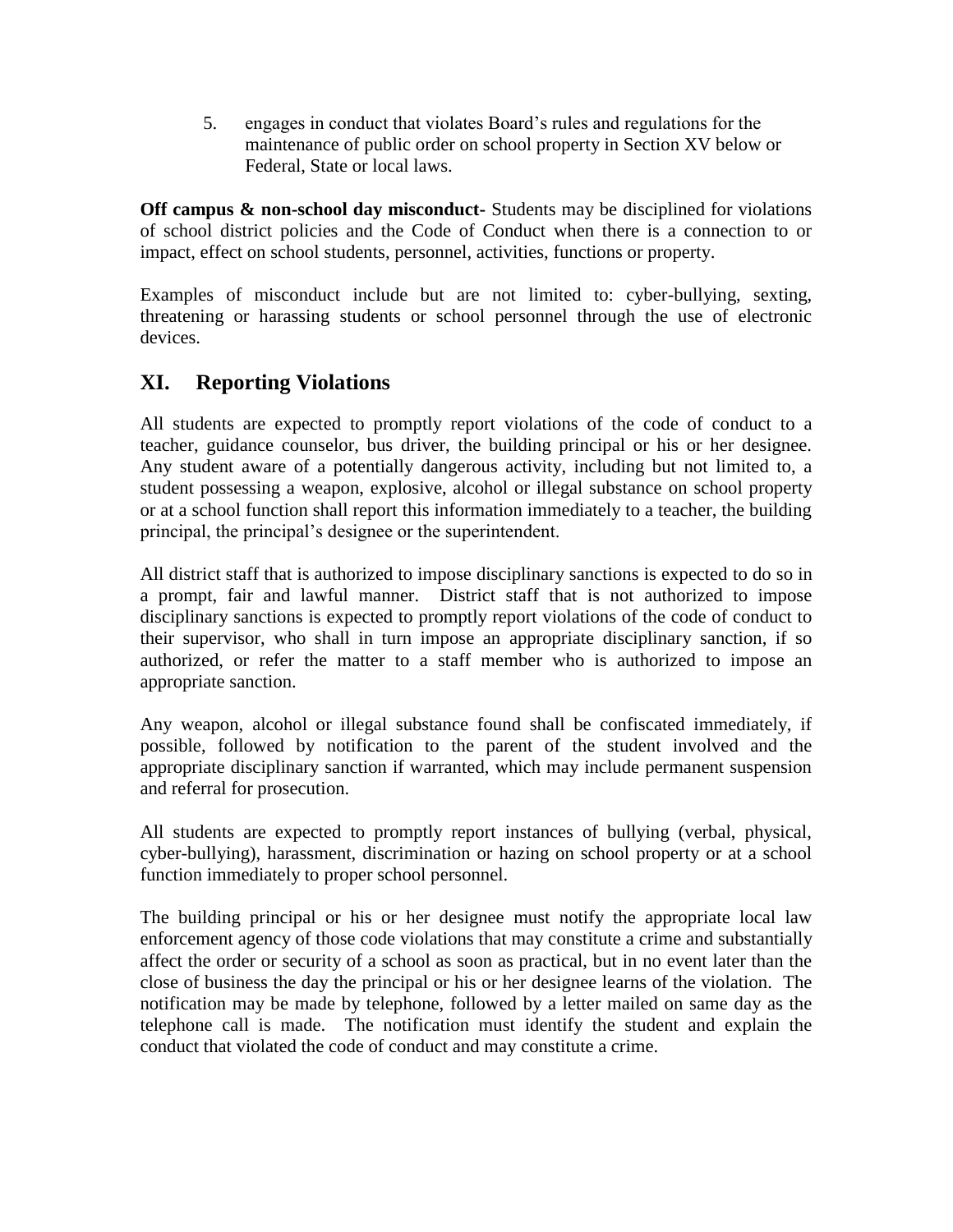5. engages in conduct that violates Board's rules and regulations for the maintenance of public order on school property in Section XV below or Federal, State or local laws.

**Off campus & non-school day misconduct-** Students may be disciplined for violations of school district policies and the Code of Conduct when there is a connection to or impact, effect on school students, personnel, activities, functions or property.

Examples of misconduct include but are not limited to: cyber-bullying, sexting, threatening or harassing students or school personnel through the use of electronic devices.

### **XI. Reporting Violations**

All students are expected to promptly report violations of the code of conduct to a teacher, guidance counselor, bus driver, the building principal or his or her designee. Any student aware of a potentially dangerous activity, including but not limited to, a student possessing a weapon, explosive, alcohol or illegal substance on school property or at a school function shall report this information immediately to a teacher, the building principal, the principal's designee or the superintendent.

All district staff that is authorized to impose disciplinary sanctions is expected to do so in a prompt, fair and lawful manner. District staff that is not authorized to impose disciplinary sanctions is expected to promptly report violations of the code of conduct to their supervisor, who shall in turn impose an appropriate disciplinary sanction, if so authorized, or refer the matter to a staff member who is authorized to impose an appropriate sanction.

Any weapon, alcohol or illegal substance found shall be confiscated immediately, if possible, followed by notification to the parent of the student involved and the appropriate disciplinary sanction if warranted, which may include permanent suspension and referral for prosecution.

All students are expected to promptly report instances of bullying (verbal, physical, cyber-bullying), harassment, discrimination or hazing on school property or at a school function immediately to proper school personnel.

The building principal or his or her designee must notify the appropriate local law enforcement agency of those code violations that may constitute a crime and substantially affect the order or security of a school as soon as practical, but in no event later than the close of business the day the principal or his or her designee learns of the violation. The notification may be made by telephone, followed by a letter mailed on same day as the telephone call is made. The notification must identify the student and explain the conduct that violated the code of conduct and may constitute a crime.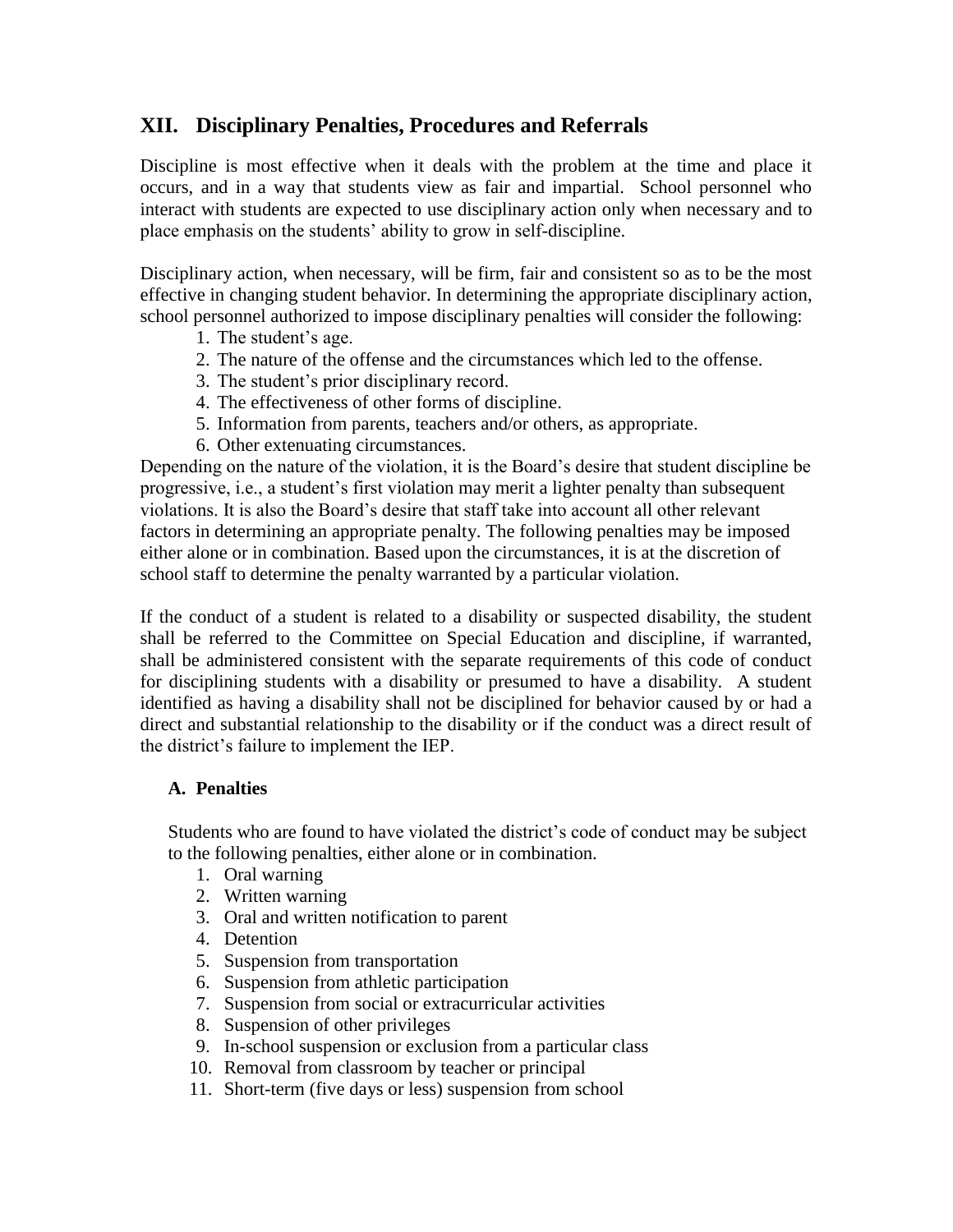### **XII. Disciplinary Penalties, Procedures and Referrals**

Discipline is most effective when it deals with the problem at the time and place it occurs, and in a way that students view as fair and impartial. School personnel who interact with students are expected to use disciplinary action only when necessary and to place emphasis on the students' ability to grow in self-discipline.

Disciplinary action, when necessary, will be firm, fair and consistent so as to be the most effective in changing student behavior. In determining the appropriate disciplinary action, school personnel authorized to impose disciplinary penalties will consider the following:

- 1. The student's age.
- 2. The nature of the offense and the circumstances which led to the offense.
- 3. The student's prior disciplinary record.
- 4. The effectiveness of other forms of discipline.
- 5. Information from parents, teachers and/or others, as appropriate.
- 6. Other extenuating circumstances.

Depending on the nature of the violation, it is the Board's desire that student discipline be progressive, i.e., a student's first violation may merit a lighter penalty than subsequent violations. It is also the Board's desire that staff take into account all other relevant factors in determining an appropriate penalty. The following penalties may be imposed either alone or in combination. Based upon the circumstances, it is at the discretion of school staff to determine the penalty warranted by a particular violation.

If the conduct of a student is related to a disability or suspected disability, the student shall be referred to the Committee on Special Education and discipline, if warranted, shall be administered consistent with the separate requirements of this code of conduct for disciplining students with a disability or presumed to have a disability. A student identified as having a disability shall not be disciplined for behavior caused by or had a direct and substantial relationship to the disability or if the conduct was a direct result of the district's failure to implement the IEP.

#### **A. Penalties**

Students who are found to have violated the district's code of conduct may be subject to the following penalties, either alone or in combination.

- 1. Oral warning
- 2. Written warning
- 3. Oral and written notification to parent
- 4. Detention
- 5. Suspension from transportation
- 6. Suspension from athletic participation
- 7. Suspension from social or extracurricular activities
- 8. Suspension of other privileges
- 9. In-school suspension or exclusion from a particular class
- 10. Removal from classroom by teacher or principal
- 11. Short-term (five days or less) suspension from school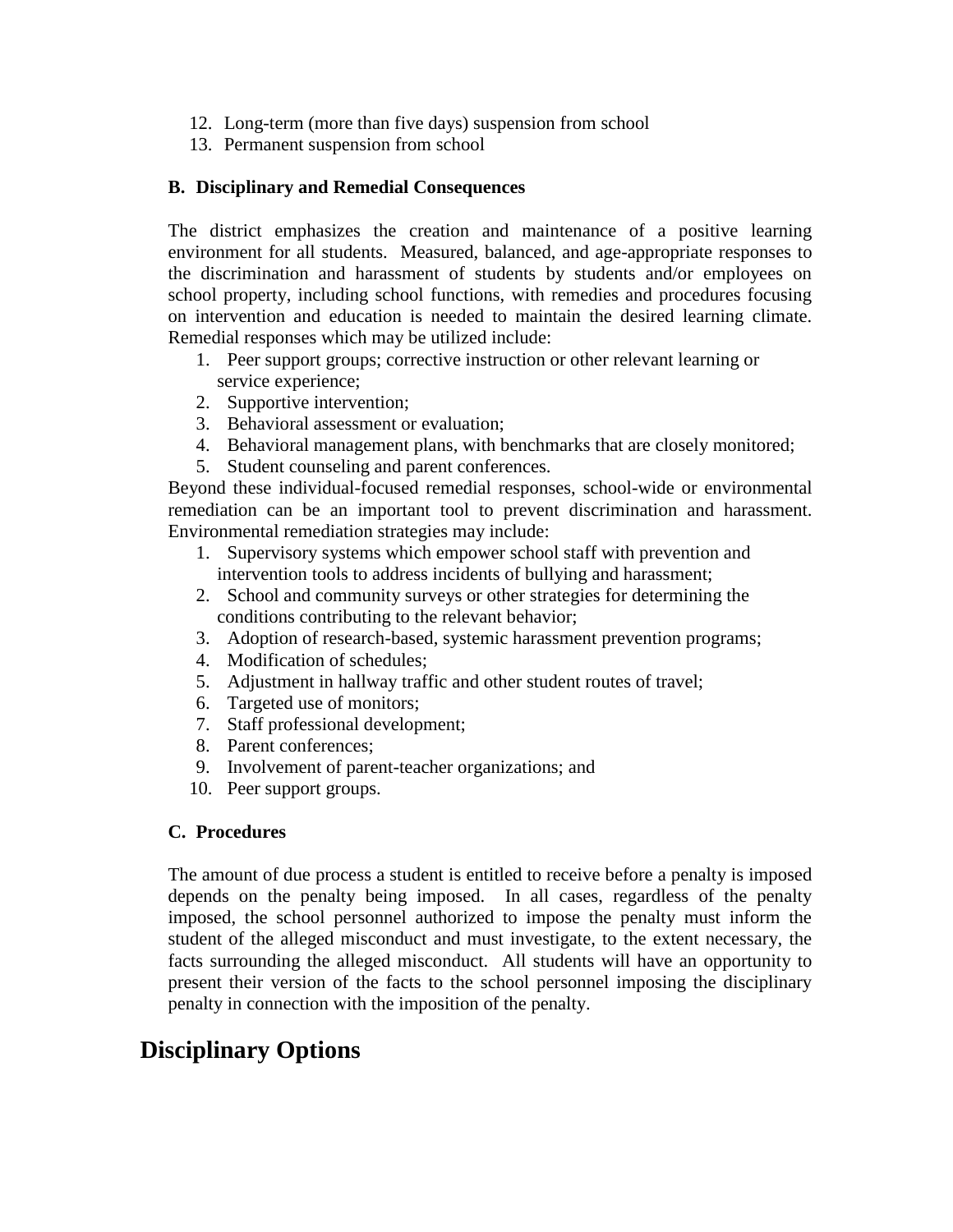- 12. Long-term (more than five days) suspension from school
- 13. Permanent suspension from school

#### **B. Disciplinary and Remedial Consequences**

The district emphasizes the creation and maintenance of a positive learning environment for all students. Measured, balanced, and age-appropriate responses to the discrimination and harassment of students by students and/or employees on school property, including school functions, with remedies and procedures focusing on intervention and education is needed to maintain the desired learning climate. Remedial responses which may be utilized include:

- 1. Peer support groups; corrective instruction or other relevant learning or service experience;
- 2. Supportive intervention;
- 3. Behavioral assessment or evaluation;
- 4. Behavioral management plans, with benchmarks that are closely monitored;
- 5. Student counseling and parent conferences.

Beyond these individual-focused remedial responses, school-wide or environmental remediation can be an important tool to prevent discrimination and harassment. Environmental remediation strategies may include:

- 1. Supervisory systems which empower school staff with prevention and intervention tools to address incidents of bullying and harassment;
- 2. School and community surveys or other strategies for determining the conditions contributing to the relevant behavior;
- 3. Adoption of research-based, systemic harassment prevention programs;
- 4. Modification of schedules;
- 5. Adjustment in hallway traffic and other student routes of travel;
- 6. Targeted use of monitors;
- 7. Staff professional development;
- 8. Parent conferences;
- 9. Involvement of parent-teacher organizations; and
- 10. Peer support groups.

#### **C. Procedures**

The amount of due process a student is entitled to receive before a penalty is imposed depends on the penalty being imposed. In all cases, regardless of the penalty imposed, the school personnel authorized to impose the penalty must inform the student of the alleged misconduct and must investigate, to the extent necessary, the facts surrounding the alleged misconduct. All students will have an opportunity to present their version of the facts to the school personnel imposing the disciplinary penalty in connection with the imposition of the penalty.

# **Disciplinary Options**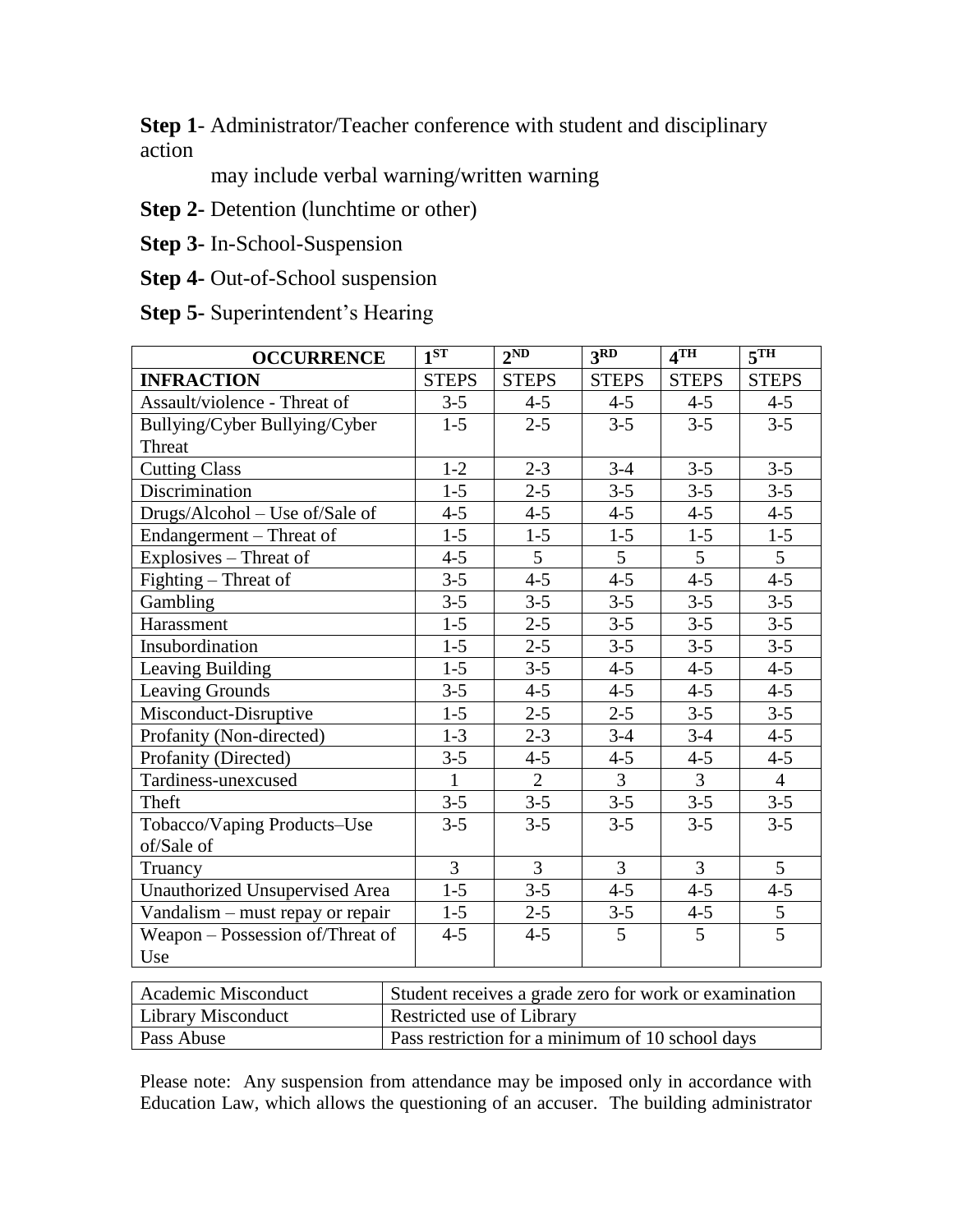**Step 1**- Administrator/Teacher conference with student and disciplinary action

may include verbal warning/written warning

**Step 2-** Detention (lunchtime or other)

**Step 3-** In-School-Suspension

**Step 4-** Out-of-School suspension

**Step 5-** Superintendent's Hearing

| <b>OCCURRENCE</b>                | 1ST                                                   | 2ND            | $\overline{3RD}$ | 4TH            | 5TH             |  |
|----------------------------------|-------------------------------------------------------|----------------|------------------|----------------|-----------------|--|
| <b>INFRACTION</b>                | <b>STEPS</b>                                          | <b>STEPS</b>   | <b>STEPS</b>     | <b>STEPS</b>   | <b>STEPS</b>    |  |
| Assault/violence - Threat of     | $3 - 5$                                               | $4 - 5$        | $4 - 5$          | $4 - 5$        | $4 - 5$         |  |
| Bullying/Cyber Bullying/Cyber    | $1-5$                                                 | $2 - 5$        | $3 - 5$          | $3 - 5$        | $3 - 5$         |  |
| Threat                           |                                                       |                |                  |                |                 |  |
| <b>Cutting Class</b>             | $1 - 2$                                               | $2 - 3$        | $3 - 4$          | $3 - 5$        | $3 - 5$         |  |
| Discrimination                   | $1-5$                                                 | $2 - 5$        | $3-5$            | $3 - 5$        | $3 - 5$         |  |
| Drugs/Alcohol - Use of/Sale of   | $4 - 5$                                               | $4 - 5$        | $4 - 5$          | $4 - 5$        | $4 - 5$         |  |
| Endangerment – Threat of         | $1-5$                                                 | $1-5$          | $1 - 5$          | $1 - 5$        | $1 - 5$         |  |
| Explosives - Threat of           | $4 - 5$                                               | $\overline{5}$ | $\overline{5}$   | $\overline{5}$ | $\overline{5}$  |  |
| Fighting – Threat of             | $3 - 5$                                               | $4 - 5$        | $4 - 5$          | $4 - 5$        | $4 - 5$         |  |
| Gambling                         | $3 - 5$                                               | $3 - 5$        | $3 - 5$          | $3 - 5$        | $3 - 5$         |  |
| Harassment                       | $1 - 5$                                               | $2 - 5$        | $3 - 5$          | $3 - 5$        | $3 - 5$         |  |
| Insubordination                  | $1 - 5$                                               | $2 - 5$        | $3 - 5$          | $3 - 5$        | $3 - 5$         |  |
| Leaving Building                 | $1 - 5$                                               | $3 - 5$        | $4 - 5$          | $4 - 5$        | $4 - 5$         |  |
| Leaving Grounds                  | $3 - 5$                                               | $4 - 5$        | $4 - 5$          | $4 - 5$        | $4 - 5$         |  |
| Misconduct-Disruptive            | $1-5$                                                 | $2 - 5$        | $2 - 5$          | $3 - 5$        | $3 - 5$         |  |
| Profanity (Non-directed)         | $1-3$                                                 | $2 - 3$        | $3 - 4$          | $3-4$          | $4 - 5$         |  |
| Profanity (Directed)             | $3 - 5$                                               | $4 - 5$        | $4 - 5$          | $4 - 5$        | $4 - 5$         |  |
| Tardiness-unexcused              | $\mathbf{1}$                                          | $\overline{2}$ | $\overline{3}$   | $\overline{3}$ | $\overline{4}$  |  |
| Theft                            | $3 - 5$                                               | $3 - 5$        | $3 - 5$          | $3 - 5$        | $3 - 5$         |  |
| Tobacco/Vaping Products-Use      | $3 - 5$                                               | $3 - 5$        | $3 - 5$          | $3 - 5$        | $3 - 5$         |  |
| of/Sale of                       |                                                       |                |                  |                |                 |  |
| Truancy                          | $\overline{3}$                                        | 3              | 3                | 3              | $5\overline{)}$ |  |
| Unauthorized Unsupervised Area   | $1-5$                                                 | $3 - 5$        | $4 - 5$          | $4 - 5$        | $4 - 5$         |  |
| Vandalism – must repay or repair | $1 - 5$                                               | $2 - 5$        | $3 - 5$          | $4 - 5$        | 5               |  |
| Weapon – Possession of/Threat of | $4 - 5$                                               | $4 - 5$        | 5                | 5              | $\overline{5}$  |  |
| Use                              |                                                       |                |                  |                |                 |  |
|                                  |                                                       |                |                  |                |                 |  |
| Academic Misconduct              | Student receives a grade zero for work or examination |                |                  |                |                 |  |

| Academic Misconduct | Student receives a grade zero for work or examination |
|---------------------|-------------------------------------------------------|
| Library Misconduct  | Restricted use of Library                             |
| Pass Abuse          | Pass restriction for a minimum of 10 school days      |

Please note: Any suspension from attendance may be imposed only in accordance with Education Law, which allows the questioning of an accuser. The building administrator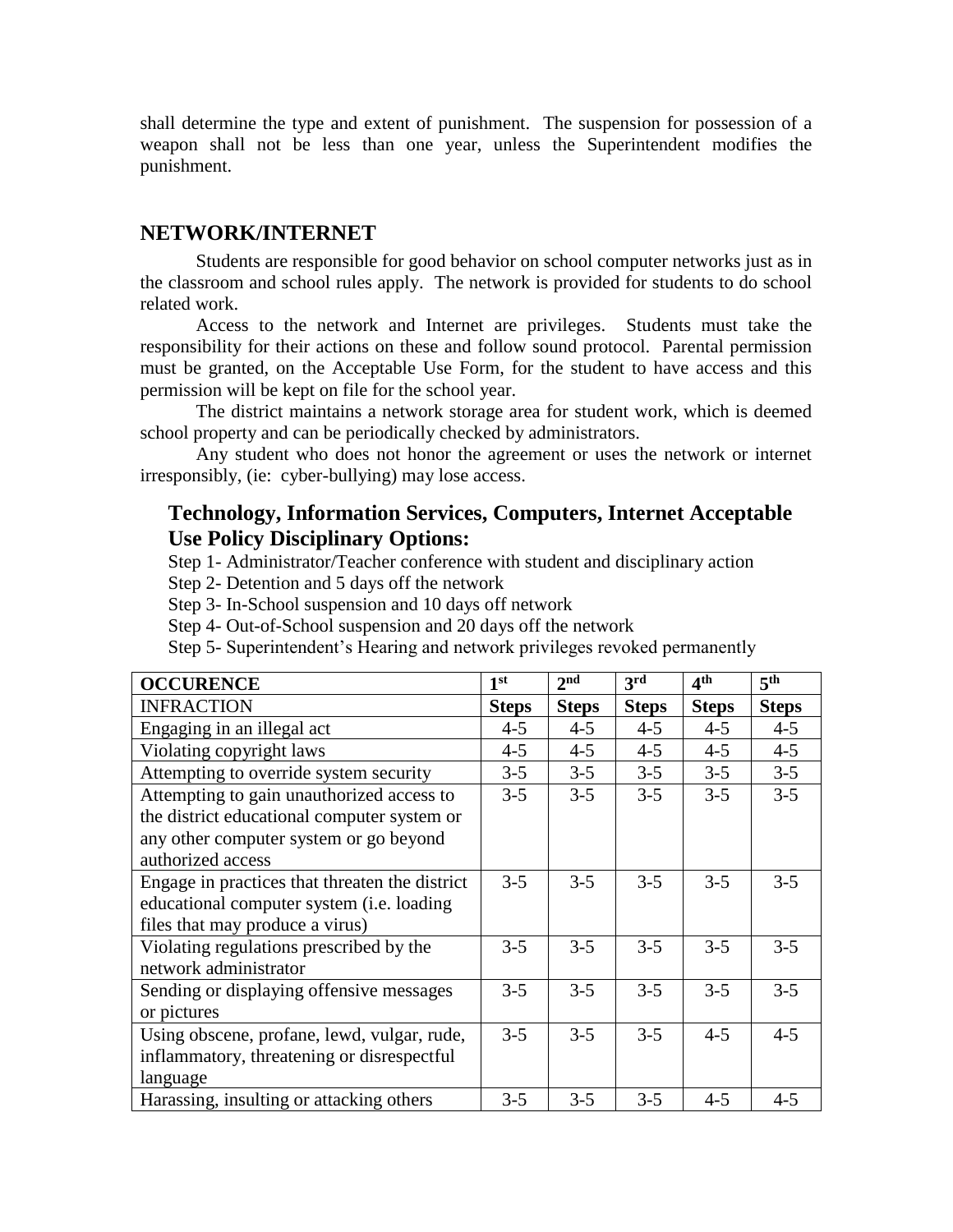shall determine the type and extent of punishment. The suspension for possession of a weapon shall not be less than one year, unless the Superintendent modifies the punishment.

#### **NETWORK/INTERNET**

Students are responsible for good behavior on school computer networks just as in the classroom and school rules apply. The network is provided for students to do school related work.

Access to the network and Internet are privileges. Students must take the responsibility for their actions on these and follow sound protocol. Parental permission must be granted, on the Acceptable Use Form, for the student to have access and this permission will be kept on file for the school year.

The district maintains a network storage area for student work, which is deemed school property and can be periodically checked by administrators.

Any student who does not honor the agreement or uses the network or internet irresponsibly, (ie: cyber-bullying) may lose access.

#### **Technology, Information Services, Computers, Internet Acceptable Use Policy Disciplinary Options:**

Step 1- Administrator/Teacher conference with student and disciplinary action

Step 2- Detention and 5 days off the network

Step 3- In-School suspension and 10 days off network

Step 4- Out-of-School suspension and 20 days off the network

Step 5- Superintendent's Hearing and network privileges revoked permanently

| <b>OCCURENCE</b>                               | 1 <sup>st</sup> | 2 <sub>nd</sub> | 3rd          | 4 <sup>th</sup> | 5 <sup>th</sup> |
|------------------------------------------------|-----------------|-----------------|--------------|-----------------|-----------------|
| <b>INFRACTION</b>                              | <b>Steps</b>    | <b>Steps</b>    | <b>Steps</b> | <b>Steps</b>    | <b>Steps</b>    |
| Engaging in an illegal act                     | $4 - 5$         | $4 - 5$         | $4 - 5$      | $4 - 5$         | $4 - 5$         |
| Violating copyright laws                       | $4 - 5$         | $4 - 5$         | $4 - 5$      | $4 - 5$         | $4 - 5$         |
| Attempting to override system security         | $3 - 5$         | $3 - 5$         | $3 - 5$      | $3 - 5$         | $3 - 5$         |
| Attempting to gain unauthorized access to      | $3 - 5$         | $3 - 5$         | $3 - 5$      | $3 - 5$         | $3 - 5$         |
| the district educational computer system or    |                 |                 |              |                 |                 |
| any other computer system or go beyond         |                 |                 |              |                 |                 |
| authorized access                              |                 |                 |              |                 |                 |
| Engage in practices that threaten the district | $3 - 5$         | $3 - 5$         | $3 - 5$      | $3 - 5$         | $3 - 5$         |
| educational computer system (i.e. loading      |                 |                 |              |                 |                 |
| files that may produce a virus)                |                 |                 |              |                 |                 |
| Violating regulations prescribed by the        | $3 - 5$         | $3 - 5$         | $3 - 5$      | $3 - 5$         | $3 - 5$         |
| network administrator                          |                 |                 |              |                 |                 |
| Sending or displaying offensive messages       | $3 - 5$         | $3 - 5$         | $3 - 5$      | $3 - 5$         | $3 - 5$         |
| or pictures                                    |                 |                 |              |                 |                 |
| Using obscene, profane, lewd, vulgar, rude,    | $3 - 5$         | $3 - 5$         | $3 - 5$      | $4 - 5$         | $4 - 5$         |
| inflammatory, threatening or disrespectful     |                 |                 |              |                 |                 |
| language                                       |                 |                 |              |                 |                 |
| Harassing, insulting or attacking others       | $3 - 5$         | $3 - 5$         | $3 - 5$      | $4 - 5$         | $4 - 5$         |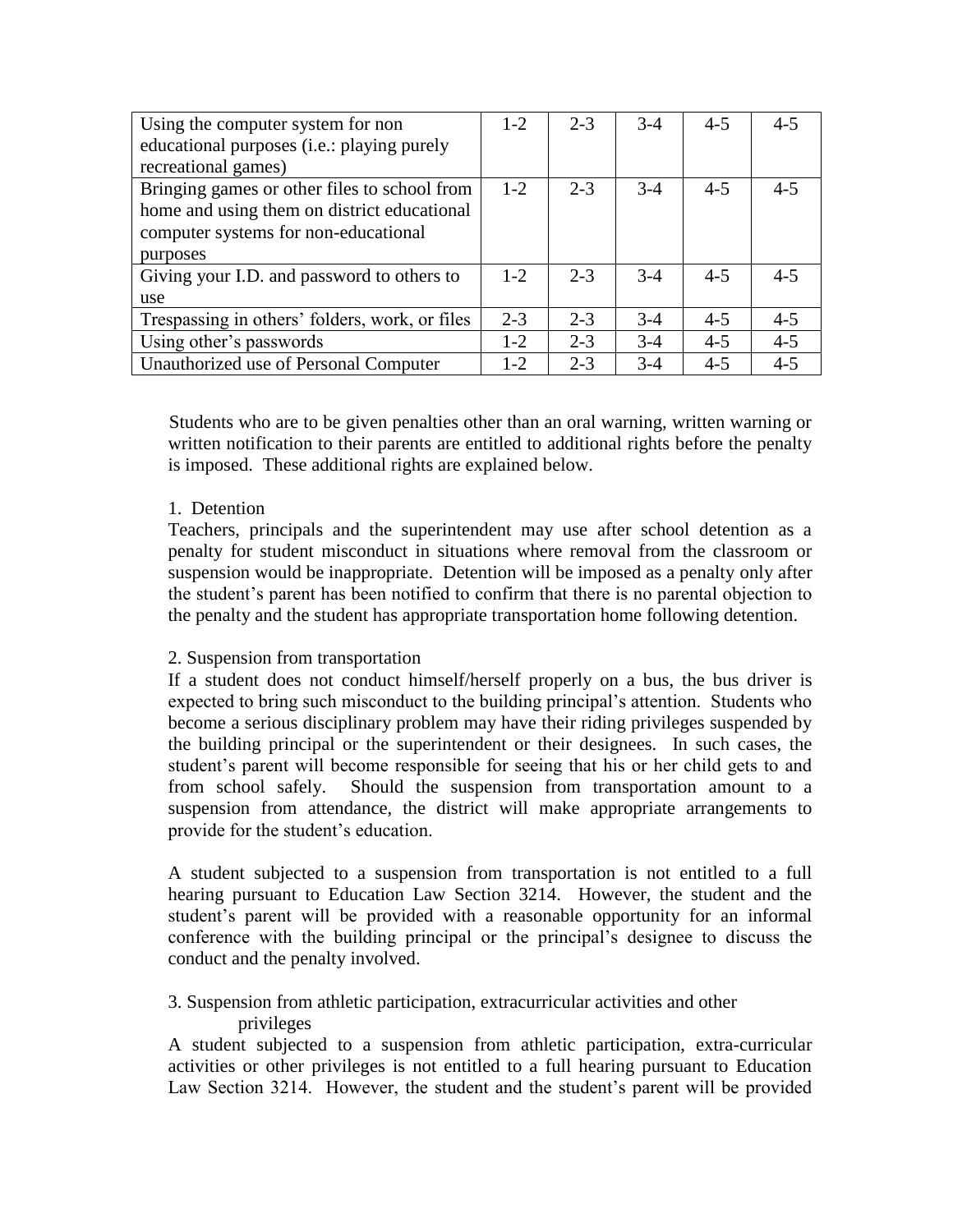| Using the computer system for non              | $1 - 2$ | $2 - 3$ | $3-4$ | $4 - 5$ | $4 - 5$ |
|------------------------------------------------|---------|---------|-------|---------|---------|
| educational purposes (i.e.: playing purely     |         |         |       |         |         |
| recreational games)                            |         |         |       |         |         |
| Bringing games or other files to school from   | $1 - 2$ | $2 - 3$ | $3-4$ | $4 - 5$ | $4 - 5$ |
| home and using them on district educational    |         |         |       |         |         |
| computer systems for non-educational           |         |         |       |         |         |
| purposes                                       |         |         |       |         |         |
| Giving your I.D. and password to others to     | $1 - 2$ | $2 - 3$ | $3-4$ | $4 - 5$ | $4 - 5$ |
| use                                            |         |         |       |         |         |
| Trespassing in others' folders, work, or files | $2 - 3$ | $2 - 3$ | $3-4$ | $4 - 5$ | $4 - 5$ |
| Using other's passwords                        | $1 - 2$ | $2 - 3$ | $3-4$ | $4 - 5$ | $4 - 5$ |
| Unauthorized use of Personal Computer          | $1 - 2$ | $2 - 3$ | $3-4$ | $4 - 5$ | $4 - 5$ |

Students who are to be given penalties other than an oral warning, written warning or written notification to their parents are entitled to additional rights before the penalty is imposed. These additional rights are explained below.

#### 1. Detention

Teachers, principals and the superintendent may use after school detention as a penalty for student misconduct in situations where removal from the classroom or suspension would be inappropriate. Detention will be imposed as a penalty only after the student's parent has been notified to confirm that there is no parental objection to the penalty and the student has appropriate transportation home following detention.

#### 2. Suspension from transportation

If a student does not conduct himself/herself properly on a bus, the bus driver is expected to bring such misconduct to the building principal's attention. Students who become a serious disciplinary problem may have their riding privileges suspended by the building principal or the superintendent or their designees. In such cases, the student's parent will become responsible for seeing that his or her child gets to and from school safely. Should the suspension from transportation amount to a suspension from attendance, the district will make appropriate arrangements to provide for the student's education.

A student subjected to a suspension from transportation is not entitled to a full hearing pursuant to Education Law Section 3214. However, the student and the student's parent will be provided with a reasonable opportunity for an informal conference with the building principal or the principal's designee to discuss the conduct and the penalty involved.

3. Suspension from athletic participation, extracurricular activities and other privileges

A student subjected to a suspension from athletic participation, extra-curricular activities or other privileges is not entitled to a full hearing pursuant to Education Law Section 3214. However, the student and the student's parent will be provided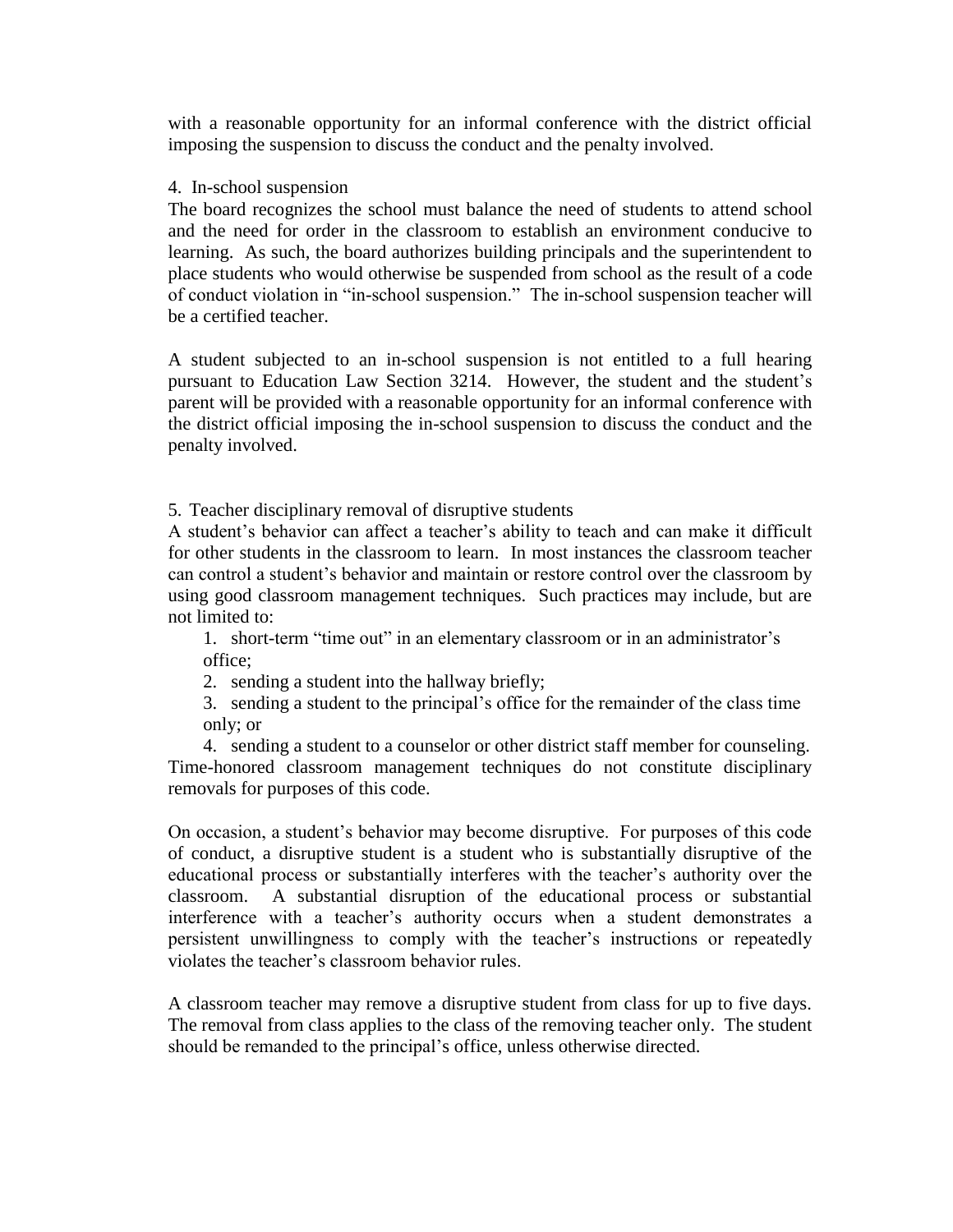with a reasonable opportunity for an informal conference with the district official imposing the suspension to discuss the conduct and the penalty involved.

#### 4. In-school suspension

The board recognizes the school must balance the need of students to attend school and the need for order in the classroom to establish an environment conducive to learning. As such, the board authorizes building principals and the superintendent to place students who would otherwise be suspended from school as the result of a code of conduct violation in "in-school suspension." The in-school suspension teacher will be a certified teacher.

A student subjected to an in-school suspension is not entitled to a full hearing pursuant to Education Law Section 3214. However, the student and the student's parent will be provided with a reasonable opportunity for an informal conference with the district official imposing the in-school suspension to discuss the conduct and the penalty involved.

5. Teacher disciplinary removal of disruptive students

A student's behavior can affect a teacher's ability to teach and can make it difficult for other students in the classroom to learn. In most instances the classroom teacher can control a student's behavior and maintain or restore control over the classroom by using good classroom management techniques. Such practices may include, but are not limited to:

1. short-term "time out" in an elementary classroom or in an administrator's office;

2. sending a student into the hallway briefly;

3. sending a student to the principal's office for the remainder of the class time only; or

4. sending a student to a counselor or other district staff member for counseling. Time-honored classroom management techniques do not constitute disciplinary removals for purposes of this code.

On occasion, a student's behavior may become disruptive. For purposes of this code of conduct, a disruptive student is a student who is substantially disruptive of the educational process or substantially interferes with the teacher's authority over the classroom. A substantial disruption of the educational process or substantial interference with a teacher's authority occurs when a student demonstrates a persistent unwillingness to comply with the teacher's instructions or repeatedly violates the teacher's classroom behavior rules.

A classroom teacher may remove a disruptive student from class for up to five days. The removal from class applies to the class of the removing teacher only. The student should be remanded to the principal's office, unless otherwise directed.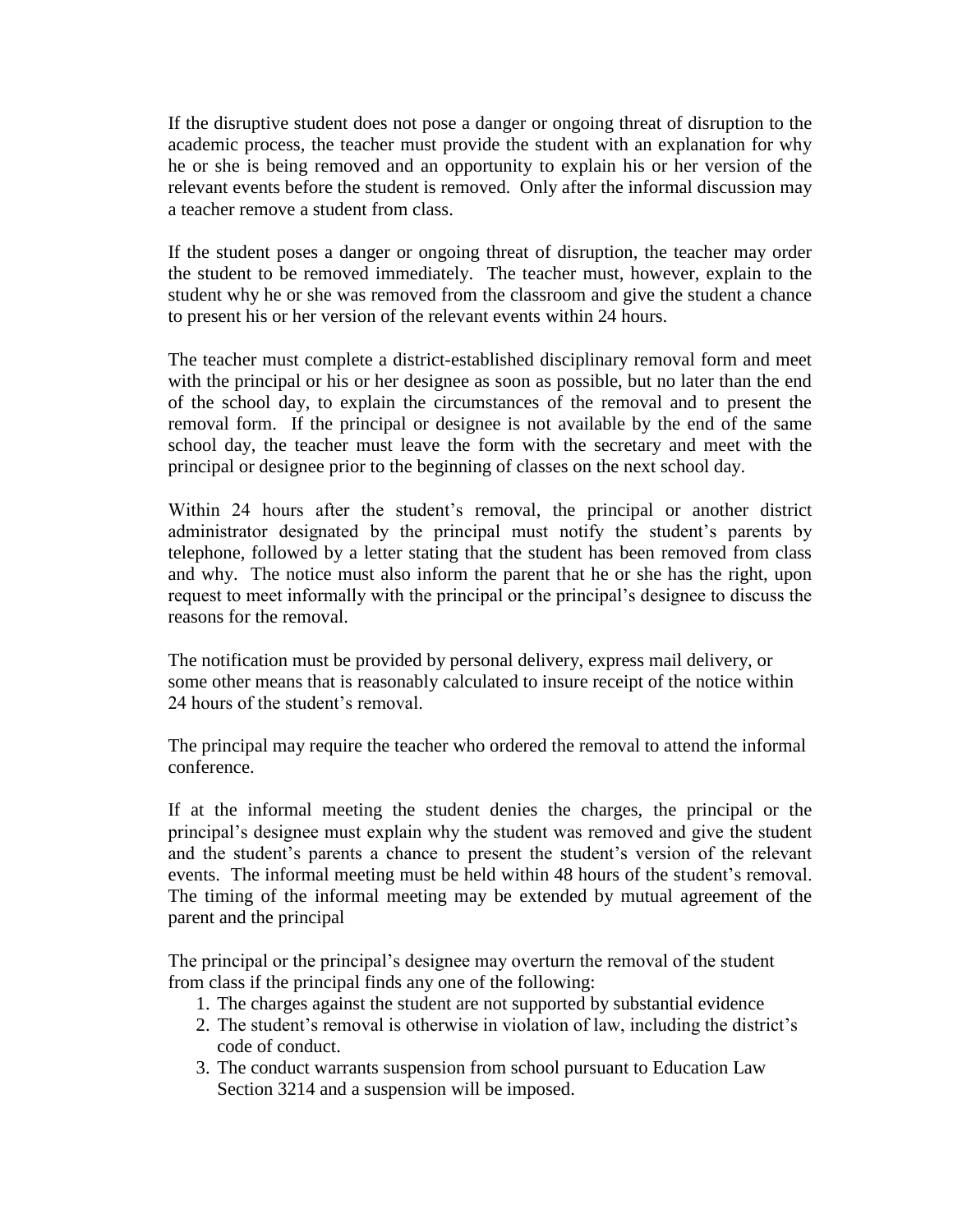If the disruptive student does not pose a danger or ongoing threat of disruption to the academic process, the teacher must provide the student with an explanation for why he or she is being removed and an opportunity to explain his or her version of the relevant events before the student is removed. Only after the informal discussion may a teacher remove a student from class.

If the student poses a danger or ongoing threat of disruption, the teacher may order the student to be removed immediately. The teacher must, however, explain to the student why he or she was removed from the classroom and give the student a chance to present his or her version of the relevant events within 24 hours.

The teacher must complete a district-established disciplinary removal form and meet with the principal or his or her designee as soon as possible, but no later than the end of the school day, to explain the circumstances of the removal and to present the removal form. If the principal or designee is not available by the end of the same school day, the teacher must leave the form with the secretary and meet with the principal or designee prior to the beginning of classes on the next school day.

Within 24 hours after the student's removal, the principal or another district administrator designated by the principal must notify the student's parents by telephone, followed by a letter stating that the student has been removed from class and why. The notice must also inform the parent that he or she has the right, upon request to meet informally with the principal or the principal's designee to discuss the reasons for the removal.

The notification must be provided by personal delivery, express mail delivery, or some other means that is reasonably calculated to insure receipt of the notice within 24 hours of the student's removal.

The principal may require the teacher who ordered the removal to attend the informal conference.

If at the informal meeting the student denies the charges, the principal or the principal's designee must explain why the student was removed and give the student and the student's parents a chance to present the student's version of the relevant events. The informal meeting must be held within 48 hours of the student's removal. The timing of the informal meeting may be extended by mutual agreement of the parent and the principal

The principal or the principal's designee may overturn the removal of the student from class if the principal finds any one of the following:

- 1. The charges against the student are not supported by substantial evidence
- 2. The student's removal is otherwise in violation of law, including the district's code of conduct.
- 3. The conduct warrants suspension from school pursuant to Education Law Section 3214 and a suspension will be imposed.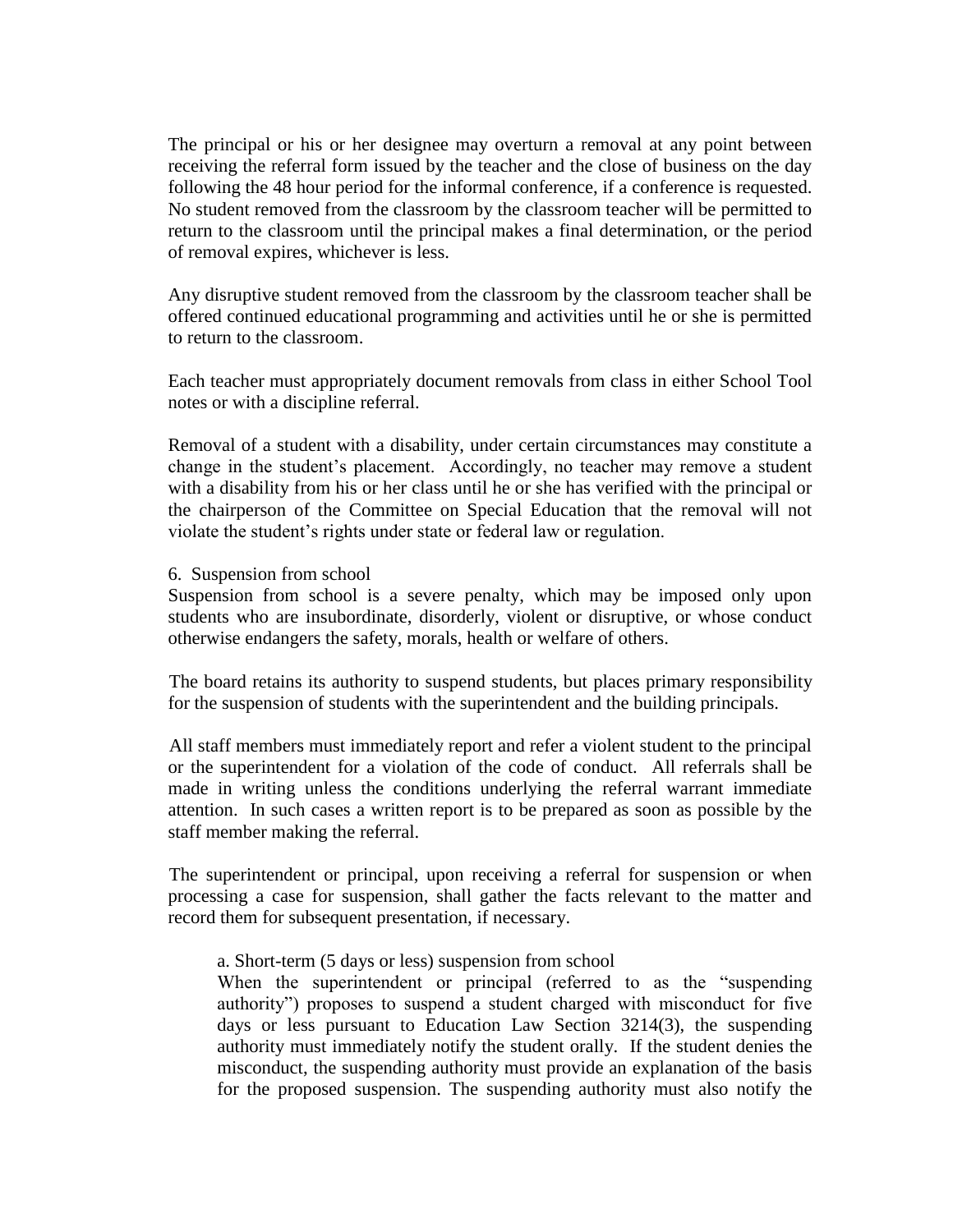The principal or his or her designee may overturn a removal at any point between receiving the referral form issued by the teacher and the close of business on the day following the 48 hour period for the informal conference, if a conference is requested. No student removed from the classroom by the classroom teacher will be permitted to return to the classroom until the principal makes a final determination, or the period of removal expires, whichever is less.

Any disruptive student removed from the classroom by the classroom teacher shall be offered continued educational programming and activities until he or she is permitted to return to the classroom.

Each teacher must appropriately document removals from class in either School Tool notes or with a discipline referral.

Removal of a student with a disability, under certain circumstances may constitute a change in the student's placement. Accordingly, no teacher may remove a student with a disability from his or her class until he or she has verified with the principal or the chairperson of the Committee on Special Education that the removal will not violate the student's rights under state or federal law or regulation.

#### 6. Suspension from school

Suspension from school is a severe penalty, which may be imposed only upon students who are insubordinate, disorderly, violent or disruptive, or whose conduct otherwise endangers the safety, morals, health or welfare of others.

The board retains its authority to suspend students, but places primary responsibility for the suspension of students with the superintendent and the building principals.

All staff members must immediately report and refer a violent student to the principal or the superintendent for a violation of the code of conduct. All referrals shall be made in writing unless the conditions underlying the referral warrant immediate attention. In such cases a written report is to be prepared as soon as possible by the staff member making the referral.

The superintendent or principal, upon receiving a referral for suspension or when processing a case for suspension, shall gather the facts relevant to the matter and record them for subsequent presentation, if necessary.

#### a. Short-term (5 days or less) suspension from school

When the superintendent or principal (referred to as the "suspending authority") proposes to suspend a student charged with misconduct for five days or less pursuant to Education Law Section 3214(3), the suspending authority must immediately notify the student orally. If the student denies the misconduct, the suspending authority must provide an explanation of the basis for the proposed suspension. The suspending authority must also notify the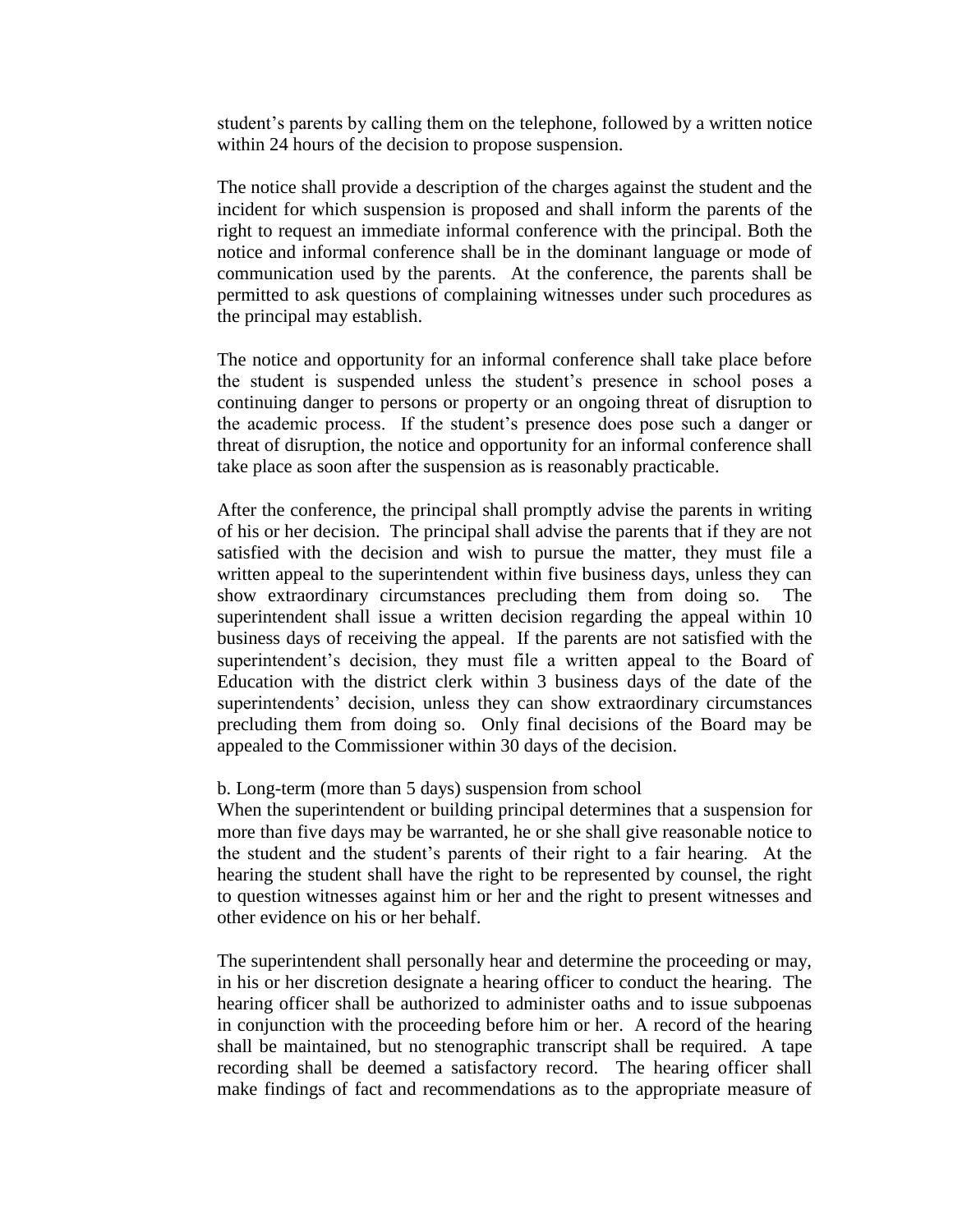student's parents by calling them on the telephone, followed by a written notice within 24 hours of the decision to propose suspension.

The notice shall provide a description of the charges against the student and the incident for which suspension is proposed and shall inform the parents of the right to request an immediate informal conference with the principal. Both the notice and informal conference shall be in the dominant language or mode of communication used by the parents. At the conference, the parents shall be permitted to ask questions of complaining witnesses under such procedures as the principal may establish.

The notice and opportunity for an informal conference shall take place before the student is suspended unless the student's presence in school poses a continuing danger to persons or property or an ongoing threat of disruption to the academic process. If the student's presence does pose such a danger or threat of disruption, the notice and opportunity for an informal conference shall take place as soon after the suspension as is reasonably practicable.

After the conference, the principal shall promptly advise the parents in writing of his or her decision. The principal shall advise the parents that if they are not satisfied with the decision and wish to pursue the matter, they must file a written appeal to the superintendent within five business days, unless they can show extraordinary circumstances precluding them from doing so. The superintendent shall issue a written decision regarding the appeal within 10 business days of receiving the appeal. If the parents are not satisfied with the superintendent's decision, they must file a written appeal to the Board of Education with the district clerk within 3 business days of the date of the superintendents' decision, unless they can show extraordinary circumstances precluding them from doing so. Only final decisions of the Board may be appealed to the Commissioner within 30 days of the decision.

#### b. Long-term (more than 5 days) suspension from school

When the superintendent or building principal determines that a suspension for more than five days may be warranted, he or she shall give reasonable notice to the student and the student's parents of their right to a fair hearing. At the hearing the student shall have the right to be represented by counsel, the right to question witnesses against him or her and the right to present witnesses and other evidence on his or her behalf.

The superintendent shall personally hear and determine the proceeding or may, in his or her discretion designate a hearing officer to conduct the hearing. The hearing officer shall be authorized to administer oaths and to issue subpoenas in conjunction with the proceeding before him or her. A record of the hearing shall be maintained, but no stenographic transcript shall be required. A tape recording shall be deemed a satisfactory record. The hearing officer shall make findings of fact and recommendations as to the appropriate measure of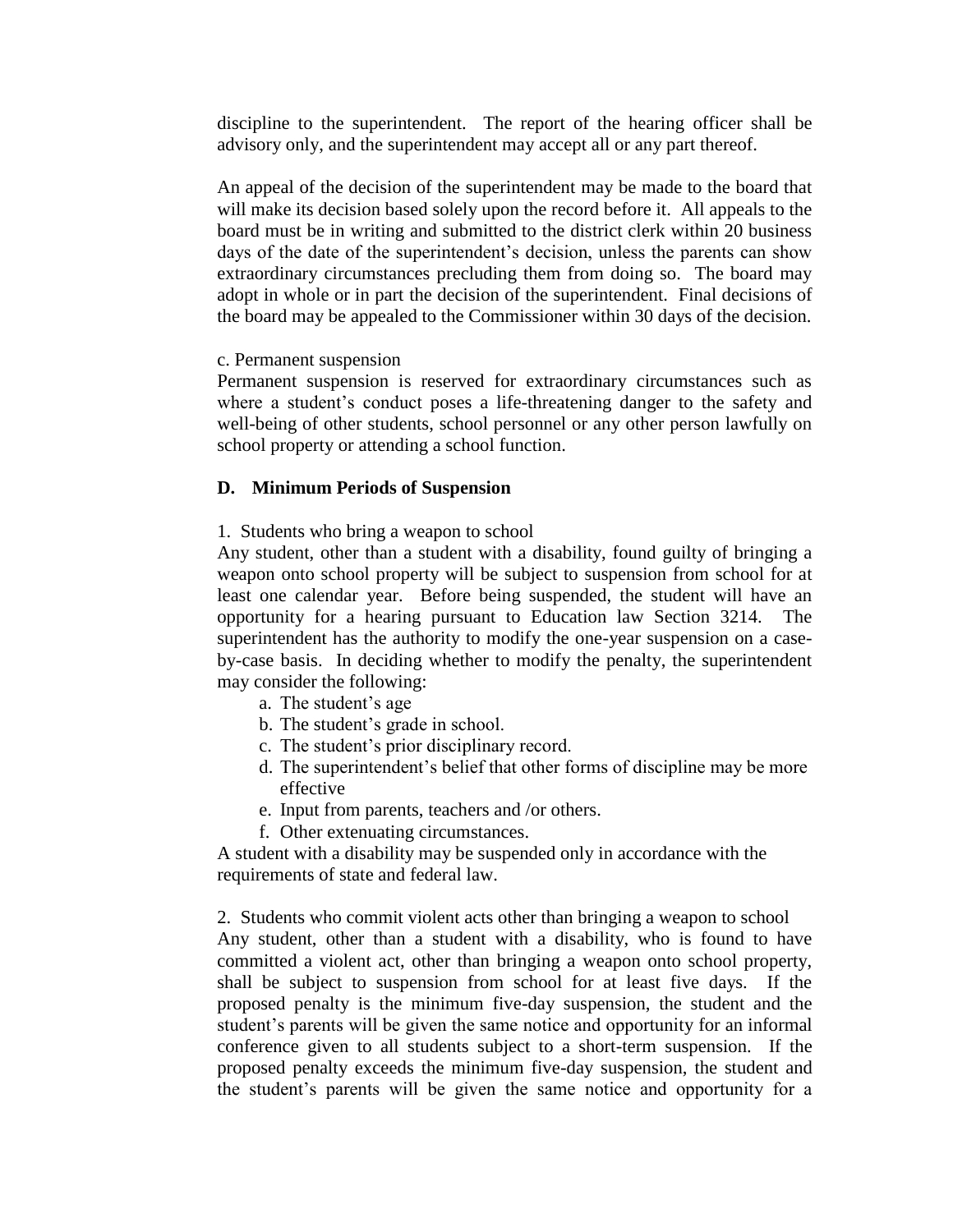discipline to the superintendent. The report of the hearing officer shall be advisory only, and the superintendent may accept all or any part thereof.

An appeal of the decision of the superintendent may be made to the board that will make its decision based solely upon the record before it. All appeals to the board must be in writing and submitted to the district clerk within 20 business days of the date of the superintendent's decision, unless the parents can show extraordinary circumstances precluding them from doing so. The board may adopt in whole or in part the decision of the superintendent. Final decisions of the board may be appealed to the Commissioner within 30 days of the decision.

#### c. Permanent suspension

Permanent suspension is reserved for extraordinary circumstances such as where a student's conduct poses a life-threatening danger to the safety and well-being of other students, school personnel or any other person lawfully on school property or attending a school function.

#### **D. Minimum Periods of Suspension**

1. Students who bring a weapon to school

Any student, other than a student with a disability, found guilty of bringing a weapon onto school property will be subject to suspension from school for at least one calendar year. Before being suspended, the student will have an opportunity for a hearing pursuant to Education law Section 3214. The superintendent has the authority to modify the one-year suspension on a caseby-case basis. In deciding whether to modify the penalty, the superintendent may consider the following:

- a. The student's age
- b. The student's grade in school.
- c. The student's prior disciplinary record.
- d. The superintendent's belief that other forms of discipline may be more effective
- e. Input from parents, teachers and /or others.
- f. Other extenuating circumstances.

A student with a disability may be suspended only in accordance with the requirements of state and federal law.

2. Students who commit violent acts other than bringing a weapon to school Any student, other than a student with a disability, who is found to have committed a violent act, other than bringing a weapon onto school property, shall be subject to suspension from school for at least five days. If the proposed penalty is the minimum five-day suspension, the student and the student's parents will be given the same notice and opportunity for an informal conference given to all students subject to a short-term suspension. If the proposed penalty exceeds the minimum five-day suspension, the student and the student's parents will be given the same notice and opportunity for a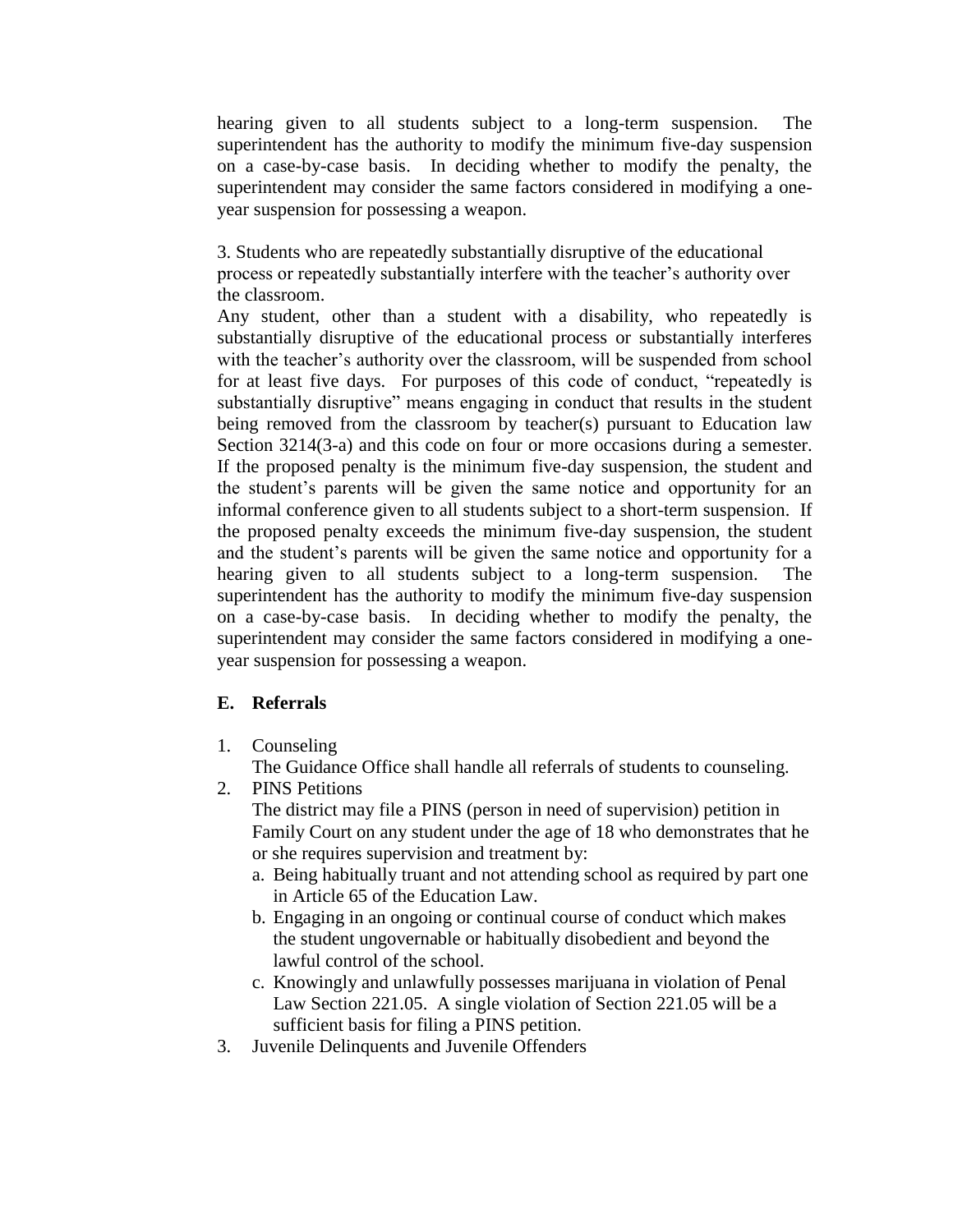hearing given to all students subject to a long-term suspension. The superintendent has the authority to modify the minimum five-day suspension on a case-by-case basis. In deciding whether to modify the penalty, the superintendent may consider the same factors considered in modifying a oneyear suspension for possessing a weapon.

3. Students who are repeatedly substantially disruptive of the educational process or repeatedly substantially interfere with the teacher's authority over the classroom.

Any student, other than a student with a disability, who repeatedly is substantially disruptive of the educational process or substantially interferes with the teacher's authority over the classroom, will be suspended from school for at least five days. For purposes of this code of conduct, "repeatedly is substantially disruptive" means engaging in conduct that results in the student being removed from the classroom by teacher(s) pursuant to Education law Section 3214(3-a) and this code on four or more occasions during a semester. If the proposed penalty is the minimum five-day suspension, the student and the student's parents will be given the same notice and opportunity for an informal conference given to all students subject to a short-term suspension. If the proposed penalty exceeds the minimum five-day suspension, the student and the student's parents will be given the same notice and opportunity for a hearing given to all students subject to a long-term suspension. The superintendent has the authority to modify the minimum five-day suspension on a case-by-case basis. In deciding whether to modify the penalty, the superintendent may consider the same factors considered in modifying a oneyear suspension for possessing a weapon.

#### **E. Referrals**

- 1. Counseling
	- The Guidance Office shall handle all referrals of students to counseling.
- 2. PINS Petitions

The district may file a PINS (person in need of supervision) petition in Family Court on any student under the age of 18 who demonstrates that he or she requires supervision and treatment by:

- a. Being habitually truant and not attending school as required by part one in Article 65 of the Education Law.
- b. Engaging in an ongoing or continual course of conduct which makes the student ungovernable or habitually disobedient and beyond the lawful control of the school.
- c. Knowingly and unlawfully possesses marijuana in violation of Penal Law Section 221.05. A single violation of Section 221.05 will be a sufficient basis for filing a PINS petition.
- 3. Juvenile Delinquents and Juvenile Offenders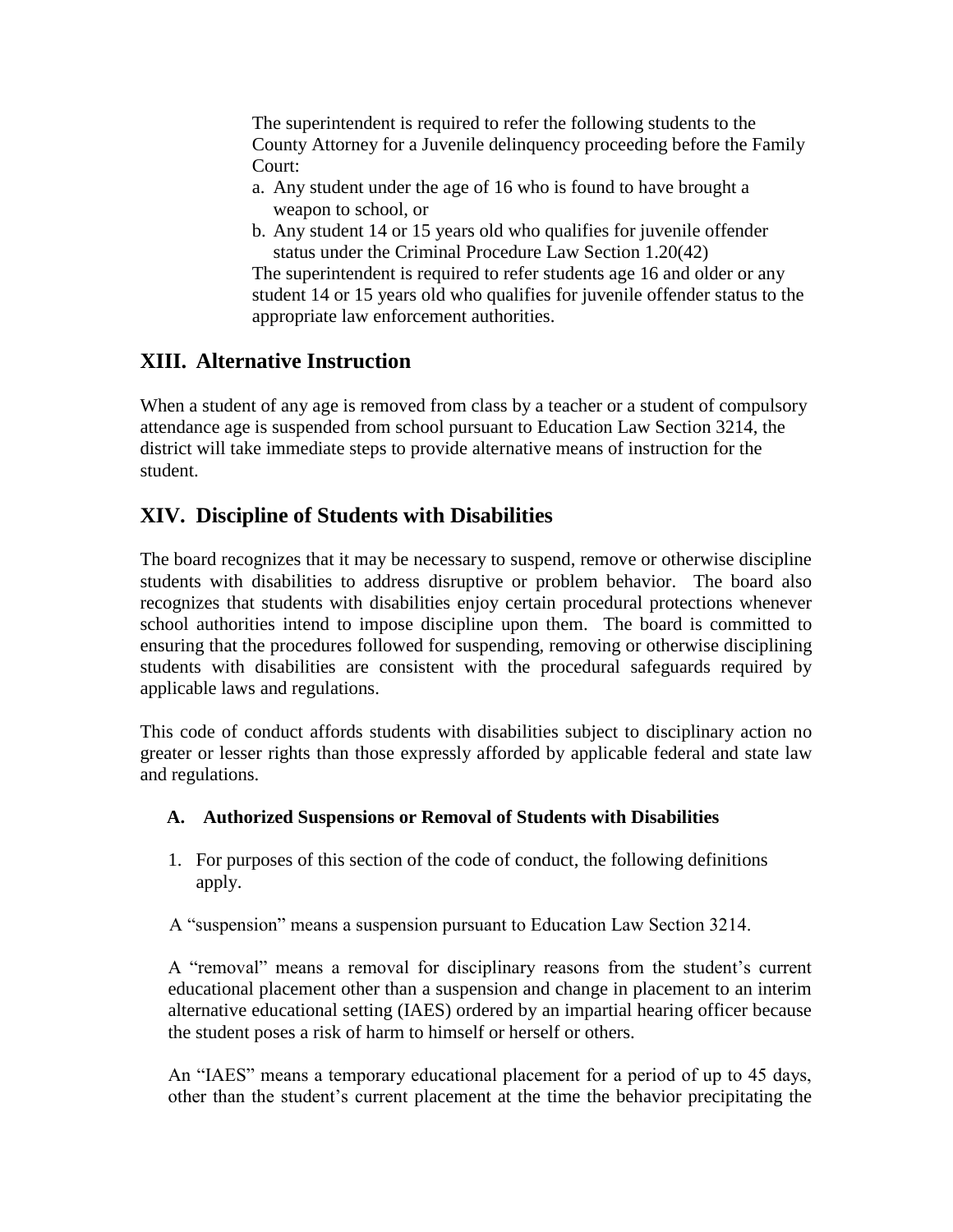The superintendent is required to refer the following students to the County Attorney for a Juvenile delinquency proceeding before the Family Court:

- a. Any student under the age of 16 who is found to have brought a weapon to school, or
- b. Any student 14 or 15 years old who qualifies for juvenile offender status under the Criminal Procedure Law Section 1.20(42)

The superintendent is required to refer students age 16 and older or any student 14 or 15 years old who qualifies for juvenile offender status to the appropriate law enforcement authorities.

### **XIII. Alternative Instruction**

When a student of any age is removed from class by a teacher or a student of compulsory attendance age is suspended from school pursuant to Education Law Section 3214, the district will take immediate steps to provide alternative means of instruction for the student.

### **XIV. Discipline of Students with Disabilities**

The board recognizes that it may be necessary to suspend, remove or otherwise discipline students with disabilities to address disruptive or problem behavior. The board also recognizes that students with disabilities enjoy certain procedural protections whenever school authorities intend to impose discipline upon them. The board is committed to ensuring that the procedures followed for suspending, removing or otherwise disciplining students with disabilities are consistent with the procedural safeguards required by applicable laws and regulations.

This code of conduct affords students with disabilities subject to disciplinary action no greater or lesser rights than those expressly afforded by applicable federal and state law and regulations.

#### **A. Authorized Suspensions or Removal of Students with Disabilities**

- 1. For purposes of this section of the code of conduct, the following definitions apply.
- A "suspension" means a suspension pursuant to Education Law Section 3214.

A "removal" means a removal for disciplinary reasons from the student's current educational placement other than a suspension and change in placement to an interim alternative educational setting (IAES) ordered by an impartial hearing officer because the student poses a risk of harm to himself or herself or others.

An "IAES" means a temporary educational placement for a period of up to 45 days, other than the student's current placement at the time the behavior precipitating the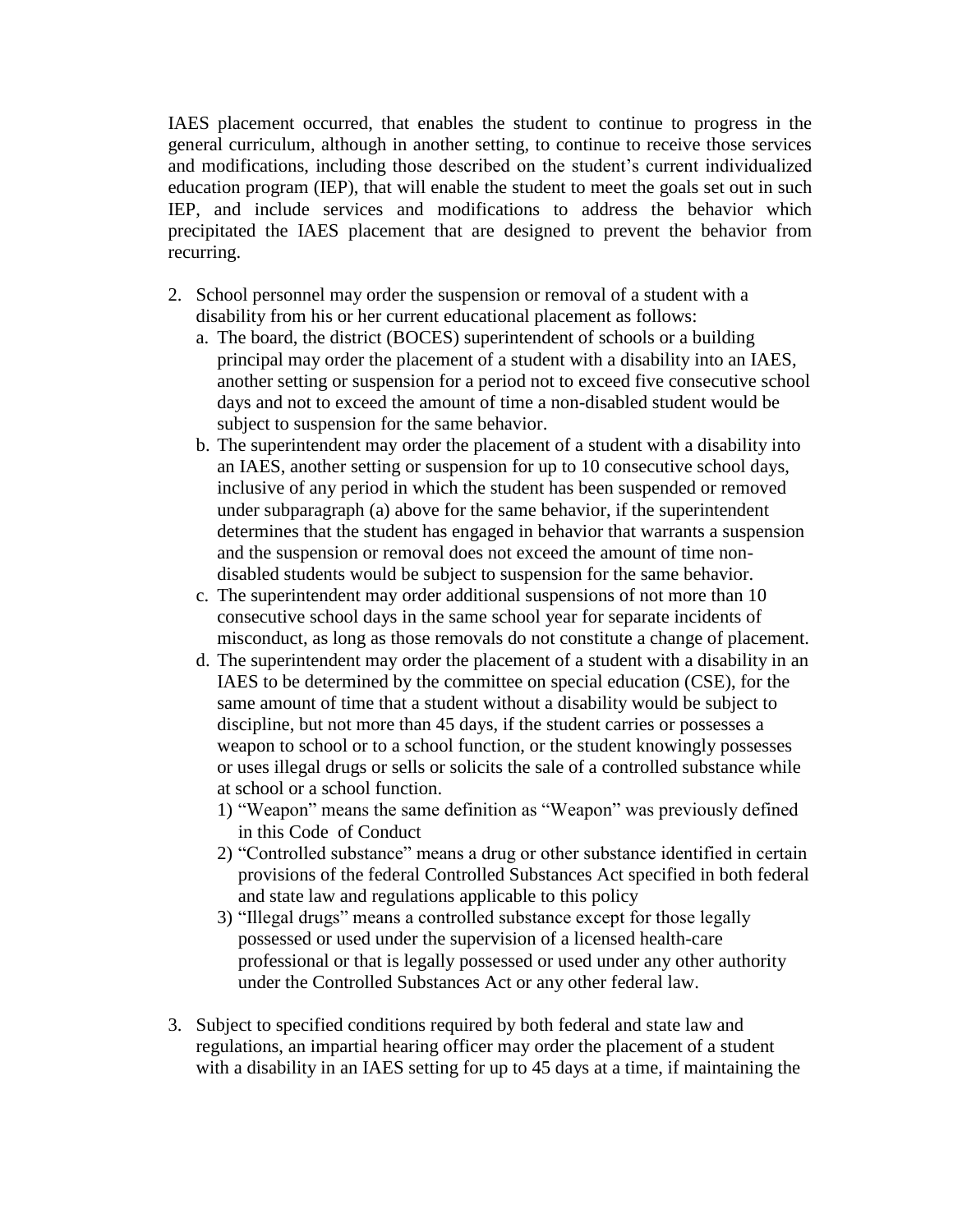IAES placement occurred, that enables the student to continue to progress in the general curriculum, although in another setting, to continue to receive those services and modifications, including those described on the student's current individualized education program (IEP), that will enable the student to meet the goals set out in such IEP, and include services and modifications to address the behavior which precipitated the IAES placement that are designed to prevent the behavior from recurring.

- 2. School personnel may order the suspension or removal of a student with a disability from his or her current educational placement as follows:
	- a. The board, the district (BOCES) superintendent of schools or a building principal may order the placement of a student with a disability into an IAES, another setting or suspension for a period not to exceed five consecutive school days and not to exceed the amount of time a non-disabled student would be subject to suspension for the same behavior.
	- b. The superintendent may order the placement of a student with a disability into an IAES, another setting or suspension for up to 10 consecutive school days, inclusive of any period in which the student has been suspended or removed under subparagraph (a) above for the same behavior, if the superintendent determines that the student has engaged in behavior that warrants a suspension and the suspension or removal does not exceed the amount of time nondisabled students would be subject to suspension for the same behavior.
	- c. The superintendent may order additional suspensions of not more than 10 consecutive school days in the same school year for separate incidents of misconduct, as long as those removals do not constitute a change of placement.
	- d. The superintendent may order the placement of a student with a disability in an IAES to be determined by the committee on special education (CSE), for the same amount of time that a student without a disability would be subject to discipline, but not more than 45 days, if the student carries or possesses a weapon to school or to a school function, or the student knowingly possesses or uses illegal drugs or sells or solicits the sale of a controlled substance while at school or a school function.
		- 1) "Weapon" means the same definition as "Weapon" was previously defined in this Code of Conduct
		- 2) "Controlled substance" means a drug or other substance identified in certain provisions of the federal Controlled Substances Act specified in both federal and state law and regulations applicable to this policy
		- 3) "Illegal drugs" means a controlled substance except for those legally possessed or used under the supervision of a licensed health-care professional or that is legally possessed or used under any other authority under the Controlled Substances Act or any other federal law.
- 3. Subject to specified conditions required by both federal and state law and regulations, an impartial hearing officer may order the placement of a student with a disability in an IAES setting for up to 45 days at a time, if maintaining the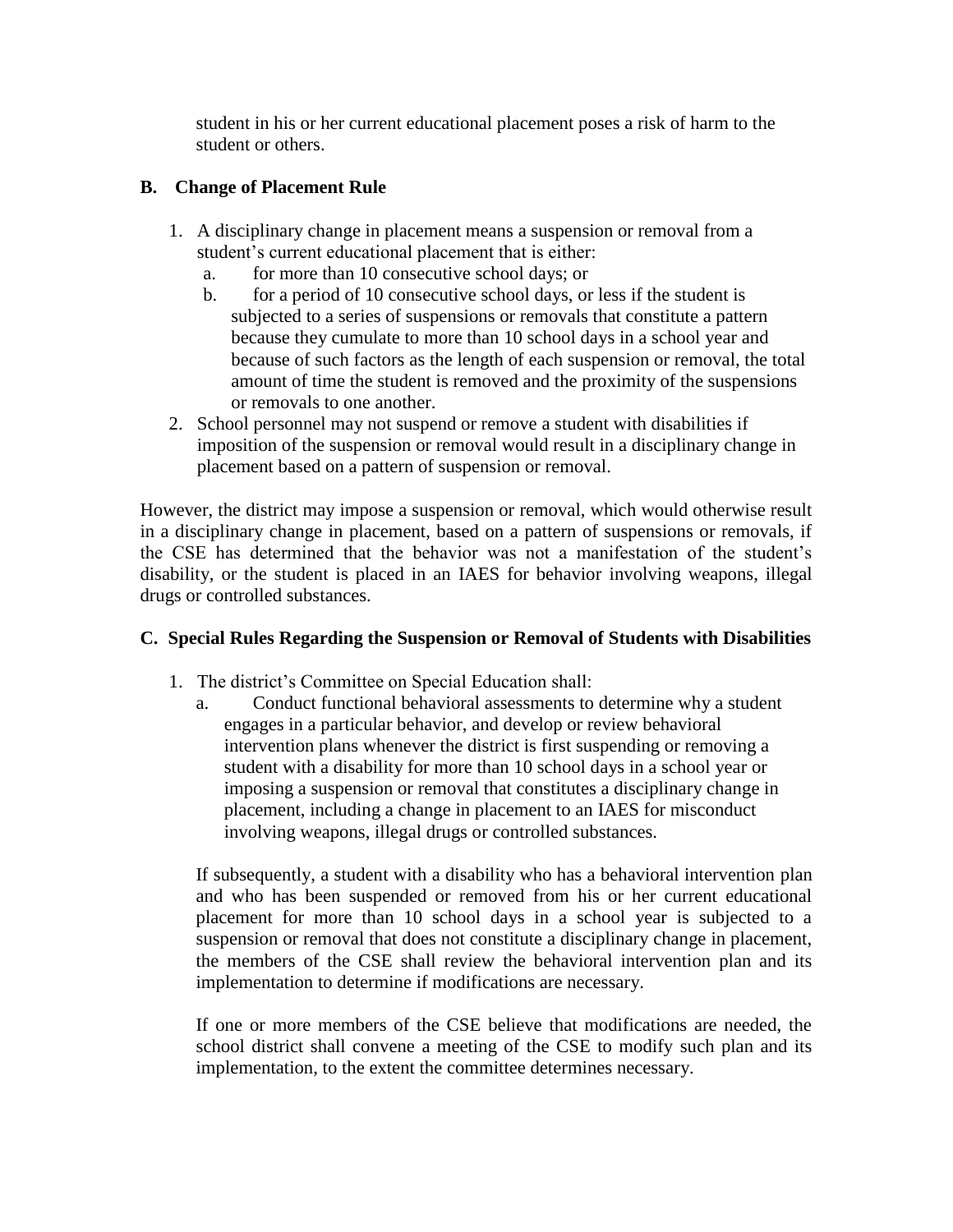student in his or her current educational placement poses a risk of harm to the student or others.

#### **B. Change of Placement Rule**

- 1. A disciplinary change in placement means a suspension or removal from a student's current educational placement that is either:
	- a. for more than 10 consecutive school days; or
	- b. for a period of 10 consecutive school days, or less if the student is subjected to a series of suspensions or removals that constitute a pattern because they cumulate to more than 10 school days in a school year and because of such factors as the length of each suspension or removal, the total amount of time the student is removed and the proximity of the suspensions or removals to one another.
- 2. School personnel may not suspend or remove a student with disabilities if imposition of the suspension or removal would result in a disciplinary change in placement based on a pattern of suspension or removal.

However, the district may impose a suspension or removal, which would otherwise result in a disciplinary change in placement, based on a pattern of suspensions or removals, if the CSE has determined that the behavior was not a manifestation of the student's disability, or the student is placed in an IAES for behavior involving weapons, illegal drugs or controlled substances.

#### **C. Special Rules Regarding the Suspension or Removal of Students with Disabilities**

- 1. The district's Committee on Special Education shall:
	- a. Conduct functional behavioral assessments to determine why a student engages in a particular behavior, and develop or review behavioral intervention plans whenever the district is first suspending or removing a student with a disability for more than 10 school days in a school year or imposing a suspension or removal that constitutes a disciplinary change in placement, including a change in placement to an IAES for misconduct involving weapons, illegal drugs or controlled substances.

If subsequently, a student with a disability who has a behavioral intervention plan and who has been suspended or removed from his or her current educational placement for more than 10 school days in a school year is subjected to a suspension or removal that does not constitute a disciplinary change in placement, the members of the CSE shall review the behavioral intervention plan and its implementation to determine if modifications are necessary.

If one or more members of the CSE believe that modifications are needed, the school district shall convene a meeting of the CSE to modify such plan and its implementation, to the extent the committee determines necessary.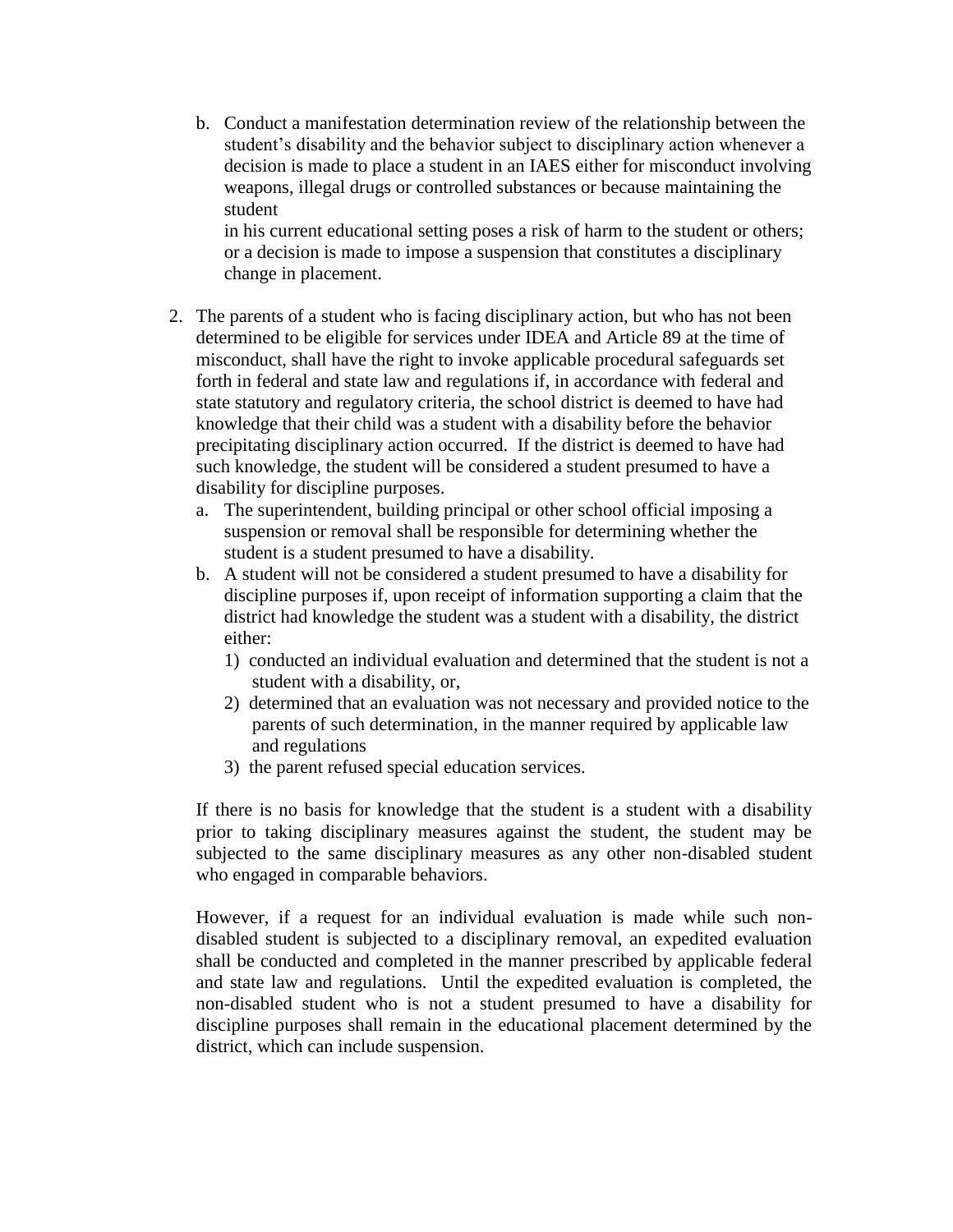b. Conduct a manifestation determination review of the relationship between the student's disability and the behavior subject to disciplinary action whenever a decision is made to place a student in an IAES either for misconduct involving weapons, illegal drugs or controlled substances or because maintaining the student

in his current educational setting poses a risk of harm to the student or others; or a decision is made to impose a suspension that constitutes a disciplinary change in placement.

- 2. The parents of a student who is facing disciplinary action, but who has not been determined to be eligible for services under IDEA and Article 89 at the time of misconduct, shall have the right to invoke applicable procedural safeguards set forth in federal and state law and regulations if, in accordance with federal and state statutory and regulatory criteria, the school district is deemed to have had knowledge that their child was a student with a disability before the behavior precipitating disciplinary action occurred. If the district is deemed to have had such knowledge, the student will be considered a student presumed to have a disability for discipline purposes.
	- a. The superintendent, building principal or other school official imposing a suspension or removal shall be responsible for determining whether the student is a student presumed to have a disability.
	- b. A student will not be considered a student presumed to have a disability for discipline purposes if, upon receipt of information supporting a claim that the district had knowledge the student was a student with a disability, the district either:
		- 1) conducted an individual evaluation and determined that the student is not a student with a disability, or,
		- 2) determined that an evaluation was not necessary and provided notice to the parents of such determination, in the manner required by applicable law and regulations
		- 3) the parent refused special education services.

If there is no basis for knowledge that the student is a student with a disability prior to taking disciplinary measures against the student, the student may be subjected to the same disciplinary measures as any other non-disabled student who engaged in comparable behaviors.

However, if a request for an individual evaluation is made while such nondisabled student is subjected to a disciplinary removal, an expedited evaluation shall be conducted and completed in the manner prescribed by applicable federal and state law and regulations. Until the expedited evaluation is completed, the non-disabled student who is not a student presumed to have a disability for discipline purposes shall remain in the educational placement determined by the district, which can include suspension.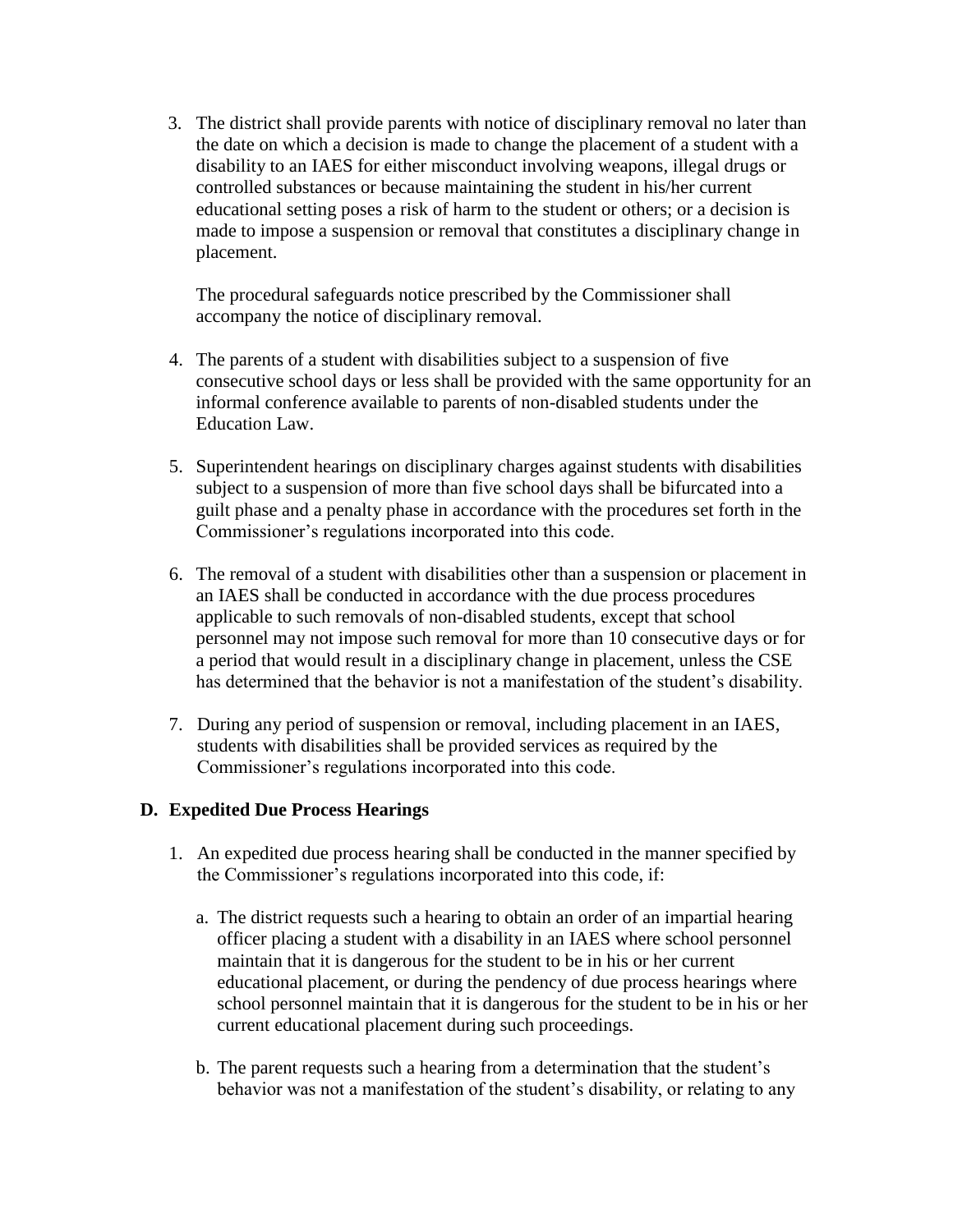3. The district shall provide parents with notice of disciplinary removal no later than the date on which a decision is made to change the placement of a student with a disability to an IAES for either misconduct involving weapons, illegal drugs or controlled substances or because maintaining the student in his/her current educational setting poses a risk of harm to the student or others; or a decision is made to impose a suspension or removal that constitutes a disciplinary change in placement.

The procedural safeguards notice prescribed by the Commissioner shall accompany the notice of disciplinary removal.

- 4. The parents of a student with disabilities subject to a suspension of five consecutive school days or less shall be provided with the same opportunity for an informal conference available to parents of non-disabled students under the Education Law.
- 5. Superintendent hearings on disciplinary charges against students with disabilities subject to a suspension of more than five school days shall be bifurcated into a guilt phase and a penalty phase in accordance with the procedures set forth in the Commissioner's regulations incorporated into this code.
- 6. The removal of a student with disabilities other than a suspension or placement in an IAES shall be conducted in accordance with the due process procedures applicable to such removals of non-disabled students, except that school personnel may not impose such removal for more than 10 consecutive days or for a period that would result in a disciplinary change in placement, unless the CSE has determined that the behavior is not a manifestation of the student's disability.
- 7. During any period of suspension or removal, including placement in an IAES, students with disabilities shall be provided services as required by the Commissioner's regulations incorporated into this code.

#### **D. Expedited Due Process Hearings**

- 1. An expedited due process hearing shall be conducted in the manner specified by the Commissioner's regulations incorporated into this code, if:
	- a. The district requests such a hearing to obtain an order of an impartial hearing officer placing a student with a disability in an IAES where school personnel maintain that it is dangerous for the student to be in his or her current educational placement, or during the pendency of due process hearings where school personnel maintain that it is dangerous for the student to be in his or her current educational placement during such proceedings.
	- b. The parent requests such a hearing from a determination that the student's behavior was not a manifestation of the student's disability, or relating to any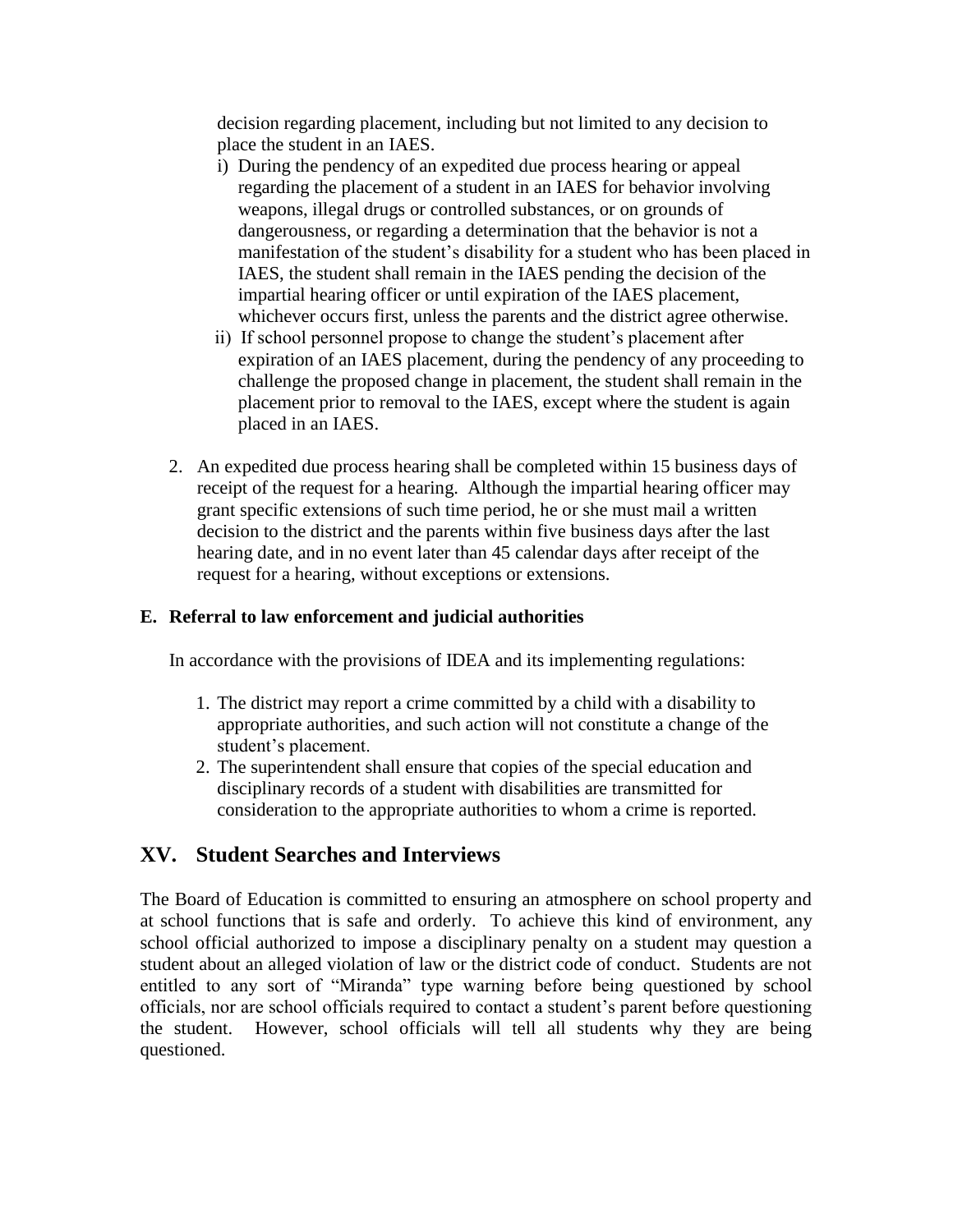decision regarding placement, including but not limited to any decision to place the student in an IAES.

- i) During the pendency of an expedited due process hearing or appeal regarding the placement of a student in an IAES for behavior involving weapons, illegal drugs or controlled substances, or on grounds of dangerousness, or regarding a determination that the behavior is not a manifestation of the student's disability for a student who has been placed in IAES, the student shall remain in the IAES pending the decision of the impartial hearing officer or until expiration of the IAES placement, whichever occurs first, unless the parents and the district agree otherwise.
- ii) If school personnel propose to change the student's placement after expiration of an IAES placement, during the pendency of any proceeding to challenge the proposed change in placement, the student shall remain in the placement prior to removal to the IAES, except where the student is again placed in an IAES.
- 2. An expedited due process hearing shall be completed within 15 business days of receipt of the request for a hearing. Although the impartial hearing officer may grant specific extensions of such time period, he or she must mail a written decision to the district and the parents within five business days after the last hearing date, and in no event later than 45 calendar days after receipt of the request for a hearing, without exceptions or extensions.

#### **E. Referral to law enforcement and judicial authorities**

In accordance with the provisions of IDEA and its implementing regulations:

- 1. The district may report a crime committed by a child with a disability to appropriate authorities, and such action will not constitute a change of the student's placement.
- 2. The superintendent shall ensure that copies of the special education and disciplinary records of a student with disabilities are transmitted for consideration to the appropriate authorities to whom a crime is reported.

#### **XV. Student Searches and Interviews**

The Board of Education is committed to ensuring an atmosphere on school property and at school functions that is safe and orderly. To achieve this kind of environment, any school official authorized to impose a disciplinary penalty on a student may question a student about an alleged violation of law or the district code of conduct. Students are not entitled to any sort of "Miranda" type warning before being questioned by school officials, nor are school officials required to contact a student's parent before questioning the student. However, school officials will tell all students why they are being questioned.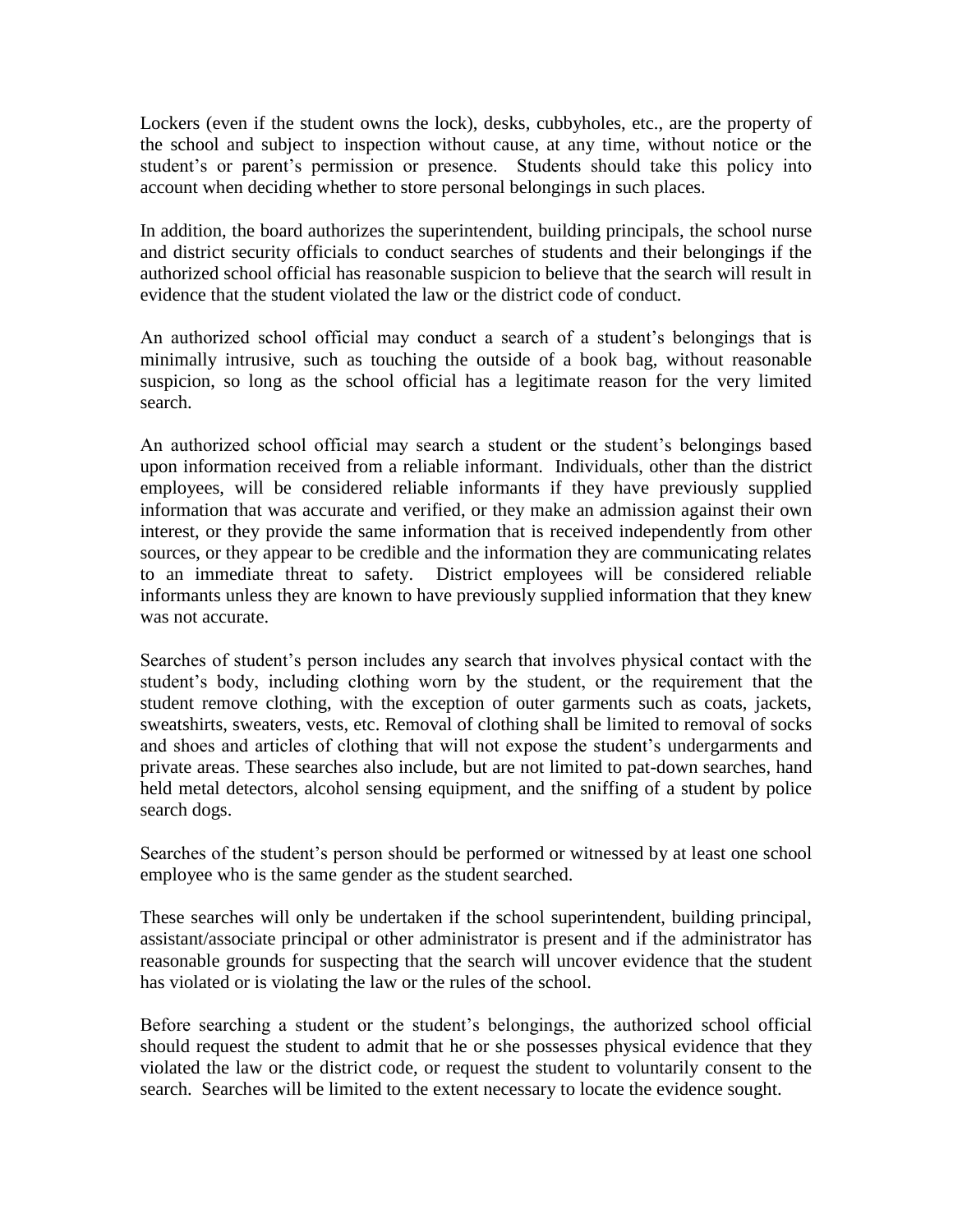Lockers (even if the student owns the lock), desks, cubbyholes, etc., are the property of the school and subject to inspection without cause, at any time, without notice or the student's or parent's permission or presence. Students should take this policy into account when deciding whether to store personal belongings in such places.

In addition, the board authorizes the superintendent, building principals, the school nurse and district security officials to conduct searches of students and their belongings if the authorized school official has reasonable suspicion to believe that the search will result in evidence that the student violated the law or the district code of conduct.

An authorized school official may conduct a search of a student's belongings that is minimally intrusive, such as touching the outside of a book bag, without reasonable suspicion, so long as the school official has a legitimate reason for the very limited search.

An authorized school official may search a student or the student's belongings based upon information received from a reliable informant. Individuals, other than the district employees, will be considered reliable informants if they have previously supplied information that was accurate and verified, or they make an admission against their own interest, or they provide the same information that is received independently from other sources, or they appear to be credible and the information they are communicating relates to an immediate threat to safety. District employees will be considered reliable informants unless they are known to have previously supplied information that they knew was not accurate.

Searches of student's person includes any search that involves physical contact with the student's body, including clothing worn by the student, or the requirement that the student remove clothing, with the exception of outer garments such as coats, jackets, sweatshirts, sweaters, vests, etc. Removal of clothing shall be limited to removal of socks and shoes and articles of clothing that will not expose the student's undergarments and private areas. These searches also include, but are not limited to pat-down searches, hand held metal detectors, alcohol sensing equipment, and the sniffing of a student by police search dogs.

Searches of the student's person should be performed or witnessed by at least one school employee who is the same gender as the student searched.

These searches will only be undertaken if the school superintendent, building principal, assistant/associate principal or other administrator is present and if the administrator has reasonable grounds for suspecting that the search will uncover evidence that the student has violated or is violating the law or the rules of the school.

Before searching a student or the student's belongings, the authorized school official should request the student to admit that he or she possesses physical evidence that they violated the law or the district code, or request the student to voluntarily consent to the search. Searches will be limited to the extent necessary to locate the evidence sought.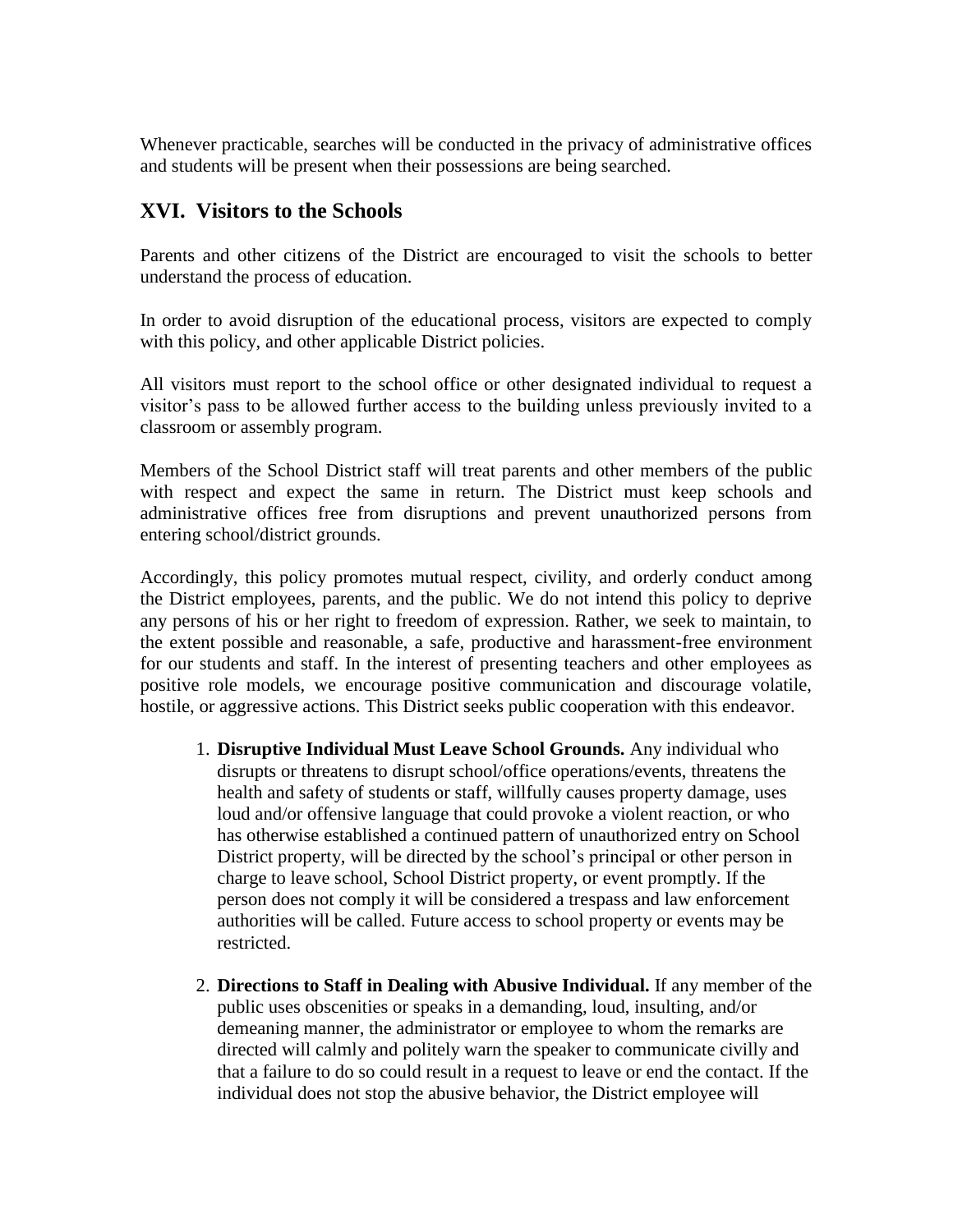Whenever practicable, searches will be conducted in the privacy of administrative offices and students will be present when their possessions are being searched.

### **XVI. Visitors to the Schools**

Parents and other citizens of the District are encouraged to visit the schools to better understand the process of education.

In order to avoid disruption of the educational process, visitors are expected to comply with this policy, and other applicable District policies.

All visitors must report to the school office or other designated individual to request a visitor's pass to be allowed further access to the building unless previously invited to a classroom or assembly program.

Members of the School District staff will treat parents and other members of the public with respect and expect the same in return. The District must keep schools and administrative offices free from disruptions and prevent unauthorized persons from entering school/district grounds.

Accordingly, this policy promotes mutual respect, civility, and orderly conduct among the District employees, parents, and the public. We do not intend this policy to deprive any persons of his or her right to freedom of expression. Rather, we seek to maintain, to the extent possible and reasonable, a safe, productive and harassment-free environment for our students and staff. In the interest of presenting teachers and other employees as positive role models, we encourage positive communication and discourage volatile, hostile, or aggressive actions. This District seeks public cooperation with this endeavor.

- 1. **Disruptive Individual Must Leave School Grounds.** Any individual who disrupts or threatens to disrupt school/office operations/events, threatens the health and safety of students or staff, willfully causes property damage, uses loud and/or offensive language that could provoke a violent reaction, or who has otherwise established a continued pattern of unauthorized entry on School District property, will be directed by the school's principal or other person in charge to leave school, School District property, or event promptly. If the person does not comply it will be considered a trespass and law enforcement authorities will be called. Future access to school property or events may be restricted.
- 2. **Directions to Staff in Dealing with Abusive Individual.** If any member of the public uses obscenities or speaks in a demanding, loud, insulting, and/or demeaning manner, the administrator or employee to whom the remarks are directed will calmly and politely warn the speaker to communicate civilly and that a failure to do so could result in a request to leave or end the contact. If the individual does not stop the abusive behavior, the District employee will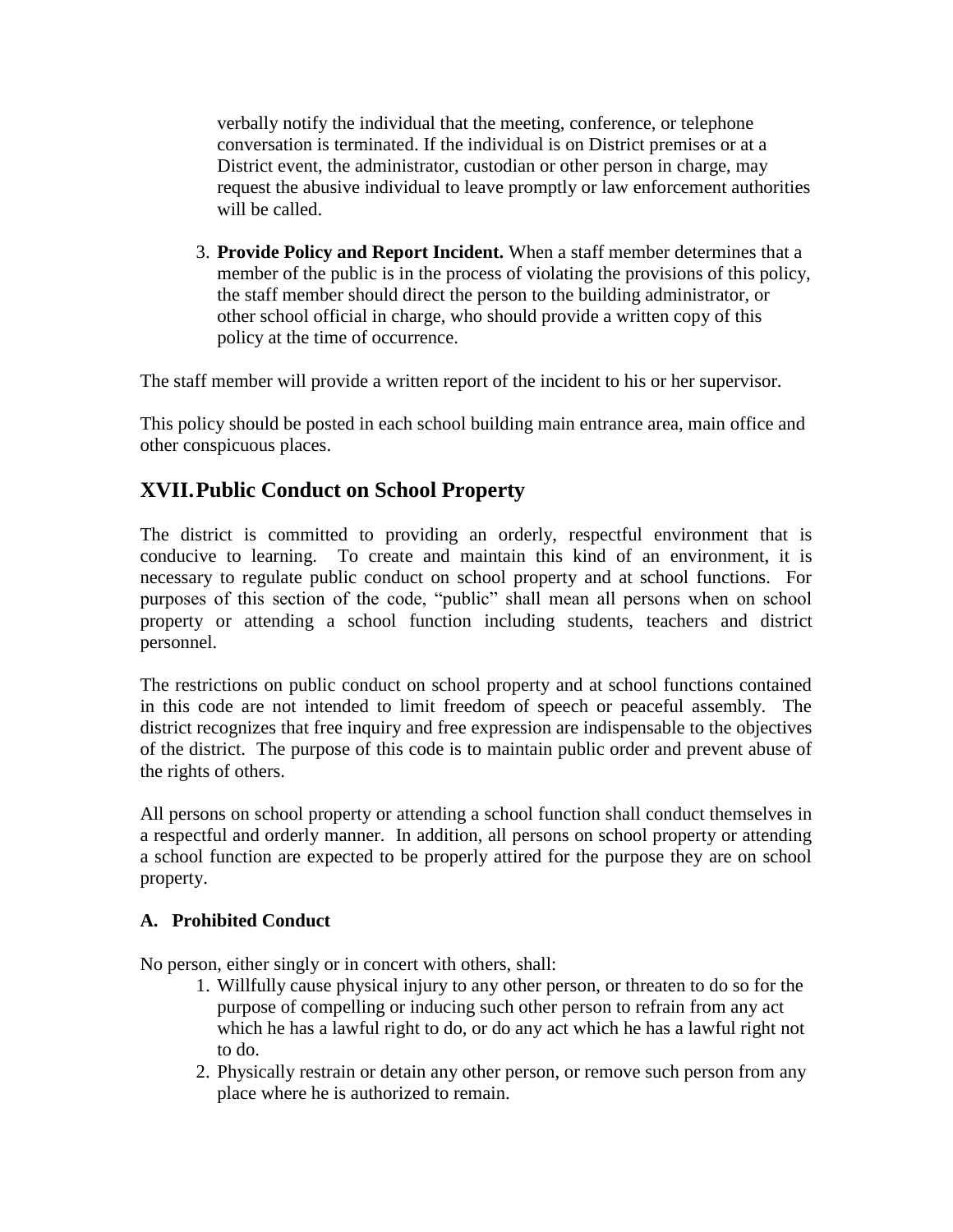verbally notify the individual that the meeting, conference, or telephone conversation is terminated. If the individual is on District premises or at a District event, the administrator, custodian or other person in charge, may request the abusive individual to leave promptly or law enforcement authorities will be called.

3. **Provide Policy and Report Incident.** When a staff member determines that a member of the public is in the process of violating the provisions of this policy, the staff member should direct the person to the building administrator, or other school official in charge, who should provide a written copy of this policy at the time of occurrence.

The staff member will provide a written report of the incident to his or her supervisor.

This policy should be posted in each school building main entrance area, main office and other conspicuous places.

### **XVII.Public Conduct on School Property**

The district is committed to providing an orderly, respectful environment that is conducive to learning. To create and maintain this kind of an environment, it is necessary to regulate public conduct on school property and at school functions. For purposes of this section of the code, "public" shall mean all persons when on school property or attending a school function including students, teachers and district personnel.

The restrictions on public conduct on school property and at school functions contained in this code are not intended to limit freedom of speech or peaceful assembly. The district recognizes that free inquiry and free expression are indispensable to the objectives of the district. The purpose of this code is to maintain public order and prevent abuse of the rights of others.

All persons on school property or attending a school function shall conduct themselves in a respectful and orderly manner. In addition, all persons on school property or attending a school function are expected to be properly attired for the purpose they are on school property.

#### **A. Prohibited Conduct**

No person, either singly or in concert with others, shall:

- 1. Willfully cause physical injury to any other person, or threaten to do so for the purpose of compelling or inducing such other person to refrain from any act which he has a lawful right to do, or do any act which he has a lawful right not to do.
- 2. Physically restrain or detain any other person, or remove such person from any place where he is authorized to remain.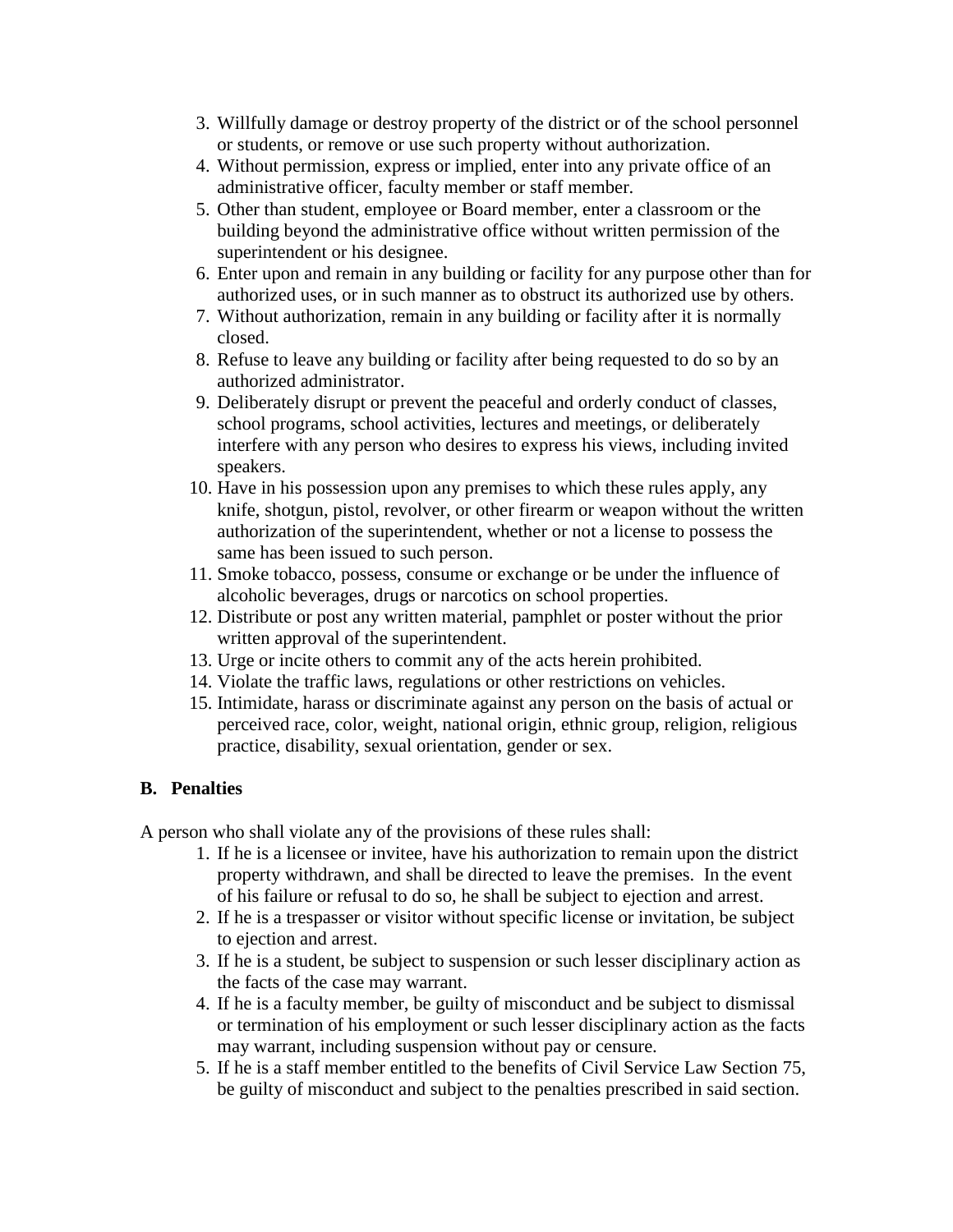- 3. Willfully damage or destroy property of the district or of the school personnel or students, or remove or use such property without authorization.
- 4. Without permission, express or implied, enter into any private office of an administrative officer, faculty member or staff member.
- 5. Other than student, employee or Board member, enter a classroom or the building beyond the administrative office without written permission of the superintendent or his designee.
- 6. Enter upon and remain in any building or facility for any purpose other than for authorized uses, or in such manner as to obstruct its authorized use by others.
- 7. Without authorization, remain in any building or facility after it is normally closed.
- 8. Refuse to leave any building or facility after being requested to do so by an authorized administrator.
- 9. Deliberately disrupt or prevent the peaceful and orderly conduct of classes, school programs, school activities, lectures and meetings, or deliberately interfere with any person who desires to express his views, including invited speakers.
- 10. Have in his possession upon any premises to which these rules apply, any knife, shotgun, pistol, revolver, or other firearm or weapon without the written authorization of the superintendent, whether or not a license to possess the same has been issued to such person.
- 11. Smoke tobacco, possess, consume or exchange or be under the influence of alcoholic beverages, drugs or narcotics on school properties.
- 12. Distribute or post any written material, pamphlet or poster without the prior written approval of the superintendent.
- 13. Urge or incite others to commit any of the acts herein prohibited.
- 14. Violate the traffic laws, regulations or other restrictions on vehicles.
- 15. Intimidate, harass or discriminate against any person on the basis of actual or perceived race, color, weight, national origin, ethnic group, religion, religious practice, disability, sexual orientation, gender or sex.

#### **B. Penalties**

A person who shall violate any of the provisions of these rules shall:

- 1. If he is a licensee or invitee, have his authorization to remain upon the district property withdrawn, and shall be directed to leave the premises. In the event of his failure or refusal to do so, he shall be subject to ejection and arrest.
- 2. If he is a trespasser or visitor without specific license or invitation, be subject to ejection and arrest.
- 3. If he is a student, be subject to suspension or such lesser disciplinary action as the facts of the case may warrant.
- 4. If he is a faculty member, be guilty of misconduct and be subject to dismissal or termination of his employment or such lesser disciplinary action as the facts may warrant, including suspension without pay or censure.
- 5. If he is a staff member entitled to the benefits of Civil Service Law Section 75, be guilty of misconduct and subject to the penalties prescribed in said section.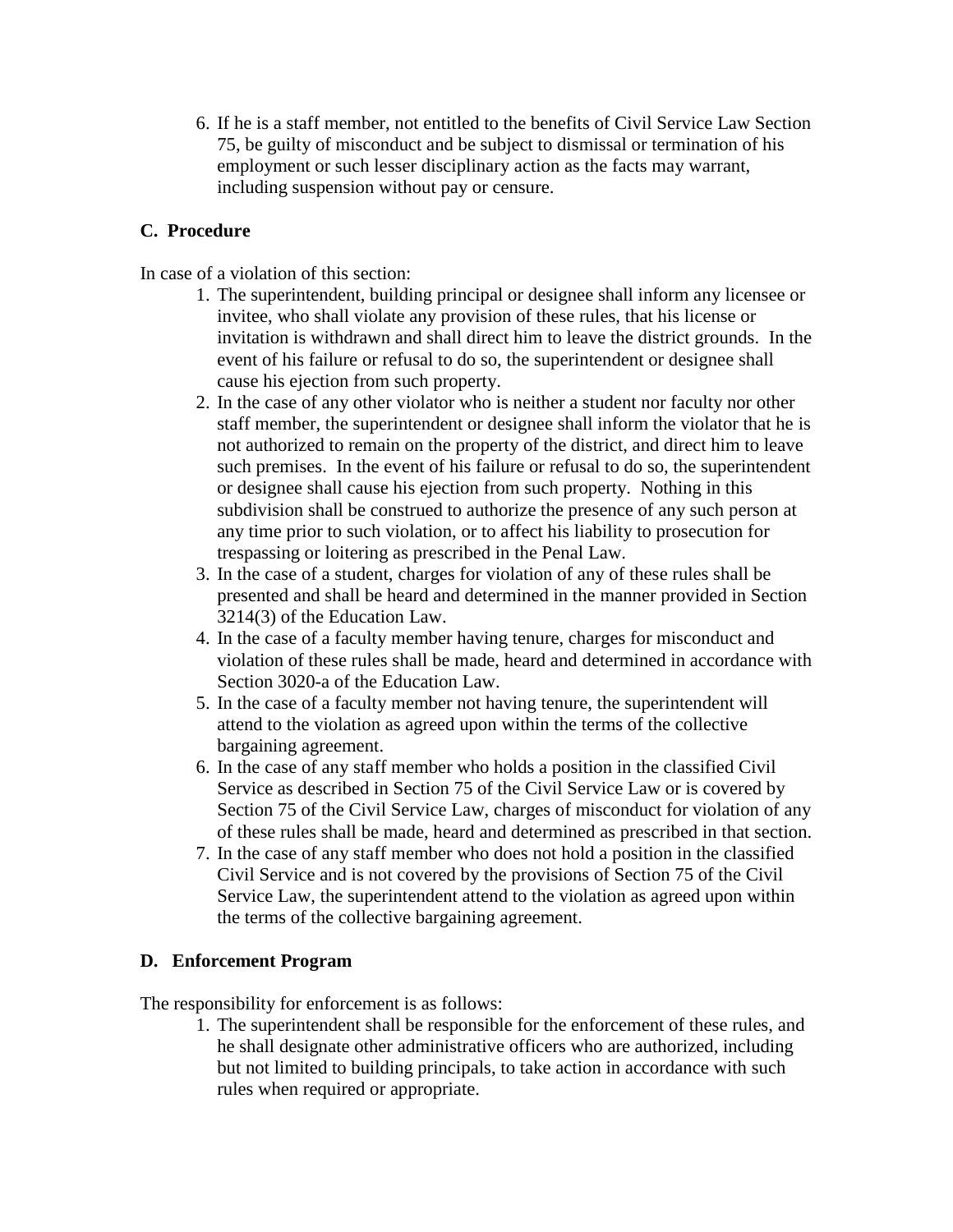6. If he is a staff member, not entitled to the benefits of Civil Service Law Section 75, be guilty of misconduct and be subject to dismissal or termination of his employment or such lesser disciplinary action as the facts may warrant, including suspension without pay or censure.

#### **C. Procedure**

In case of a violation of this section:

- 1. The superintendent, building principal or designee shall inform any licensee or invitee, who shall violate any provision of these rules, that his license or invitation is withdrawn and shall direct him to leave the district grounds. In the event of his failure or refusal to do so, the superintendent or designee shall cause his ejection from such property.
- 2. In the case of any other violator who is neither a student nor faculty nor other staff member, the superintendent or designee shall inform the violator that he is not authorized to remain on the property of the district, and direct him to leave such premises. In the event of his failure or refusal to do so, the superintendent or designee shall cause his ejection from such property. Nothing in this subdivision shall be construed to authorize the presence of any such person at any time prior to such violation, or to affect his liability to prosecution for trespassing or loitering as prescribed in the Penal Law.
- 3. In the case of a student, charges for violation of any of these rules shall be presented and shall be heard and determined in the manner provided in Section 3214(3) of the Education Law.
- 4. In the case of a faculty member having tenure, charges for misconduct and violation of these rules shall be made, heard and determined in accordance with Section 3020-a of the Education Law.
- 5. In the case of a faculty member not having tenure, the superintendent will attend to the violation as agreed upon within the terms of the collective bargaining agreement.
- 6. In the case of any staff member who holds a position in the classified Civil Service as described in Section 75 of the Civil Service Law or is covered by Section 75 of the Civil Service Law, charges of misconduct for violation of any of these rules shall be made, heard and determined as prescribed in that section.
- 7. In the case of any staff member who does not hold a position in the classified Civil Service and is not covered by the provisions of Section 75 of the Civil Service Law, the superintendent attend to the violation as agreed upon within the terms of the collective bargaining agreement.

#### **D. Enforcement Program**

The responsibility for enforcement is as follows:

1. The superintendent shall be responsible for the enforcement of these rules, and he shall designate other administrative officers who are authorized, including but not limited to building principals, to take action in accordance with such rules when required or appropriate.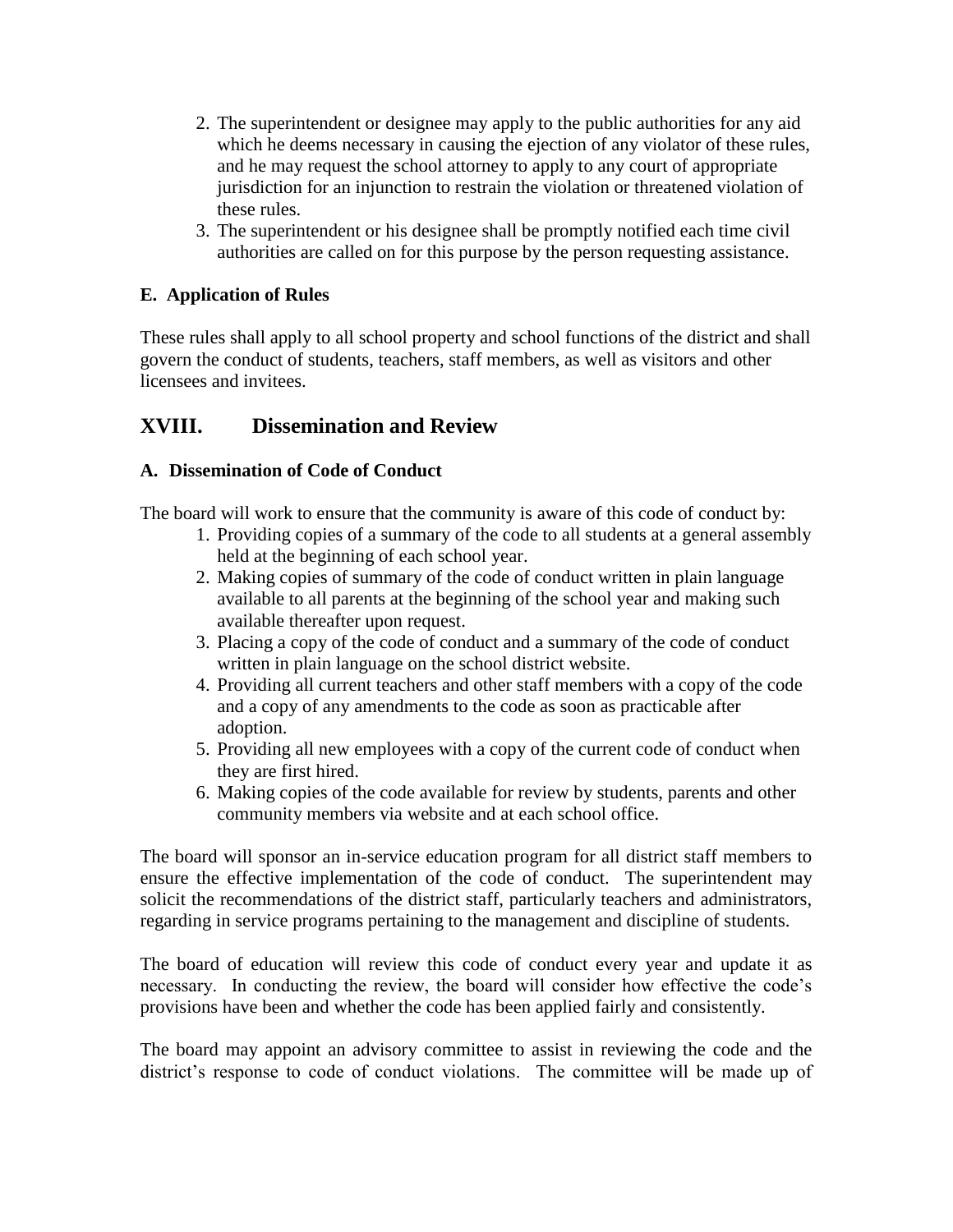- 2. The superintendent or designee may apply to the public authorities for any aid which he deems necessary in causing the ejection of any violator of these rules, and he may request the school attorney to apply to any court of appropriate jurisdiction for an injunction to restrain the violation or threatened violation of these rules.
- 3. The superintendent or his designee shall be promptly notified each time civil authorities are called on for this purpose by the person requesting assistance.

#### **E. Application of Rules**

These rules shall apply to all school property and school functions of the district and shall govern the conduct of students, teachers, staff members, as well as visitors and other licensees and invitees.

### **XVIII. Dissemination and Review**

#### **A. Dissemination of Code of Conduct**

The board will work to ensure that the community is aware of this code of conduct by:

- 1. Providing copies of a summary of the code to all students at a general assembly held at the beginning of each school year.
- 2. Making copies of summary of the code of conduct written in plain language available to all parents at the beginning of the school year and making such available thereafter upon request.
- 3. Placing a copy of the code of conduct and a summary of the code of conduct written in plain language on the school district website.
- 4. Providing all current teachers and other staff members with a copy of the code and a copy of any amendments to the code as soon as practicable after adoption.
- 5. Providing all new employees with a copy of the current code of conduct when they are first hired.
- 6. Making copies of the code available for review by students, parents and other community members via website and at each school office.

The board will sponsor an in-service education program for all district staff members to ensure the effective implementation of the code of conduct. The superintendent may solicit the recommendations of the district staff, particularly teachers and administrators, regarding in service programs pertaining to the management and discipline of students.

The board of education will review this code of conduct every year and update it as necessary. In conducting the review, the board will consider how effective the code's provisions have been and whether the code has been applied fairly and consistently.

The board may appoint an advisory committee to assist in reviewing the code and the district's response to code of conduct violations. The committee will be made up of